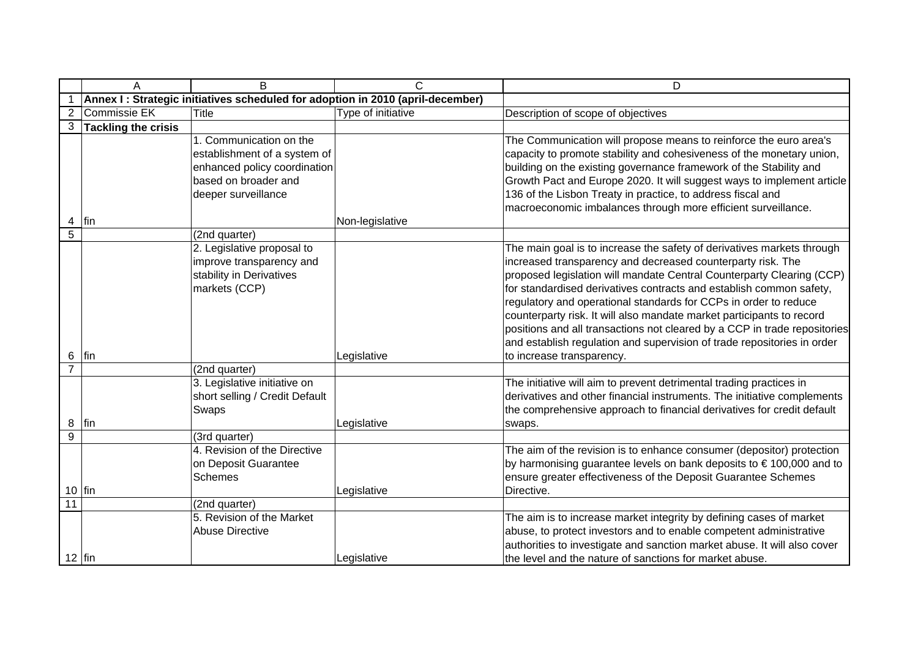|                | A                          | $\overline{B}$                                                                                                                         | C                                                                              | $\overline{D}$                                                                                                                                                                                                                                                                                                                                                                                                                                                                                                                                                                                                          |
|----------------|----------------------------|----------------------------------------------------------------------------------------------------------------------------------------|--------------------------------------------------------------------------------|-------------------------------------------------------------------------------------------------------------------------------------------------------------------------------------------------------------------------------------------------------------------------------------------------------------------------------------------------------------------------------------------------------------------------------------------------------------------------------------------------------------------------------------------------------------------------------------------------------------------------|
|                |                            |                                                                                                                                        | Annex I: Strategic initiatives scheduled for adoption in 2010 (april-december) |                                                                                                                                                                                                                                                                                                                                                                                                                                                                                                                                                                                                                         |
|                | <b>Commissie EK</b>        | <b>Title</b>                                                                                                                           | Type of initiative                                                             | Description of scope of objectives                                                                                                                                                                                                                                                                                                                                                                                                                                                                                                                                                                                      |
| 3              | <b>Tackling the crisis</b> |                                                                                                                                        |                                                                                |                                                                                                                                                                                                                                                                                                                                                                                                                                                                                                                                                                                                                         |
| 4              | fin                        | 1. Communication on the<br>establishment of a system of<br>enhanced policy coordination<br>based on broader and<br>deeper surveillance | Non-legislative                                                                | The Communication will propose means to reinforce the euro area's<br>capacity to promote stability and cohesiveness of the monetary union,<br>building on the existing governance framework of the Stability and<br>Growth Pact and Europe 2020. It will suggest ways to implement article<br>136 of the Lisbon Treaty in practice, to address fiscal and<br>macroeconomic imbalances through more efficient surveillance.                                                                                                                                                                                              |
| $\overline{5}$ |                            | (2nd quarter)                                                                                                                          |                                                                                |                                                                                                                                                                                                                                                                                                                                                                                                                                                                                                                                                                                                                         |
| 6              | lfin.                      | 2. Legislative proposal to<br>improve transparency and<br>stability in Derivatives<br>markets (CCP)                                    | Legislative                                                                    | The main goal is to increase the safety of derivatives markets through<br>increased transparency and decreased counterparty risk. The<br>proposed legislation will mandate Central Counterparty Clearing (CCP)<br>for standardised derivatives contracts and establish common safety,<br>regulatory and operational standards for CCPs in order to reduce<br>counterparty risk. It will also mandate market participants to record<br>positions and all transactions not cleared by a CCP in trade repositories<br>and establish regulation and supervision of trade repositories in order<br>to increase transparency. |
| 7              |                            | (2nd quarter)                                                                                                                          |                                                                                |                                                                                                                                                                                                                                                                                                                                                                                                                                                                                                                                                                                                                         |
| 8              | lfin                       | 3. Legislative initiative on<br>short selling / Credit Default<br>Swaps                                                                | Legislative                                                                    | The initiative will aim to prevent detrimental trading practices in<br>derivatives and other financial instruments. The initiative complements<br>the comprehensive approach to financial derivatives for credit default<br>swaps.                                                                                                                                                                                                                                                                                                                                                                                      |
| 9              |                            | (3rd quarter)                                                                                                                          |                                                                                |                                                                                                                                                                                                                                                                                                                                                                                                                                                                                                                                                                                                                         |
|                | $10$ fin                   | 4. Revision of the Directive<br>on Deposit Guarantee<br><b>Schemes</b>                                                                 | Legislative                                                                    | The aim of the revision is to enhance consumer (depositor) protection<br>by harmonising guarantee levels on bank deposits to €100,000 and to<br>ensure greater effectiveness of the Deposit Guarantee Schemes<br>Directive.                                                                                                                                                                                                                                                                                                                                                                                             |
| 11             |                            | (2nd quarter)                                                                                                                          |                                                                                |                                                                                                                                                                                                                                                                                                                                                                                                                                                                                                                                                                                                                         |
| $12$ fin       |                            | 5. Revision of the Market<br><b>Abuse Directive</b>                                                                                    | Legislative                                                                    | The aim is to increase market integrity by defining cases of market<br>abuse, to protect investors and to enable competent administrative<br>authorities to investigate and sanction market abuse. It will also cover<br>the level and the nature of sanctions for market abuse.                                                                                                                                                                                                                                                                                                                                        |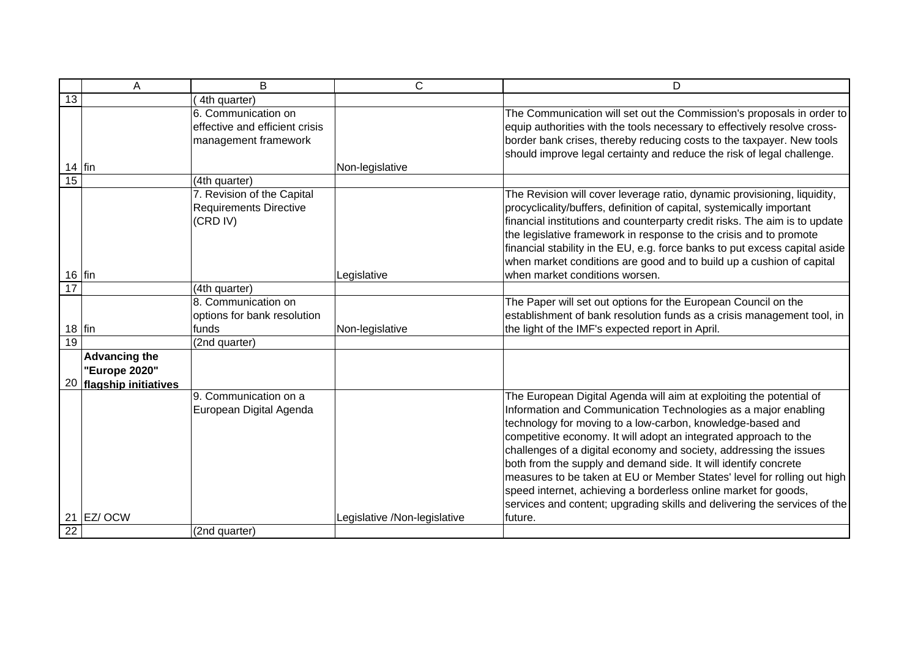|          | Α                                                                | B                                                                             | C                            | D                                                                                                                                                                                                                                                                                                                                                                                                                                                                                                                                                                                                                                           |
|----------|------------------------------------------------------------------|-------------------------------------------------------------------------------|------------------------------|---------------------------------------------------------------------------------------------------------------------------------------------------------------------------------------------------------------------------------------------------------------------------------------------------------------------------------------------------------------------------------------------------------------------------------------------------------------------------------------------------------------------------------------------------------------------------------------------------------------------------------------------|
| 13       |                                                                  | 4th quarter)                                                                  |                              |                                                                                                                                                                                                                                                                                                                                                                                                                                                                                                                                                                                                                                             |
|          |                                                                  | 6. Communication on<br>effective and efficient crisis<br>management framework |                              | The Communication will set out the Commission's proposals in order to<br>equip authorities with the tools necessary to effectively resolve cross-<br>border bank crises, thereby reducing costs to the taxpayer. New tools<br>should improve legal certainty and reduce the risk of legal challenge.                                                                                                                                                                                                                                                                                                                                        |
| $14$ fin |                                                                  |                                                                               | Non-legislative              |                                                                                                                                                                                                                                                                                                                                                                                                                                                                                                                                                                                                                                             |
| 15       |                                                                  | (4th quarter)                                                                 |                              |                                                                                                                                                                                                                                                                                                                                                                                                                                                                                                                                                                                                                                             |
| $16$ fin |                                                                  | 7. Revision of the Capital<br><b>Requirements Directive</b><br>(CRD IV)       | Legislative                  | The Revision will cover leverage ratio, dynamic provisioning, liquidity,<br>procyclicality/buffers, definition of capital, systemically important<br>financial institutions and counterparty credit risks. The aim is to update<br>the legislative framework in response to the crisis and to promote<br>financial stability in the EU, e.g. force banks to put excess capital aside<br>when market conditions are good and to build up a cushion of capital<br>when market conditions worsen.                                                                                                                                              |
| 17       |                                                                  | (4th quarter)                                                                 |                              |                                                                                                                                                                                                                                                                                                                                                                                                                                                                                                                                                                                                                                             |
| $18$ fin |                                                                  | 8. Communication on<br>options for bank resolution<br>funds                   | Non-legislative              | The Paper will set out options for the European Council on the<br>establishment of bank resolution funds as a crisis management tool, in<br>the light of the IMF's expected report in April.                                                                                                                                                                                                                                                                                                                                                                                                                                                |
| 19       |                                                                  | (2nd quarter)                                                                 |                              |                                                                                                                                                                                                                                                                                                                                                                                                                                                                                                                                                                                                                                             |
|          | <b>Advancing the</b><br>"Europe 2020"<br>20 flagship initiatives |                                                                               |                              |                                                                                                                                                                                                                                                                                                                                                                                                                                                                                                                                                                                                                                             |
|          |                                                                  | 9. Communication on a<br>European Digital Agenda                              |                              | The European Digital Agenda will aim at exploiting the potential of<br>Information and Communication Technologies as a major enabling<br>technology for moving to a low-carbon, knowledge-based and<br>competitive economy. It will adopt an integrated approach to the<br>challenges of a digital economy and society, addressing the issues<br>both from the supply and demand side. It will identify concrete<br>measures to be taken at EU or Member States' level for rolling out high<br>speed internet, achieving a borderless online market for goods,<br>services and content; upgrading skills and delivering the services of the |
|          | 21 EZ/ OCW                                                       |                                                                               | Legislative /Non-legislative | future.                                                                                                                                                                                                                                                                                                                                                                                                                                                                                                                                                                                                                                     |
| 22       |                                                                  | (2nd quarter)                                                                 |                              |                                                                                                                                                                                                                                                                                                                                                                                                                                                                                                                                                                                                                                             |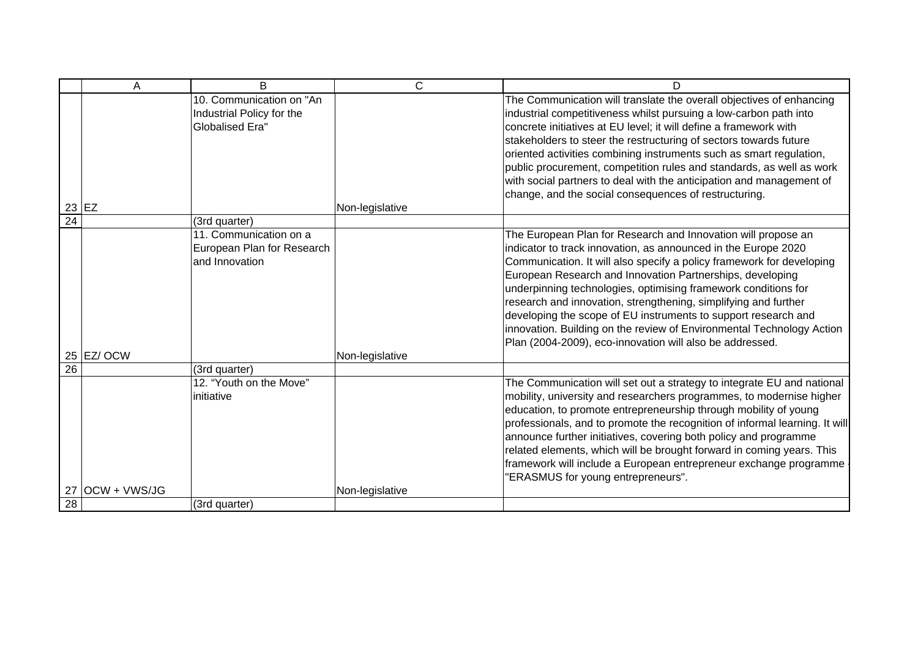|                 | А               | B                                                                               | C               | D                                                                                                                                                                                                                                                                                                                                                                                                                                                                                                                                                                                                                 |
|-----------------|-----------------|---------------------------------------------------------------------------------|-----------------|-------------------------------------------------------------------------------------------------------------------------------------------------------------------------------------------------------------------------------------------------------------------------------------------------------------------------------------------------------------------------------------------------------------------------------------------------------------------------------------------------------------------------------------------------------------------------------------------------------------------|
|                 | $23$ EZ         | 10. Communication on "An<br>Industrial Policy for the<br><b>Globalised Era"</b> | Non-legislative | The Communication will translate the overall objectives of enhancing<br>industrial competitiveness whilst pursuing a low-carbon path into<br>concrete initiatives at EU level; it will define a framework with<br>stakeholders to steer the restructuring of sectors towards future<br>oriented activities combining instruments such as smart regulation,<br>public procurement, competition rules and standards, as well as work<br>with social partners to deal with the anticipation and management of<br>change, and the social consequences of restructuring.                                               |
| $\overline{24}$ |                 | (3rd quarter)                                                                   |                 |                                                                                                                                                                                                                                                                                                                                                                                                                                                                                                                                                                                                                   |
|                 | 25 EZ/ OCW      | 11. Communication on a<br>European Plan for Research<br>and Innovation          | Non-legislative | The European Plan for Research and Innovation will propose an<br>indicator to track innovation, as announced in the Europe 2020<br>Communication. It will also specify a policy framework for developing<br>European Research and Innovation Partnerships, developing<br>underpinning technologies, optimising framework conditions for<br>research and innovation, strengthening, simplifying and further<br>developing the scope of EU instruments to support research and<br>innovation. Building on the review of Environmental Technology Action<br>Plan (2004-2009), eco-innovation will also be addressed. |
| 26              |                 | (3rd quarter)                                                                   |                 |                                                                                                                                                                                                                                                                                                                                                                                                                                                                                                                                                                                                                   |
|                 |                 | 12. "Youth on the Move"<br>initiative                                           |                 | The Communication will set out a strategy to integrate EU and national<br>mobility, university and researchers programmes, to modernise higher<br>education, to promote entrepreneurship through mobility of young<br>professionals, and to promote the recognition of informal learning. It will<br>announce further initiatives, covering both policy and programme<br>related elements, which will be brought forward in coming years. This<br>framework will include a European entrepreneur exchange programme<br>"ERASMUS for young entrepreneurs".                                                         |
| 28              | 27 OCW + VWS/JG |                                                                                 | Non-legislative |                                                                                                                                                                                                                                                                                                                                                                                                                                                                                                                                                                                                                   |
|                 |                 | (3rd quarter)                                                                   |                 |                                                                                                                                                                                                                                                                                                                                                                                                                                                                                                                                                                                                                   |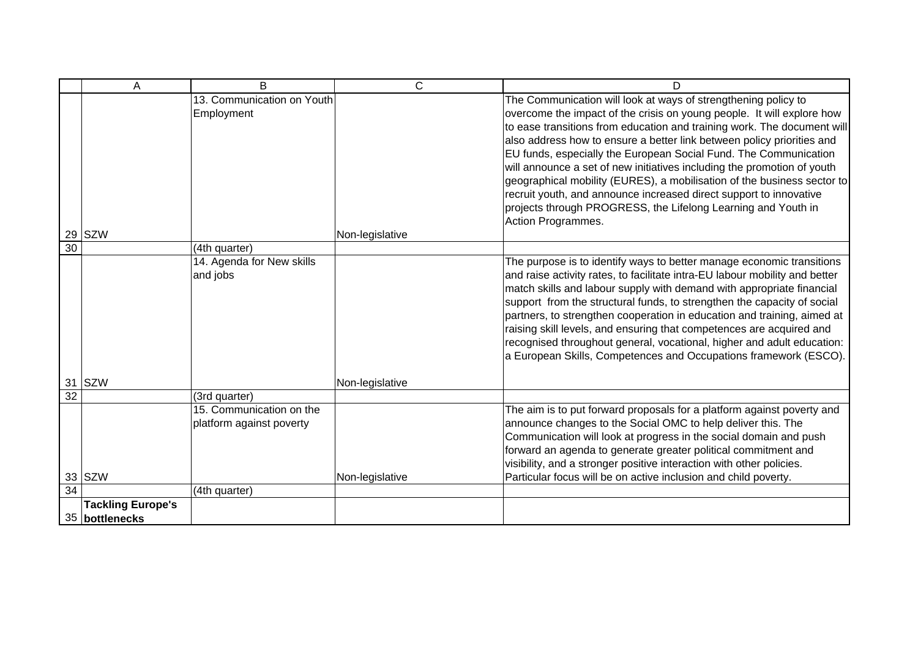|                 | A                        | B                                                    | С               | D                                                                                                                                                                                                                                                                                                                                                                                                                                                                                                                                                                                                                                                                                    |
|-----------------|--------------------------|------------------------------------------------------|-----------------|--------------------------------------------------------------------------------------------------------------------------------------------------------------------------------------------------------------------------------------------------------------------------------------------------------------------------------------------------------------------------------------------------------------------------------------------------------------------------------------------------------------------------------------------------------------------------------------------------------------------------------------------------------------------------------------|
| 29              | <b>SZW</b>               | 13. Communication on Youth<br>Employment             | Non-legislative | The Communication will look at ways of strengthening policy to<br>overcome the impact of the crisis on young people. It will explore how<br>to ease transitions from education and training work. The document will<br>also address how to ensure a better link between policy priorities and<br>EU funds, especially the European Social Fund. The Communication<br>will announce a set of new initiatives including the promotion of youth<br>geographical mobility (EURES), a mobilisation of the business sector to<br>recruit youth, and announce increased direct support to innovative<br>projects through PROGRESS, the Lifelong Learning and Youth in<br>Action Programmes. |
| $\overline{30}$ |                          | (4th quarter)                                        |                 |                                                                                                                                                                                                                                                                                                                                                                                                                                                                                                                                                                                                                                                                                      |
| 31              | <b>SZW</b>               | 14. Agenda for New skills<br>and jobs                | Non-legislative | The purpose is to identify ways to better manage economic transitions<br>and raise activity rates, to facilitate intra-EU labour mobility and better<br>match skills and labour supply with demand with appropriate financial<br>support from the structural funds, to strengthen the capacity of social<br>partners, to strengthen cooperation in education and training, aimed at<br>raising skill levels, and ensuring that competences are acquired and<br>recognised throughout general, vocational, higher and adult education:<br>a European Skills, Competences and Occupations framework (ESCO).                                                                            |
| $\overline{32}$ |                          | (3rd quarter)                                        |                 |                                                                                                                                                                                                                                                                                                                                                                                                                                                                                                                                                                                                                                                                                      |
|                 | 33 SZW                   | 15. Communication on the<br>platform against poverty | Non-legislative | The aim is to put forward proposals for a platform against poverty and<br>announce changes to the Social OMC to help deliver this. The<br>Communication will look at progress in the social domain and push<br>forward an agenda to generate greater political commitment and<br>visibility, and a stronger positive interaction with other policies.<br>Particular focus will be on active inclusion and child poverty.                                                                                                                                                                                                                                                             |
| 34              |                          | (4th quarter)                                        |                 |                                                                                                                                                                                                                                                                                                                                                                                                                                                                                                                                                                                                                                                                                      |
|                 | <b>Tackling Europe's</b> |                                                      |                 |                                                                                                                                                                                                                                                                                                                                                                                                                                                                                                                                                                                                                                                                                      |
|                 | 35 bottlenecks           |                                                      |                 |                                                                                                                                                                                                                                                                                                                                                                                                                                                                                                                                                                                                                                                                                      |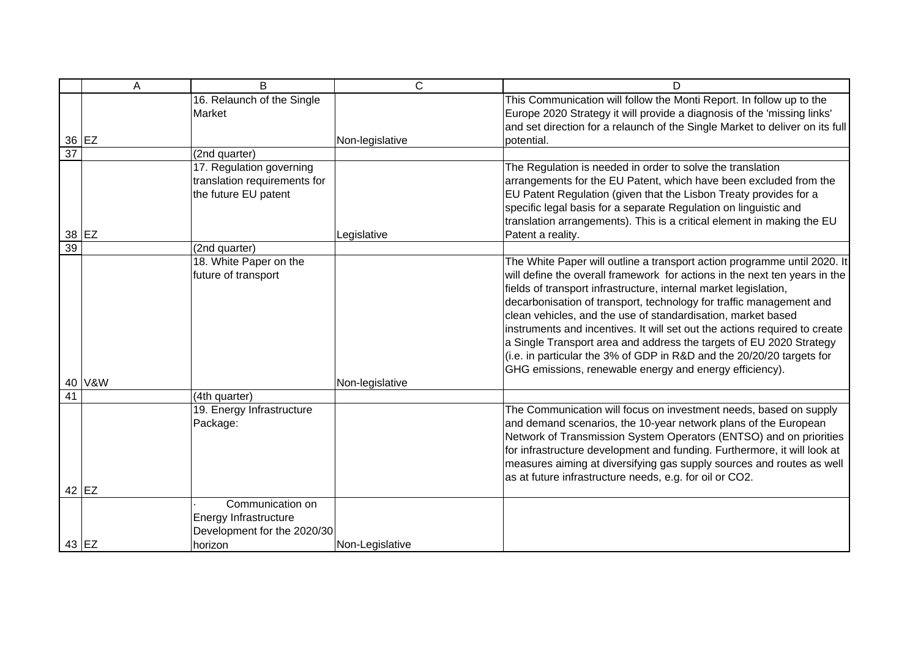|                 | Α      | B                                                                                   | C               | D                                                                                                                                                                                                                                                                                                                                                                                                                                                                                                                                                                                                                                                          |
|-----------------|--------|-------------------------------------------------------------------------------------|-----------------|------------------------------------------------------------------------------------------------------------------------------------------------------------------------------------------------------------------------------------------------------------------------------------------------------------------------------------------------------------------------------------------------------------------------------------------------------------------------------------------------------------------------------------------------------------------------------------------------------------------------------------------------------------|
|                 | 36 EZ  | 16. Relaunch of the Single<br>Market                                                | Non-legislative | This Communication will follow the Monti Report. In follow up to the<br>Europe 2020 Strategy it will provide a diagnosis of the 'missing links'<br>and set direction for a relaunch of the Single Market to deliver on its full<br>potential.                                                                                                                                                                                                                                                                                                                                                                                                              |
| $\overline{37}$ |        | (2nd quarter)                                                                       |                 |                                                                                                                                                                                                                                                                                                                                                                                                                                                                                                                                                                                                                                                            |
|                 | 38 EZ  | 17. Regulation governing<br>translation requirements for<br>the future EU patent    | Legislative     | The Regulation is needed in order to solve the translation<br>arrangements for the EU Patent, which have been excluded from the<br>EU Patent Regulation (given that the Lisbon Treaty provides for a<br>specific legal basis for a separate Regulation on linguistic and<br>translation arrangements). This is a critical element in making the EU<br>Patent a reality.                                                                                                                                                                                                                                                                                    |
| $\overline{39}$ |        | (2nd quarter)                                                                       |                 |                                                                                                                                                                                                                                                                                                                                                                                                                                                                                                                                                                                                                                                            |
|                 | 40 V&W | 18. White Paper on the<br>future of transport                                       | Non-legislative | The White Paper will outline a transport action programme until 2020. It<br>will define the overall framework for actions in the next ten years in the<br>fields of transport infrastructure, internal market legislation,<br>decarbonisation of transport, technology for traffic management and<br>clean vehicles, and the use of standardisation, market based<br>instruments and incentives. It will set out the actions required to create<br>a Single Transport area and address the targets of EU 2020 Strategy<br>(i.e. in particular the 3% of GDP in R&D and the 20/20/20 targets for<br>GHG emissions, renewable energy and energy efficiency). |
| 41              |        | (4th quarter)                                                                       |                 |                                                                                                                                                                                                                                                                                                                                                                                                                                                                                                                                                                                                                                                            |
|                 |        | 19. Energy Infrastructure<br>Package:                                               |                 | The Communication will focus on investment needs, based on supply<br>and demand scenarios, the 10-year network plans of the European<br>Network of Transmission System Operators (ENTSO) and on priorities<br>for infrastructure development and funding. Furthermore, it will look at<br>measures aiming at diversifying gas supply sources and routes as well<br>as at future infrastructure needs, e.g. for oil or CO2.                                                                                                                                                                                                                                 |
|                 | 42 EZ  |                                                                                     |                 |                                                                                                                                                                                                                                                                                                                                                                                                                                                                                                                                                                                                                                                            |
|                 | 43 EZ  | Communication on<br>Energy Infrastructure<br>Development for the 2020/30<br>horizon | Non-Legislative |                                                                                                                                                                                                                                                                                                                                                                                                                                                                                                                                                                                                                                                            |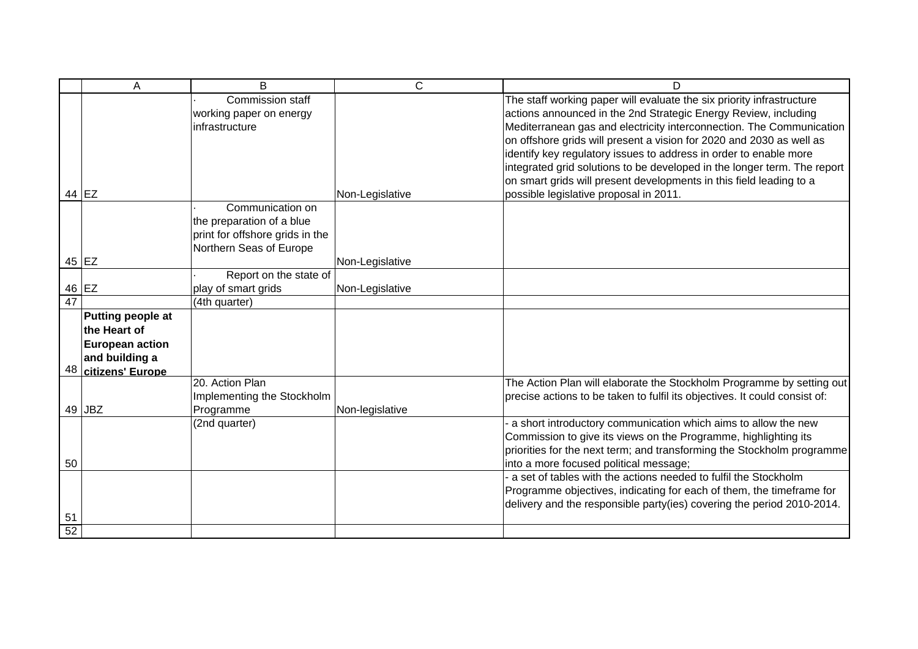|                 | Α                      | B                               | $\mathsf{C}$    | D                                                                          |
|-----------------|------------------------|---------------------------------|-----------------|----------------------------------------------------------------------------|
|                 |                        | Commission staff                |                 | The staff working paper will evaluate the six priority infrastructure      |
|                 |                        | working paper on energy         |                 | actions announced in the 2nd Strategic Energy Review, including            |
|                 |                        | infrastructure                  |                 | Mediterranean gas and electricity interconnection. The Communication       |
|                 |                        |                                 |                 | on offshore grids will present a vision for 2020 and 2030 as well as       |
|                 |                        |                                 |                 | identify key regulatory issues to address in order to enable more          |
|                 |                        |                                 |                 | integrated grid solutions to be developed in the longer term. The report   |
|                 |                        |                                 |                 | on smart grids will present developments in this field leading to a        |
|                 | 44 EZ                  |                                 | Non-Legislative | possible legislative proposal in 2011.                                     |
|                 |                        | Communication on                |                 |                                                                            |
|                 |                        | the preparation of a blue       |                 |                                                                            |
|                 |                        | print for offshore grids in the |                 |                                                                            |
|                 |                        | Northern Seas of Europe         |                 |                                                                            |
|                 | 45 EZ                  |                                 | Non-Legislative |                                                                            |
|                 |                        | Report on the state of          |                 |                                                                            |
|                 | 46 EZ                  | play of smart grids             | Non-Legislative |                                                                            |
| $\overline{47}$ |                        | (4th quarter)                   |                 |                                                                            |
|                 | Putting people at      |                                 |                 |                                                                            |
|                 | the Heart of           |                                 |                 |                                                                            |
|                 | <b>European action</b> |                                 |                 |                                                                            |
|                 | and building a         |                                 |                 |                                                                            |
| 48              | citizens' Europe       |                                 |                 |                                                                            |
|                 |                        | 20. Action Plan                 |                 | The Action Plan will elaborate the Stockholm Programme by setting out      |
|                 |                        | Implementing the Stockholm      |                 | precise actions to be taken to fulfil its objectives. It could consist of: |
| 49              | <b>JBZ</b>             | Programme                       | Non-legislative |                                                                            |
|                 |                        | (2nd quarter)                   |                 | a short introductory communication which aims to allow the new             |
|                 |                        |                                 |                 | Commission to give its views on the Programme, highlighting its            |
|                 |                        |                                 |                 | priorities for the next term; and transforming the Stockholm programme     |
| 50              |                        |                                 |                 | into a more focused political message;                                     |
|                 |                        |                                 |                 | a set of tables with the actions needed to fulfil the Stockholm            |
|                 |                        |                                 |                 | Programme objectives, indicating for each of them, the timeframe for       |
| 51              |                        |                                 |                 | delivery and the responsible party(ies) covering the period 2010-2014.     |
| $\overline{52}$ |                        |                                 |                 |                                                                            |
|                 |                        |                                 |                 |                                                                            |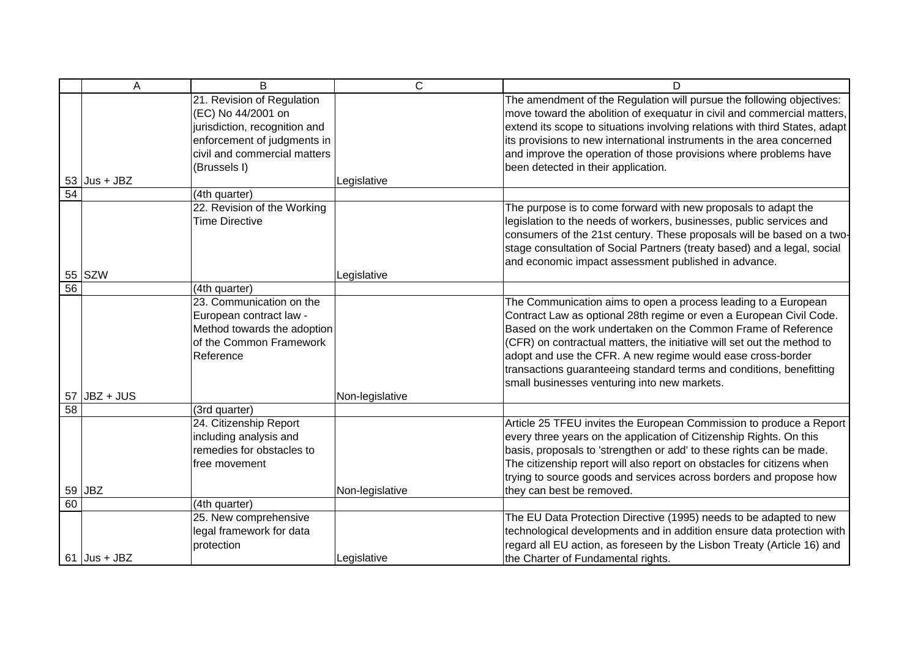|    | $\overline{A}$ | $\overline{B}$                | $\overline{C}$  | D                                                                           |
|----|----------------|-------------------------------|-----------------|-----------------------------------------------------------------------------|
|    |                | 21. Revision of Regulation    |                 | The amendment of the Regulation will pursue the following objectives:       |
|    |                | (EC) No 44/2001 on            |                 | move toward the abolition of exequatur in civil and commercial matters,     |
|    |                | jurisdiction, recognition and |                 | extend its scope to situations involving relations with third States, adapt |
|    |                | enforcement of judgments in   |                 | its provisions to new international instruments in the area concerned       |
|    |                | civil and commercial matters  |                 | and improve the operation of those provisions where problems have           |
|    |                | (Brussels I)                  |                 | been detected in their application.                                         |
|    | $53$ Jus + JBZ |                               | Legislative     |                                                                             |
| 54 |                | (4th quarter)                 |                 |                                                                             |
|    |                | 22. Revision of the Working   |                 | The purpose is to come forward with new proposals to adapt the              |
|    |                | <b>Time Directive</b>         |                 | legislation to the needs of workers, businesses, public services and        |
|    |                |                               |                 | consumers of the 21st century. These proposals will be based on a two-      |
|    |                |                               |                 | stage consultation of Social Partners (treaty based) and a legal, social    |
|    |                |                               |                 | and economic impact assessment published in advance.                        |
|    | 55 SZW         |                               | Legislative     |                                                                             |
| 56 |                | (4th quarter)                 |                 |                                                                             |
|    |                | 23. Communication on the      |                 | The Communication aims to open a process leading to a European              |
|    |                | European contract law -       |                 | Contract Law as optional 28th regime or even a European Civil Code.         |
|    |                | Method towards the adoption   |                 | Based on the work undertaken on the Common Frame of Reference               |
|    |                | of the Common Framework       |                 | (CFR) on contractual matters, the initiative will set out the method to     |
|    |                | Reference                     |                 | adopt and use the CFR. A new regime would ease cross-border                 |
|    |                |                               |                 | transactions guaranteeing standard terms and conditions, benefitting        |
|    |                |                               |                 | small businesses venturing into new markets.                                |
|    | $57$ JBZ + JUS |                               | Non-legislative |                                                                             |
| 58 |                | (3rd quarter)                 |                 |                                                                             |
|    |                | 24. Citizenship Report        |                 | Article 25 TFEU invites the European Commission to produce a Report         |
|    |                | including analysis and        |                 | every three years on the application of Citizenship Rights. On this         |
|    |                | remedies for obstacles to     |                 | basis, proposals to 'strengthen or add' to these rights can be made.        |
|    |                | free movement                 |                 | The citizenship report will also report on obstacles for citizens when      |
|    |                |                               |                 | trying to source goods and services across borders and propose how          |
|    | 59 JBZ         |                               | Non-legislative | they can best be removed.                                                   |
| 60 |                | (4th quarter)                 |                 |                                                                             |
|    |                | 25. New comprehensive         |                 | The EU Data Protection Directive (1995) needs to be adapted to new          |
|    |                | legal framework for data      |                 | technological developments and in addition ensure data protection with      |
|    |                | protection                    |                 | regard all EU action, as foreseen by the Lisbon Treaty (Article 16) and     |
|    | $61$ Jus + JBZ |                               | Legislative     | the Charter of Fundamental rights.                                          |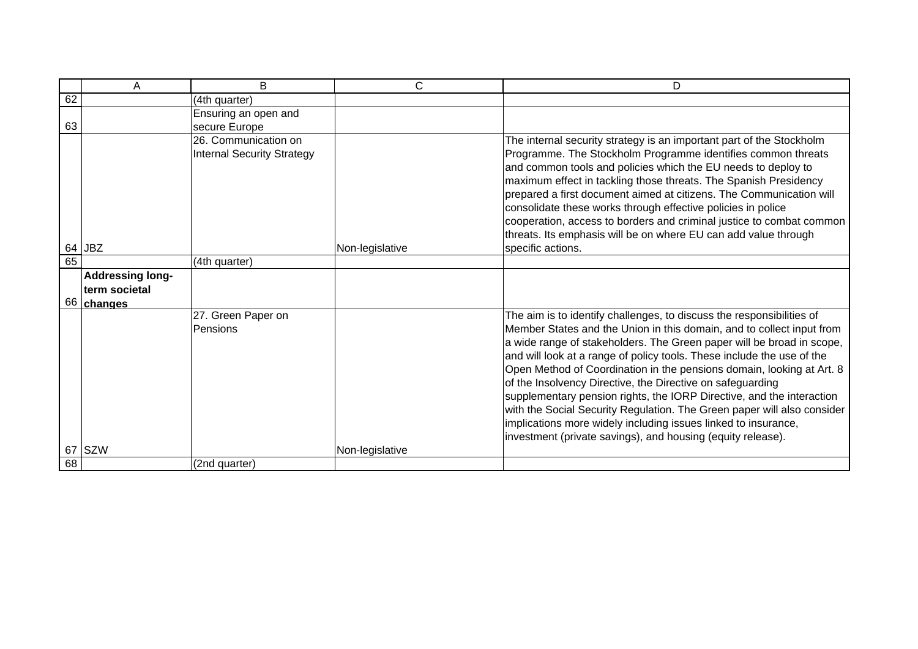|          | A                        | B                                                         | C               | D                                                                                                                                                                                                                                                                                                                                                                                                                                                                                                                                                                                                                                                                                                                             |
|----------|--------------------------|-----------------------------------------------------------|-----------------|-------------------------------------------------------------------------------------------------------------------------------------------------------------------------------------------------------------------------------------------------------------------------------------------------------------------------------------------------------------------------------------------------------------------------------------------------------------------------------------------------------------------------------------------------------------------------------------------------------------------------------------------------------------------------------------------------------------------------------|
| 62       |                          | (4th quarter)                                             |                 |                                                                                                                                                                                                                                                                                                                                                                                                                                                                                                                                                                                                                                                                                                                               |
|          |                          | Ensuring an open and                                      |                 |                                                                                                                                                                                                                                                                                                                                                                                                                                                                                                                                                                                                                                                                                                                               |
| 63       |                          | secure Europe                                             |                 |                                                                                                                                                                                                                                                                                                                                                                                                                                                                                                                                                                                                                                                                                                                               |
|          |                          | 26. Communication on<br><b>Internal Security Strategy</b> |                 | The internal security strategy is an important part of the Stockholm<br>Programme. The Stockholm Programme identifies common threats<br>and common tools and policies which the EU needs to deploy to<br>maximum effect in tackling those threats. The Spanish Presidency<br>prepared a first document aimed at citizens. The Communication will<br>consolidate these works through effective policies in police<br>cooperation, access to borders and criminal justice to combat common<br>threats. Its emphasis will be on where EU can add value through                                                                                                                                                                   |
|          | 64 JBZ                   |                                                           | Non-legislative | specific actions.                                                                                                                                                                                                                                                                                                                                                                                                                                                                                                                                                                                                                                                                                                             |
| 65       |                          | (4th quarter)                                             |                 |                                                                                                                                                                                                                                                                                                                                                                                                                                                                                                                                                                                                                                                                                                                               |
|          | <b>Addressing long-</b>  |                                                           |                 |                                                                                                                                                                                                                                                                                                                                                                                                                                                                                                                                                                                                                                                                                                                               |
|          | term societal            |                                                           |                 |                                                                                                                                                                                                                                                                                                                                                                                                                                                                                                                                                                                                                                                                                                                               |
| 67<br>68 | 66 changes<br><b>SZW</b> | 27. Green Paper on<br>Pensions<br>(2nd quarter)           | Non-legislative | The aim is to identify challenges, to discuss the responsibilities of<br>Member States and the Union in this domain, and to collect input from<br>a wide range of stakeholders. The Green paper will be broad in scope,<br>and will look at a range of policy tools. These include the use of the<br>Open Method of Coordination in the pensions domain, looking at Art. 8<br>of the Insolvency Directive, the Directive on safeguarding<br>supplementary pension rights, the IORP Directive, and the interaction<br>with the Social Security Regulation. The Green paper will also consider<br>implications more widely including issues linked to insurance,<br>investment (private savings), and housing (equity release). |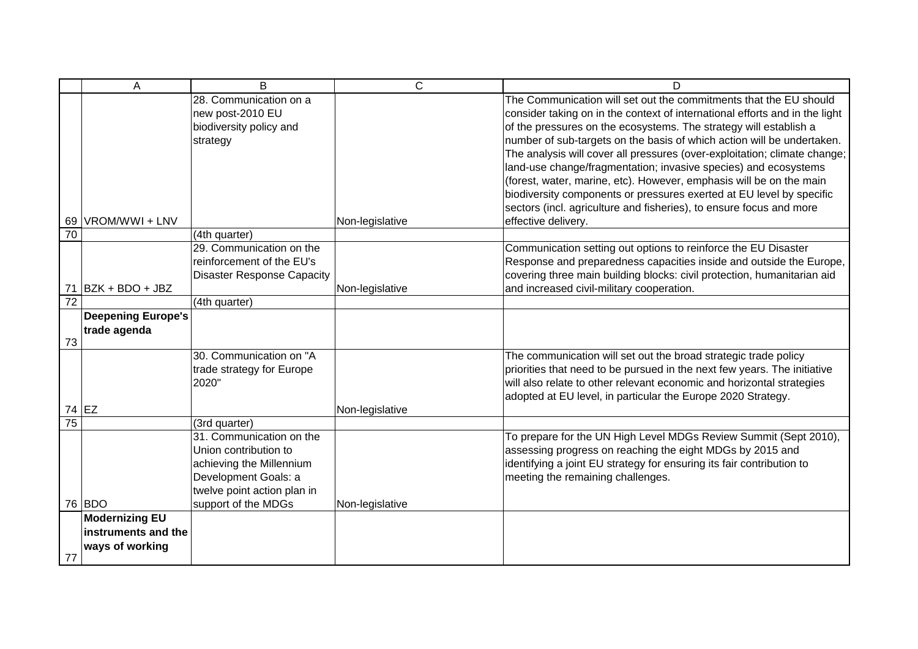|                 | A                         | B                                         | $\mathsf{C}$    | D                                                                           |
|-----------------|---------------------------|-------------------------------------------|-----------------|-----------------------------------------------------------------------------|
|                 |                           | 28. Communication on a                    |                 | The Communication will set out the commitments that the EU should           |
|                 |                           | new post-2010 EU                          |                 | consider taking on in the context of international efforts and in the light |
|                 |                           | biodiversity policy and                   |                 | of the pressures on the ecosystems. The strategy will establish a           |
|                 |                           | strategy                                  |                 | number of sub-targets on the basis of which action will be undertaken.      |
|                 |                           |                                           |                 | The analysis will cover all pressures (over-exploitation; climate change;   |
|                 |                           |                                           |                 | land-use change/fragmentation; invasive species) and ecosystems             |
|                 |                           |                                           |                 | (forest, water, marine, etc). However, emphasis will be on the main         |
|                 |                           |                                           |                 | biodiversity components or pressures exerted at EU level by specific        |
|                 |                           |                                           |                 | sectors (incl. agriculture and fisheries), to ensure focus and more         |
|                 | 69 VROM/WWI + LNV         |                                           | Non-legislative | effective delivery.                                                         |
| $\overline{70}$ |                           | (4th quarter)                             |                 |                                                                             |
|                 |                           | 29. Communication on the                  |                 | Communication setting out options to reinforce the EU Disaster              |
|                 |                           | reinforcement of the EU's                 |                 | Response and preparedness capacities inside and outside the Europe,         |
|                 |                           | <b>Disaster Response Capacity</b>         |                 | covering three main building blocks: civil protection, humanitarian aid     |
| 71              | BZK + BDO + JBZ           |                                           | Non-legislative | and increased civil-military cooperation.                                   |
| $\overline{72}$ |                           | (4th quarter)                             |                 |                                                                             |
|                 | <b>Deepening Europe's</b> |                                           |                 |                                                                             |
|                 | trade agenda              |                                           |                 |                                                                             |
| 73              |                           |                                           |                 |                                                                             |
|                 |                           | 30. Communication on "A                   |                 | The communication will set out the broad strategic trade policy             |
|                 |                           | trade strategy for Europe                 |                 | priorities that need to be pursued in the next few years. The initiative    |
|                 |                           | 2020"                                     |                 | will also relate to other relevant economic and horizontal strategies       |
|                 |                           |                                           |                 | adopted at EU level, in particular the Europe 2020 Strategy.                |
| 74 EZ<br>75     |                           |                                           | Non-legislative |                                                                             |
|                 |                           | (3rd quarter)<br>31. Communication on the |                 |                                                                             |
|                 |                           | Union contribution to                     |                 | To prepare for the UN High Level MDGs Review Summit (Sept 2010),            |
|                 |                           |                                           |                 | assessing progress on reaching the eight MDGs by 2015 and                   |
|                 |                           | achieving the Millennium                  |                 | identifying a joint EU strategy for ensuring its fair contribution to       |
|                 |                           | Development Goals: a                      |                 | meeting the remaining challenges.                                           |
|                 | 76 BDO                    | twelve point action plan in               |                 |                                                                             |
|                 | <b>Modernizing EU</b>     | support of the MDGs                       | Non-legislative |                                                                             |
|                 | instruments and the       |                                           |                 |                                                                             |
|                 |                           |                                           |                 |                                                                             |
| 77              | ways of working           |                                           |                 |                                                                             |
|                 |                           |                                           |                 |                                                                             |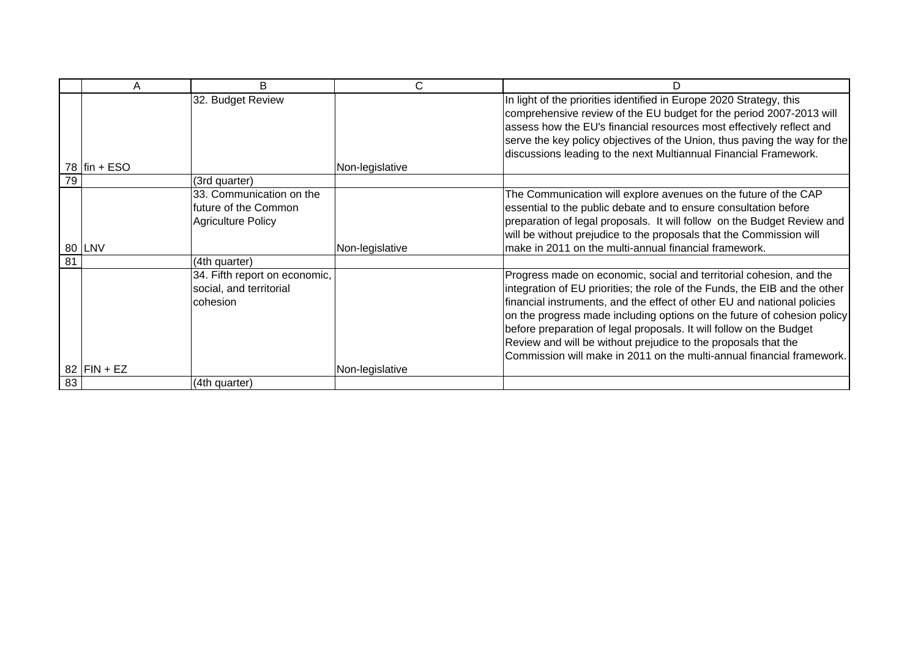|    | Α              | B                                                                             | С               |                                                                                                                                                                                                                                                                                                                                                                                                                                                                                                                           |
|----|----------------|-------------------------------------------------------------------------------|-----------------|---------------------------------------------------------------------------------------------------------------------------------------------------------------------------------------------------------------------------------------------------------------------------------------------------------------------------------------------------------------------------------------------------------------------------------------------------------------------------------------------------------------------------|
|    | 78 $fin + ESO$ | 32. Budget Review                                                             | Non-legislative | In light of the priorities identified in Europe 2020 Strategy, this<br>comprehensive review of the EU budget for the period 2007-2013 will<br>assess how the EU's financial resources most effectively reflect and<br>serve the key policy objectives of the Union, thus paving the way for the<br>discussions leading to the next Multiannual Financial Framework.                                                                                                                                                       |
| 79 |                | (3rd quarter)                                                                 |                 |                                                                                                                                                                                                                                                                                                                                                                                                                                                                                                                           |
|    | 80 LNV         | 33. Communication on the<br>future of the Common<br><b>Agriculture Policy</b> | Non-legislative | The Communication will explore avenues on the future of the CAP<br>essential to the public debate and to ensure consultation before<br>preparation of legal proposals. It will follow on the Budget Review and<br>will be without prejudice to the proposals that the Commission will<br>make in 2011 on the multi-annual financial framework.                                                                                                                                                                            |
| 81 |                | (4th quarter)                                                                 |                 |                                                                                                                                                                                                                                                                                                                                                                                                                                                                                                                           |
|    | 82 $FN + EZ$   | 34. Fifth report on economic,<br>social, and territorial<br>cohesion          | Non-legislative | Progress made on economic, social and territorial cohesion, and the<br>integration of EU priorities; the role of the Funds, the EIB and the other<br>financial instruments, and the effect of other EU and national policies<br>on the progress made including options on the future of cohesion policy<br>before preparation of legal proposals. It will follow on the Budget<br>Review and will be without prejudice to the proposals that the<br>Commission will make in 2011 on the multi-annual financial framework. |
| 83 |                | (4th quarter)                                                                 |                 |                                                                                                                                                                                                                                                                                                                                                                                                                                                                                                                           |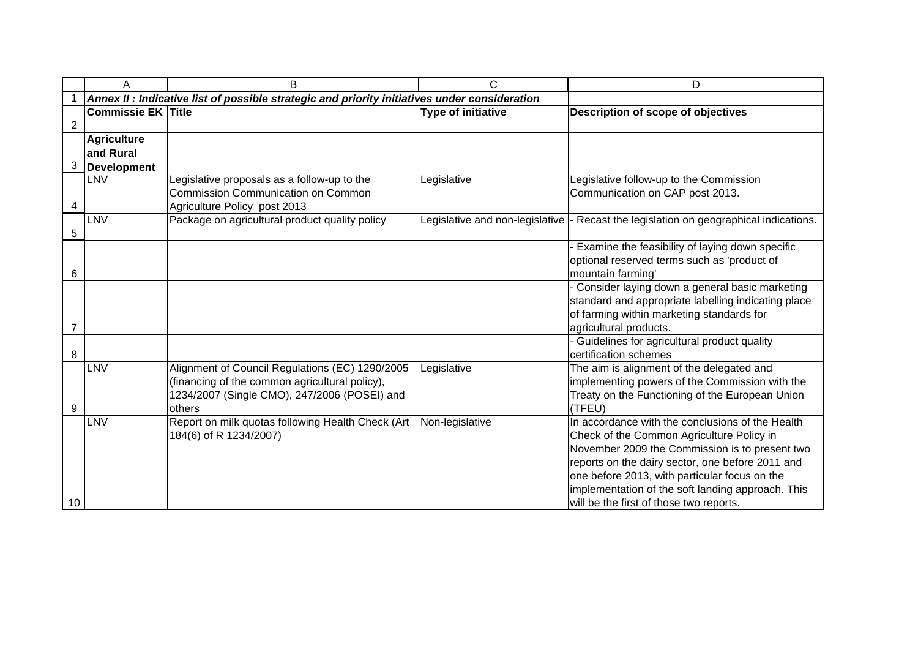|                | A                         | B                                                                                             | C                         | D                                                                                              |
|----------------|---------------------------|-----------------------------------------------------------------------------------------------|---------------------------|------------------------------------------------------------------------------------------------|
|                |                           | Annex II : Indicative list of possible strategic and priority initiatives under consideration |                           |                                                                                                |
|                | <b>Commissie EK Title</b> |                                                                                               | <b>Type of initiative</b> | Description of scope of objectives                                                             |
| $\overline{2}$ |                           |                                                                                               |                           |                                                                                                |
|                | <b>Agriculture</b>        |                                                                                               |                           |                                                                                                |
|                | and Rural                 |                                                                                               |                           |                                                                                                |
| 3              | <b>Development</b>        |                                                                                               |                           |                                                                                                |
|                | LNV                       | Legislative proposals as a follow-up to the                                                   | Legislative               | Legislative follow-up to the Commission                                                        |
|                |                           | <b>Commission Communication on Common</b>                                                     |                           | Communication on CAP post 2013.                                                                |
| 4              |                           | Agriculture Policy post 2013                                                                  |                           |                                                                                                |
|                | LNV                       | Package on agricultural product quality policy                                                |                           | Legislative and non-legislative  - Recast the legislation on geographical indications.         |
| 5              |                           |                                                                                               |                           |                                                                                                |
|                |                           |                                                                                               |                           | Examine the feasibility of laying down specific<br>optional reserved terms such as 'product of |
| 6              |                           |                                                                                               |                           | mountain farming'                                                                              |
|                |                           |                                                                                               |                           | - Consider laying down a general basic marketing                                               |
|                |                           |                                                                                               |                           | standard and appropriate labelling indicating place                                            |
|                |                           |                                                                                               |                           | of farming within marketing standards for                                                      |
| 7              |                           |                                                                                               |                           | agricultural products.                                                                         |
|                |                           |                                                                                               |                           | - Guidelines for agricultural product quality                                                  |
| 8              |                           |                                                                                               |                           | certification schemes                                                                          |
|                | LNV                       | Alignment of Council Regulations (EC) 1290/2005                                               | Legislative               | The aim is alignment of the delegated and                                                      |
|                |                           | (financing of the common agricultural policy),                                                |                           | implementing powers of the Commission with the                                                 |
|                |                           | 1234/2007 (Single CMO), 247/2006 (POSEI) and                                                  |                           | Treaty on the Functioning of the European Union                                                |
| 9              |                           | others                                                                                        |                           | (TFEU)                                                                                         |
|                | LNV                       | Report on milk quotas following Health Check (Art                                             | Non-legislative           | In accordance with the conclusions of the Health                                               |
|                |                           | 184(6) of R 1234/2007)                                                                        |                           | Check of the Common Agriculture Policy in                                                      |
|                |                           |                                                                                               |                           | November 2009 the Commission is to present two                                                 |
|                |                           |                                                                                               |                           | reports on the dairy sector, one before 2011 and                                               |
|                |                           |                                                                                               |                           | one before 2013, with particular focus on the                                                  |
|                |                           |                                                                                               |                           | implementation of the soft landing approach. This                                              |
| 10             |                           |                                                                                               |                           | will be the first of those two reports.                                                        |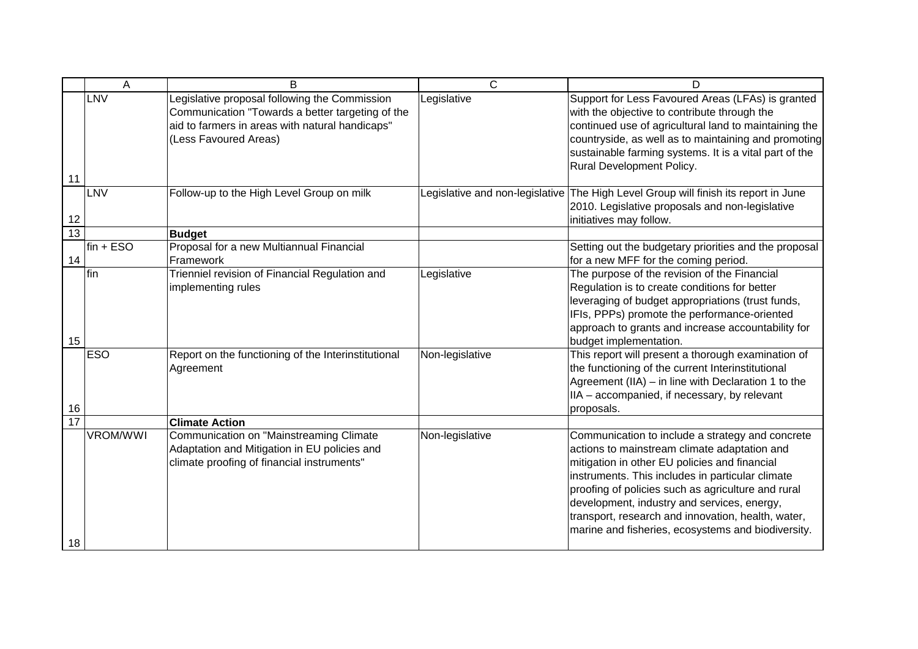|                 | A               | B                                                                                                                                                                             | $\mathsf{C}$    | D                                                                                                                                                                                                                                                                                                                                                                                                                      |
|-----------------|-----------------|-------------------------------------------------------------------------------------------------------------------------------------------------------------------------------|-----------------|------------------------------------------------------------------------------------------------------------------------------------------------------------------------------------------------------------------------------------------------------------------------------------------------------------------------------------------------------------------------------------------------------------------------|
| 11              | <b>LNV</b>      | Legislative proposal following the Commission<br>Communication "Towards a better targeting of the<br>aid to farmers in areas with natural handicaps"<br>(Less Favoured Areas) | Legislative     | Support for Less Favoured Areas (LFAs) is granted<br>with the objective to contribute through the<br>continued use of agricultural land to maintaining the<br>countryside, as well as to maintaining and promoting<br>sustainable farming systems. It is a vital part of the<br>Rural Development Policy.                                                                                                              |
| 12              | LNV             | Follow-up to the High Level Group on milk                                                                                                                                     |                 | Legislative and non-legislative The High Level Group will finish its report in June<br>2010. Legislative proposals and non-legislative<br>initiatives may follow.                                                                                                                                                                                                                                                      |
| $\overline{13}$ |                 | <b>Budget</b>                                                                                                                                                                 |                 |                                                                                                                                                                                                                                                                                                                                                                                                                        |
| 14              | $fin + ESO$     | Proposal for a new Multiannual Financial<br>Framework                                                                                                                         |                 | Setting out the budgetary priorities and the proposal<br>for a new MFF for the coming period.                                                                                                                                                                                                                                                                                                                          |
| 15              | fin             | Trienniel revision of Financial Regulation and<br>implementing rules                                                                                                          | Legislative     | The purpose of the revision of the Financial<br>Regulation is to create conditions for better<br>leveraging of budget appropriations (trust funds,<br>IFIs, PPPs) promote the performance-oriented<br>approach to grants and increase accountability for<br>budget implementation.                                                                                                                                     |
| 16              | <b>ESO</b>      | Report on the functioning of the Interinstitutional<br>Agreement                                                                                                              | Non-legislative | This report will present a thorough examination of<br>the functioning of the current Interinstitutional<br>Agreement (IIA) - in line with Declaration 1 to the<br>IIA - accompanied, if necessary, by relevant<br>proposals.                                                                                                                                                                                           |
| 17              |                 | <b>Climate Action</b>                                                                                                                                                         |                 |                                                                                                                                                                                                                                                                                                                                                                                                                        |
| 18              | <b>VROM/WWI</b> | Communication on "Mainstreaming Climate<br>Adaptation and Mitigation in EU policies and<br>climate proofing of financial instruments"                                         | Non-legislative | Communication to include a strategy and concrete<br>actions to mainstream climate adaptation and<br>mitigation in other EU policies and financial<br>instruments. This includes in particular climate<br>proofing of policies such as agriculture and rural<br>development, industry and services, energy,<br>transport, research and innovation, health, water,<br>marine and fisheries, ecosystems and biodiversity. |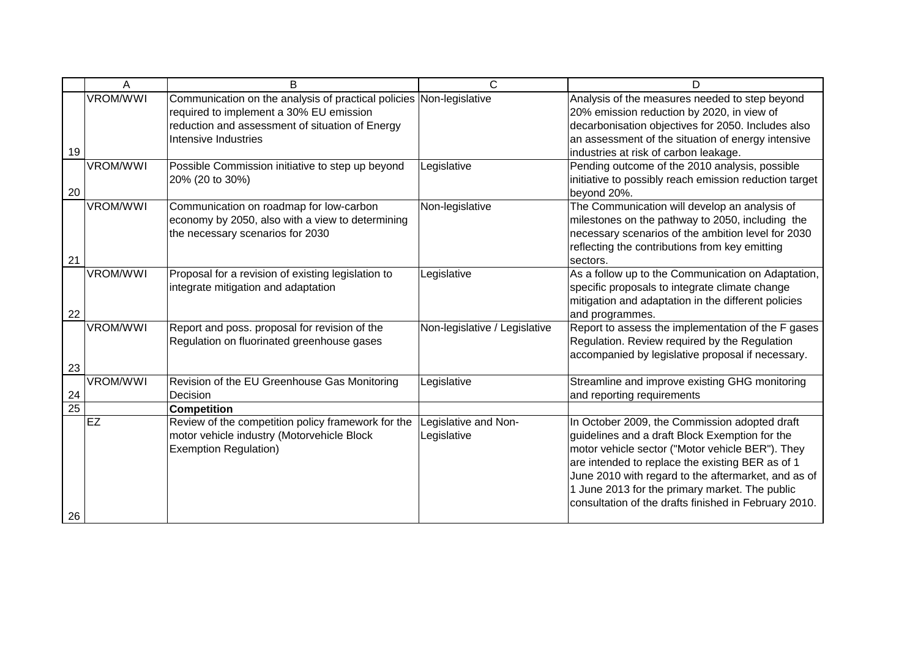|                       | Α               | B                                                                                                                                                                                         | C                                   | D                                                                                                                                                                                                                                                                                                                                                                         |
|-----------------------|-----------------|-------------------------------------------------------------------------------------------------------------------------------------------------------------------------------------------|-------------------------------------|---------------------------------------------------------------------------------------------------------------------------------------------------------------------------------------------------------------------------------------------------------------------------------------------------------------------------------------------------------------------------|
| 19                    | <b>VROM/WWI</b> | Communication on the analysis of practical policies Non-legislative<br>required to implement a 30% EU emission<br>reduction and assessment of situation of Energy<br>Intensive Industries |                                     | Analysis of the measures needed to step beyond<br>20% emission reduction by 2020, in view of<br>decarbonisation objectives for 2050. Includes also<br>an assessment of the situation of energy intensive<br>industries at risk of carbon leakage.                                                                                                                         |
| 20                    | <b>VROM/WWI</b> | Possible Commission initiative to step up beyond<br>20% (20 to 30%)                                                                                                                       | Legislative                         | Pending outcome of the 2010 analysis, possible<br>initiative to possibly reach emission reduction target<br>beyond 20%.                                                                                                                                                                                                                                                   |
| 21                    | <b>VROM/WWI</b> | Communication on roadmap for low-carbon<br>economy by 2050, also with a view to determining<br>the necessary scenarios for 2030                                                           | Non-legislative                     | The Communication will develop an analysis of<br>milestones on the pathway to 2050, including the<br>necessary scenarios of the ambition level for 2030<br>reflecting the contributions from key emitting<br>sectors.                                                                                                                                                     |
| 22                    | <b>VROM/WWI</b> | Proposal for a revision of existing legislation to<br>integrate mitigation and adaptation                                                                                                 | Legislative                         | As a follow up to the Communication on Adaptation,<br>specific proposals to integrate climate change<br>mitigation and adaptation in the different policies<br>and programmes.                                                                                                                                                                                            |
| 23                    | <b>VROM/WWI</b> | Report and poss. proposal for revision of the<br>Regulation on fluorinated greenhouse gases                                                                                               | Non-legislative / Legislative       | Report to assess the implementation of the F gases<br>Regulation. Review required by the Regulation<br>accompanied by legislative proposal if necessary.                                                                                                                                                                                                                  |
| 24<br>$\overline{25}$ | <b>VROM/WWI</b> | Revision of the EU Greenhouse Gas Monitoring<br>Decision<br><b>Competition</b>                                                                                                            | Legislative                         | Streamline and improve existing GHG monitoring<br>and reporting requirements                                                                                                                                                                                                                                                                                              |
| 26                    | <b>EZ</b>       | Review of the competition policy framework for the<br>motor vehicle industry (Motorvehicle Block<br><b>Exemption Regulation)</b>                                                          | Legislative and Non-<br>Legislative | In October 2009, the Commission adopted draft<br>guidelines and a draft Block Exemption for the<br>motor vehicle sector ("Motor vehicle BER"). They<br>are intended to replace the existing BER as of 1<br>June 2010 with regard to the aftermarket, and as of<br>1 June 2013 for the primary market. The public<br>consultation of the drafts finished in February 2010. |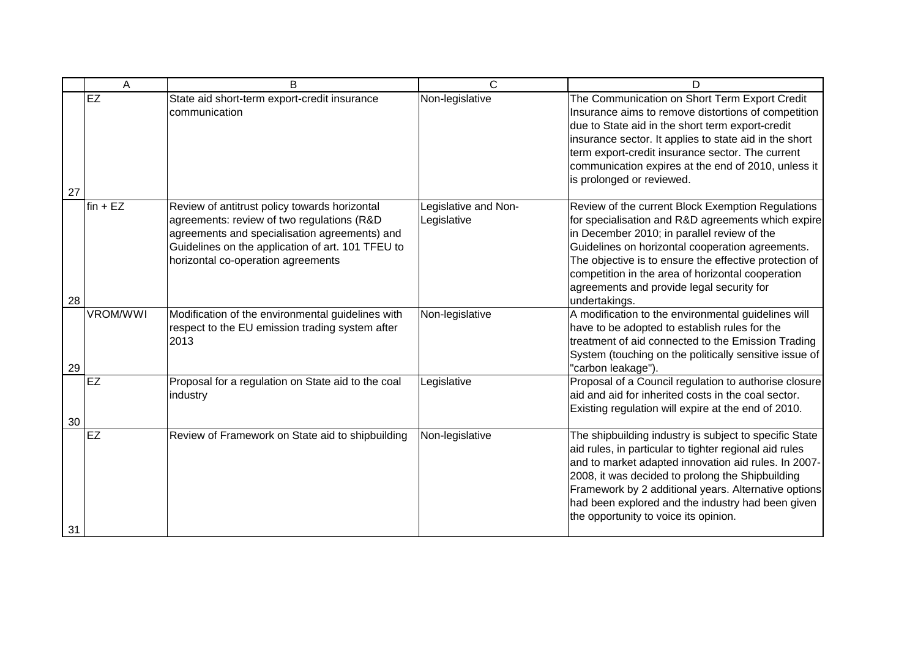|    | Α               | B                                                                                                                                                                                                                                       | C                                   | D                                                                                                                                                                                                                                                                                                                                                                                       |
|----|-----------------|-----------------------------------------------------------------------------------------------------------------------------------------------------------------------------------------------------------------------------------------|-------------------------------------|-----------------------------------------------------------------------------------------------------------------------------------------------------------------------------------------------------------------------------------------------------------------------------------------------------------------------------------------------------------------------------------------|
| 27 | EZ              | State aid short-term export-credit insurance<br>communication                                                                                                                                                                           | Non-legislative                     | The Communication on Short Term Export Credit<br>Insurance aims to remove distortions of competition<br>due to State aid in the short term export-credit<br>insurance sector. It applies to state aid in the short<br>term export-credit insurance sector. The current<br>communication expires at the end of 2010, unless it<br>is prolonged or reviewed.                              |
| 28 | $fin + EZ$      | Review of antitrust policy towards horizontal<br>agreements: review of two regulations (R&D<br>agreements and specialisation agreements) and<br>Guidelines on the application of art. 101 TFEU to<br>horizontal co-operation agreements | Legislative and Non-<br>Legislative | Review of the current Block Exemption Regulations<br>for specialisation and R&D agreements which expire<br>in December 2010; in parallel review of the<br>Guidelines on horizontal cooperation agreements.<br>The objective is to ensure the effective protection of<br>competition in the area of horizontal cooperation<br>agreements and provide legal security for<br>undertakings. |
| 29 | <b>VROM/WWI</b> | Modification of the environmental guidelines with<br>respect to the EU emission trading system after<br>2013                                                                                                                            | Non-legislative                     | A modification to the environmental guidelines will<br>have to be adopted to establish rules for the<br>treatment of aid connected to the Emission Trading<br>System (touching on the politically sensitive issue of<br>"carbon leakage").                                                                                                                                              |
| 30 | EZ              | Proposal for a regulation on State aid to the coal<br>industry                                                                                                                                                                          | Legislative                         | Proposal of a Council regulation to authorise closure<br>aid and aid for inherited costs in the coal sector.<br>Existing regulation will expire at the end of 2010.                                                                                                                                                                                                                     |
| 31 | <b>EZ</b>       | Review of Framework on State aid to shipbuilding                                                                                                                                                                                        | Non-legislative                     | The shipbuilding industry is subject to specific State<br>aid rules, in particular to tighter regional aid rules<br>and to market adapted innovation aid rules. In 2007-<br>2008, it was decided to prolong the Shipbuilding<br>Framework by 2 additional years. Alternative options<br>had been explored and the industry had been given<br>the opportunity to voice its opinion.      |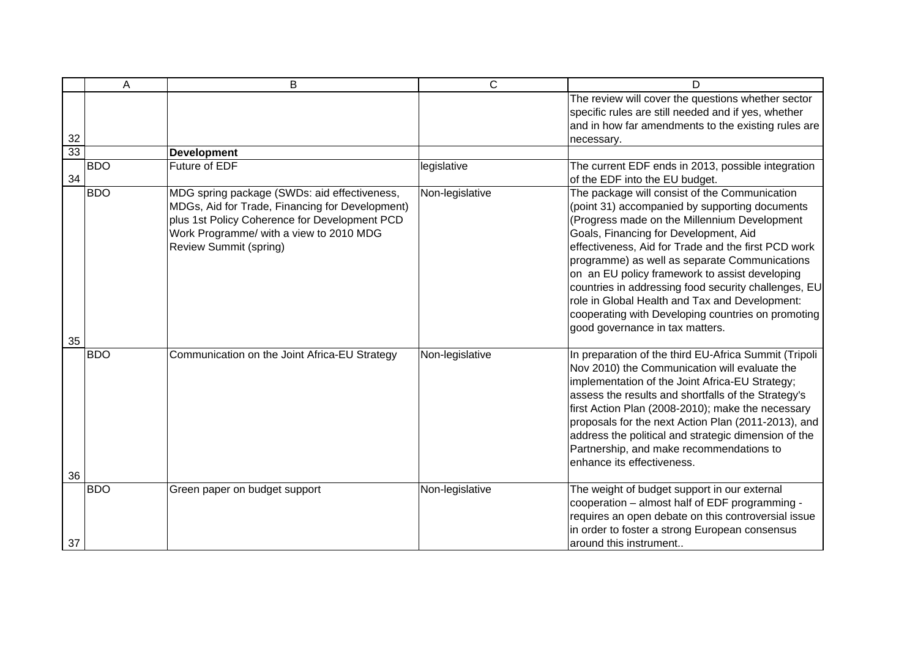|    | A          | B                                                                                                                                                                                                                            | $\mathsf{C}$    | D                                                                                                                                                                                                                                                                                                                                                                                                                                                                                                                                                     |
|----|------------|------------------------------------------------------------------------------------------------------------------------------------------------------------------------------------------------------------------------------|-----------------|-------------------------------------------------------------------------------------------------------------------------------------------------------------------------------------------------------------------------------------------------------------------------------------------------------------------------------------------------------------------------------------------------------------------------------------------------------------------------------------------------------------------------------------------------------|
| 32 |            |                                                                                                                                                                                                                              |                 | The review will cover the questions whether sector<br>specific rules are still needed and if yes, whether<br>and in how far amendments to the existing rules are<br>necessary.                                                                                                                                                                                                                                                                                                                                                                        |
| 33 |            | <b>Development</b>                                                                                                                                                                                                           |                 |                                                                                                                                                                                                                                                                                                                                                                                                                                                                                                                                                       |
| 34 | <b>BDO</b> | Future of EDF                                                                                                                                                                                                                | legislative     | The current EDF ends in 2013, possible integration<br>of the EDF into the EU budget.                                                                                                                                                                                                                                                                                                                                                                                                                                                                  |
| 35 | <b>BDO</b> | MDG spring package (SWDs: aid effectiveness,<br>MDGs, Aid for Trade, Financing for Development)<br>plus 1st Policy Coherence for Development PCD<br>Work Programme/ with a view to 2010 MDG<br><b>Review Summit (spring)</b> | Non-legislative | The package will consist of the Communication<br>(point 31) accompanied by supporting documents<br>(Progress made on the Millennium Development<br>Goals, Financing for Development, Aid<br>effectiveness, Aid for Trade and the first PCD work<br>programme) as well as separate Communications<br>on an EU policy framework to assist developing<br>countries in addressing food security challenges, EU<br>role in Global Health and Tax and Development:<br>cooperating with Developing countries on promoting<br>good governance in tax matters. |
| 36 | <b>BDO</b> | Communication on the Joint Africa-EU Strategy                                                                                                                                                                                | Non-legislative | In preparation of the third EU-Africa Summit (Tripoli<br>Nov 2010) the Communication will evaluate the<br>implementation of the Joint Africa-EU Strategy;<br>assess the results and shortfalls of the Strategy's<br>first Action Plan (2008-2010); make the necessary<br>proposals for the next Action Plan (2011-2013), and<br>address the political and strategic dimension of the<br>Partnership, and make recommendations to<br>enhance its effectiveness.                                                                                        |
| 37 | <b>BDO</b> | Green paper on budget support                                                                                                                                                                                                | Non-legislative | The weight of budget support in our external<br>cooperation - almost half of EDF programming -<br>requires an open debate on this controversial issue<br>in order to foster a strong European consensus<br>around this instrument                                                                                                                                                                                                                                                                                                                     |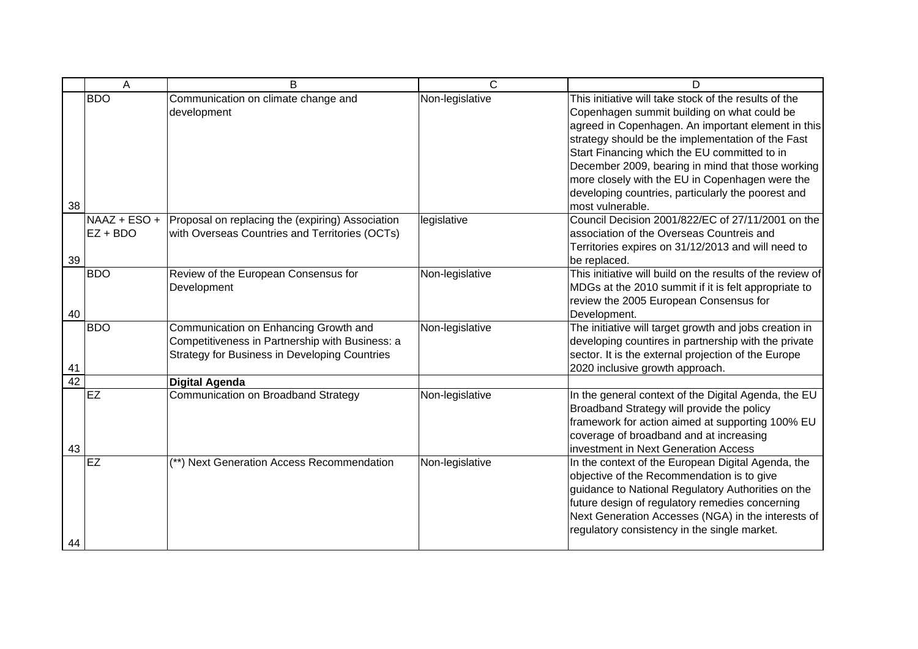|    | A                          | B                                                                                                                                                | C               | D                                                                                                                                                                                                                                                                                                                                                                                                                                                 |
|----|----------------------------|--------------------------------------------------------------------------------------------------------------------------------------------------|-----------------|---------------------------------------------------------------------------------------------------------------------------------------------------------------------------------------------------------------------------------------------------------------------------------------------------------------------------------------------------------------------------------------------------------------------------------------------------|
| 38 | <b>BDO</b>                 | Communication on climate change and<br>development                                                                                               | Non-legislative | This initiative will take stock of the results of the<br>Copenhagen summit building on what could be<br>agreed in Copenhagen. An important element in this<br>strategy should be the implementation of the Fast<br>Start Financing which the EU committed to in<br>December 2009, bearing in mind that those working<br>more closely with the EU in Copenhagen were the<br>developing countries, particularly the poorest and<br>most vulnerable. |
| 39 | NAAZ + ESO +<br>$EZ + BDO$ | Proposal on replacing the (expiring) Association<br>with Overseas Countries and Territories (OCTs)                                               | legislative     | Council Decision 2001/822/EC of 27/11/2001 on the<br>association of the Overseas Countreis and<br>Territories expires on 31/12/2013 and will need to<br>be replaced.                                                                                                                                                                                                                                                                              |
| 40 | <b>BDO</b>                 | Review of the European Consensus for<br>Development                                                                                              | Non-legislative | This initiative will build on the results of the review of<br>MDGs at the 2010 summit if it is felt appropriate to<br>review the 2005 European Consensus for<br>Development.                                                                                                                                                                                                                                                                      |
| 41 | <b>BDO</b>                 | Communication on Enhancing Growth and<br>Competitiveness in Partnership with Business: a<br><b>Strategy for Business in Developing Countries</b> | Non-legislative | The initiative will target growth and jobs creation in<br>developing countires in partnership with the private<br>sector. It is the external projection of the Europe<br>2020 inclusive growth approach.                                                                                                                                                                                                                                          |
| 42 |                            | <b>Digital Agenda</b>                                                                                                                            |                 |                                                                                                                                                                                                                                                                                                                                                                                                                                                   |
| 43 | <b>EZ</b>                  | Communication on Broadband Strategy                                                                                                              | Non-legislative | In the general context of the Digital Agenda, the EU<br>Broadband Strategy will provide the policy<br>framework for action aimed at supporting 100% EU<br>coverage of broadband and at increasing<br>investment in Next Generation Access                                                                                                                                                                                                         |
| 44 | <b>EZ</b>                  | (**) Next Generation Access Recommendation                                                                                                       | Non-legislative | In the context of the European Digital Agenda, the<br>objective of the Recommendation is to give<br>guidance to National Regulatory Authorities on the<br>future design of regulatory remedies concerning<br>Next Generation Accesses (NGA) in the interests of<br>regulatory consistency in the single market.                                                                                                                                   |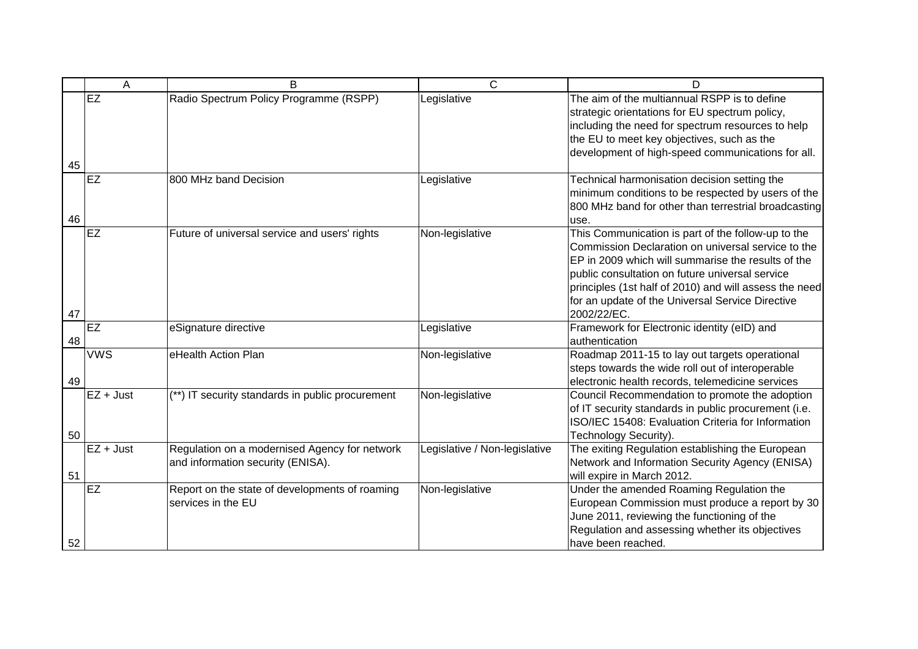|    | A           | B                                                                                  | $\mathsf{C}$                  | D                                                                                                                                                                                                                                                                                                                                              |
|----|-------------|------------------------------------------------------------------------------------|-------------------------------|------------------------------------------------------------------------------------------------------------------------------------------------------------------------------------------------------------------------------------------------------------------------------------------------------------------------------------------------|
| 45 | EZ          | Radio Spectrum Policy Programme (RSPP)                                             | Legislative                   | The aim of the multiannual RSPP is to define<br>strategic orientations for EU spectrum policy,<br>including the need for spectrum resources to help<br>the EU to meet key objectives, such as the<br>development of high-speed communications for all.                                                                                         |
| 46 | EZ          | 800 MHz band Decision                                                              | Legislative                   | Technical harmonisation decision setting the<br>minimum conditions to be respected by users of the<br>800 MHz band for other than terrestrial broadcasting<br>use.                                                                                                                                                                             |
| 47 | <b>EZ</b>   | Future of universal service and users' rights                                      | Non-legislative               | This Communication is part of the follow-up to the<br>Commission Declaration on universal service to the<br>EP in 2009 which will summarise the results of the<br>public consultation on future universal service<br>principles (1st half of 2010) and will assess the need<br>for an update of the Universal Service Directive<br>2002/22/EC. |
| 48 | EZ          | eSignature directive                                                               | Legislative                   | Framework for Electronic identity (eID) and<br>authentication                                                                                                                                                                                                                                                                                  |
| 49 | <b>VWS</b>  | eHealth Action Plan                                                                | Non-legislative               | Roadmap 2011-15 to lay out targets operational<br>steps towards the wide roll out of interoperable<br>electronic health records, telemedicine services                                                                                                                                                                                         |
| 50 | $EZ + Just$ | (**) IT security standards in public procurement                                   | Non-legislative               | Council Recommendation to promote the adoption<br>of IT security standards in public procurement (i.e.<br>ISO/IEC 15408: Evaluation Criteria for Information<br>Technology Security).                                                                                                                                                          |
| 51 | $EZ + Just$ | Regulation on a modernised Agency for network<br>and information security (ENISA). | Legislative / Non-legislative | The exiting Regulation establishing the European<br>Network and Information Security Agency (ENISA)<br>will expire in March 2012.                                                                                                                                                                                                              |
| 52 | <b>EZ</b>   | Report on the state of developments of roaming<br>services in the EU               | Non-legislative               | Under the amended Roaming Regulation the<br>European Commission must produce a report by 30<br>June 2011, reviewing the functioning of the<br>Regulation and assessing whether its objectives<br>have been reached.                                                                                                                            |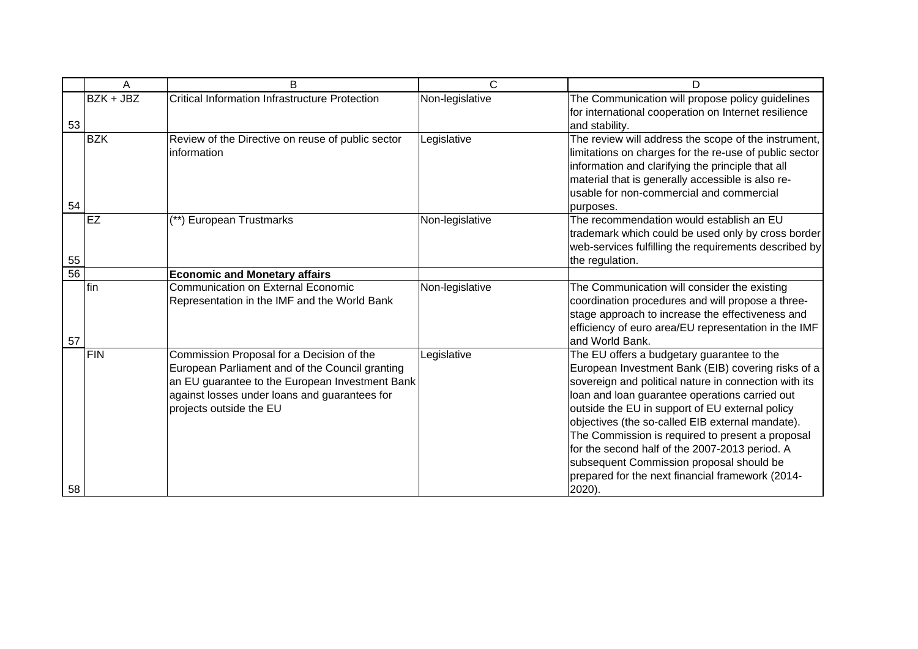|    | Α            | B                                                                                                                                                                                                                           | C               | D                                                                                                                                                                                                                                                                                                                                                                                                                                                                                                                                  |
|----|--------------|-----------------------------------------------------------------------------------------------------------------------------------------------------------------------------------------------------------------------------|-----------------|------------------------------------------------------------------------------------------------------------------------------------------------------------------------------------------------------------------------------------------------------------------------------------------------------------------------------------------------------------------------------------------------------------------------------------------------------------------------------------------------------------------------------------|
| 53 | BZK + JBZ    | <b>Critical Information Infrastructure Protection</b>                                                                                                                                                                       | Non-legislative | The Communication will propose policy guidelines<br>for international cooperation on Internet resilience<br>and stability.                                                                                                                                                                                                                                                                                                                                                                                                         |
| 54 | <b>BZK</b>   | Review of the Directive on reuse of public sector<br>information                                                                                                                                                            | Legislative     | The review will address the scope of the instrument,<br>limitations on charges for the re-use of public sector<br>information and clarifying the principle that all<br>material that is generally accessible is also re-<br>usable for non-commercial and commercial<br>purposes.                                                                                                                                                                                                                                                  |
| 55 | <b>EZ</b>    | (**) European Trustmarks                                                                                                                                                                                                    | Non-legislative | The recommendation would establish an EU<br>trademark which could be used only by cross border<br>web-services fulfilling the requirements described by<br>the regulation.                                                                                                                                                                                                                                                                                                                                                         |
| 56 |              | <b>Economic and Monetary affairs</b>                                                                                                                                                                                        |                 |                                                                                                                                                                                                                                                                                                                                                                                                                                                                                                                                    |
| 57 | <b>I</b> fin | <b>Communication on External Economic</b><br>Representation in the IMF and the World Bank                                                                                                                                   | Non-legislative | The Communication will consider the existing<br>coordination procedures and will propose a three-<br>stage approach to increase the effectiveness and<br>efficiency of euro area/EU representation in the IMF<br>and World Bank.                                                                                                                                                                                                                                                                                                   |
| 58 | <b>FIN</b>   | Commission Proposal for a Decision of the<br>European Parliament and of the Council granting<br>an EU guarantee to the European Investment Bank<br>against losses under loans and guarantees for<br>projects outside the EU | Legislative     | The EU offers a budgetary guarantee to the<br>European Investment Bank (EIB) covering risks of a<br>sovereign and political nature in connection with its<br>loan and loan guarantee operations carried out<br>outside the EU in support of EU external policy<br>objectives (the so-called EIB external mandate).<br>The Commission is required to present a proposal<br>for the second half of the 2007-2013 period. A<br>subsequent Commission proposal should be<br>prepared for the next financial framework (2014-<br>2020). |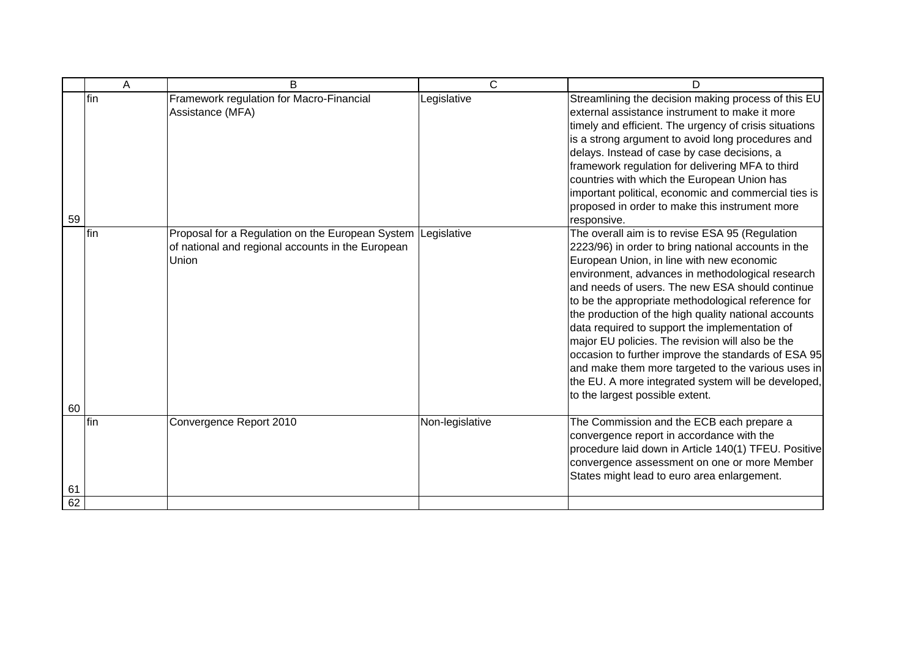|    | A    | B                                                                                                                          | C               | D                                                                                                                                                                                                                                                                                                                                                                                                                                                                                                                                                                                                                                                                                     |
|----|------|----------------------------------------------------------------------------------------------------------------------------|-----------------|---------------------------------------------------------------------------------------------------------------------------------------------------------------------------------------------------------------------------------------------------------------------------------------------------------------------------------------------------------------------------------------------------------------------------------------------------------------------------------------------------------------------------------------------------------------------------------------------------------------------------------------------------------------------------------------|
| 59 | lfin | Framework regulation for Macro-Financial<br>Assistance (MFA)                                                               | Legislative     | Streamlining the decision making process of this EU<br>external assistance instrument to make it more<br>timely and efficient. The urgency of crisis situations<br>is a strong argument to avoid long procedures and<br>delays. Instead of case by case decisions, a<br>framework regulation for delivering MFA to third<br>countries with which the European Union has<br>important political, economic and commercial ties is<br>proposed in order to make this instrument more<br>responsive.                                                                                                                                                                                      |
| 60 | fin  | Proposal for a Regulation on the European System Legislative<br>of national and regional accounts in the European<br>Union |                 | The overall aim is to revise ESA 95 (Regulation<br>2223/96) in order to bring national accounts in the<br>European Union, in line with new economic<br>environment, advances in methodological research<br>and needs of users. The new ESA should continue<br>to be the appropriate methodological reference for<br>the production of the high quality national accounts<br>data required to support the implementation of<br>major EU policies. The revision will also be the<br>occasion to further improve the standards of ESA 95<br>and make them more targeted to the various uses in<br>the EU. A more integrated system will be developed,<br>to the largest possible extent. |
| 61 | fin  | Convergence Report 2010                                                                                                    | Non-legislative | The Commission and the ECB each prepare a<br>convergence report in accordance with the<br>procedure laid down in Article 140(1) TFEU. Positive<br>convergence assessment on one or more Member<br>States might lead to euro area enlargement.                                                                                                                                                                                                                                                                                                                                                                                                                                         |
| 62 |      |                                                                                                                            |                 |                                                                                                                                                                                                                                                                                                                                                                                                                                                                                                                                                                                                                                                                                       |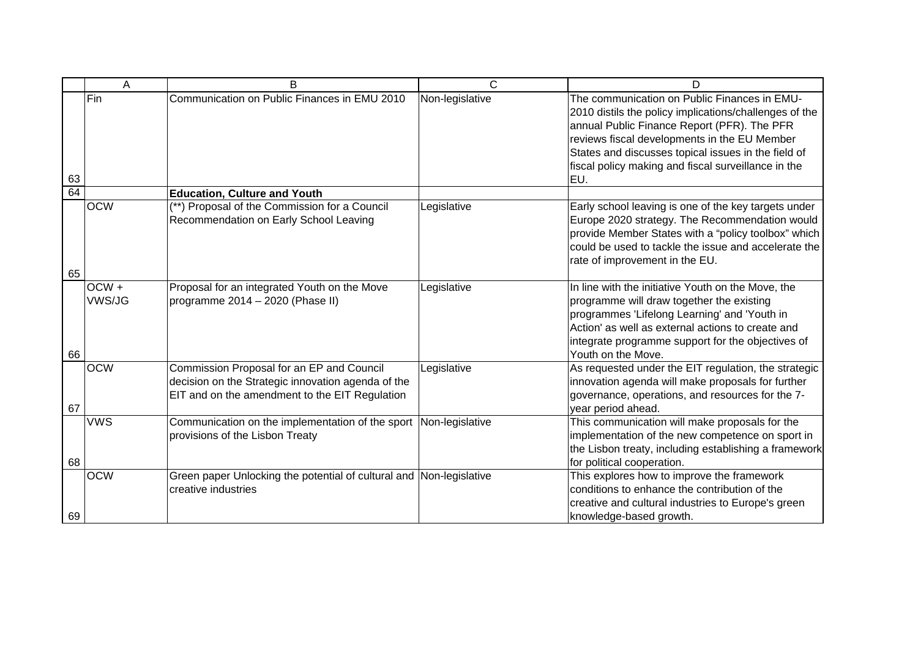|    | A          | B                                                                                                                                                 | C               | D                                                                                                                                                                                                                                                                                                                          |
|----|------------|---------------------------------------------------------------------------------------------------------------------------------------------------|-----------------|----------------------------------------------------------------------------------------------------------------------------------------------------------------------------------------------------------------------------------------------------------------------------------------------------------------------------|
| 63 | Fin        | Communication on Public Finances in EMU 2010                                                                                                      | Non-legislative | The communication on Public Finances in EMU-<br>2010 distils the policy implications/challenges of the<br>annual Public Finance Report (PFR). The PFR<br>reviews fiscal developments in the EU Member<br>States and discusses topical issues in the field of<br>fiscal policy making and fiscal surveillance in the<br>EU. |
| 64 |            | <b>Education, Culture and Youth</b>                                                                                                               |                 |                                                                                                                                                                                                                                                                                                                            |
| 65 | <b>OCW</b> | (**) Proposal of the Commission for a Council<br>Recommendation on Early School Leaving                                                           | Legislative     | Early school leaving is one of the key targets under<br>Europe 2020 strategy. The Recommendation would<br>provide Member States with a "policy toolbox" which<br>could be used to tackle the issue and accelerate the<br>rate of improvement in the EU.                                                                    |
|    | OCW+       | Proposal for an integrated Youth on the Move                                                                                                      | Legislative     | In line with the initiative Youth on the Move, the                                                                                                                                                                                                                                                                         |
| 66 | VWS/JG     | programme 2014 - 2020 (Phase II)                                                                                                                  |                 | programme will draw together the existing<br>programmes 'Lifelong Learning' and 'Youth in<br>Action' as well as external actions to create and<br>integrate programme support for the objectives of<br>Youth on the Move.                                                                                                  |
| 67 | <b>OCW</b> | Commission Proposal for an EP and Council<br>decision on the Strategic innovation agenda of the<br>EIT and on the amendment to the EIT Regulation | Legislative     | As requested under the EIT regulation, the strategic<br>innovation agenda will make proposals for further<br>governance, operations, and resources for the 7-<br>year period ahead.                                                                                                                                        |
| 68 | <b>VWS</b> | Communication on the implementation of the sport<br>provisions of the Lisbon Treaty                                                               | Non-legislative | This communication will make proposals for the<br>implementation of the new competence on sport in<br>the Lisbon treaty, including establishing a framework<br>for political cooperation.                                                                                                                                  |
| 69 | <b>OCW</b> | Green paper Unlocking the potential of cultural and Non-legislative<br>creative industries                                                        |                 | This explores how to improve the framework<br>conditions to enhance the contribution of the<br>creative and cultural industries to Europe's green<br>knowledge-based growth.                                                                                                                                               |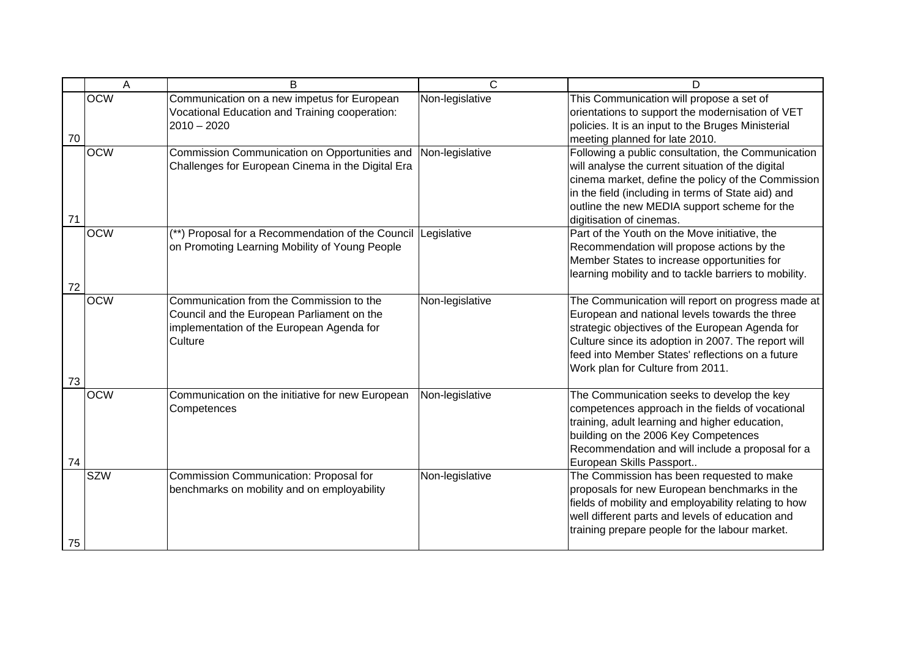|    | A          | B                                                                                                                                              | C               | D                                                                                                                                                                                                                                                                                                     |
|----|------------|------------------------------------------------------------------------------------------------------------------------------------------------|-----------------|-------------------------------------------------------------------------------------------------------------------------------------------------------------------------------------------------------------------------------------------------------------------------------------------------------|
| 70 | <b>OCW</b> | Communication on a new impetus for European<br>Vocational Education and Training cooperation:<br>$2010 - 2020$                                 | Non-legislative | This Communication will propose a set of<br>orientations to support the modernisation of VET<br>policies. It is an input to the Bruges Ministerial<br>meeting planned for late 2010.                                                                                                                  |
| 71 | <b>OCW</b> | Commission Communication on Opportunities and<br>Challenges for European Cinema in the Digital Era                                             | Non-legislative | Following a public consultation, the Communication<br>will analyse the current situation of the digital<br>cinema market, define the policy of the Commission<br>in the field (including in terms of State aid) and<br>outline the new MEDIA support scheme for the<br>digitisation of cinemas.       |
| 72 | <b>OCW</b> | (**) Proposal for a Recommendation of the Council Legislative<br>on Promoting Learning Mobility of Young People                                |                 | Part of the Youth on the Move initiative, the<br>Recommendation will propose actions by the<br>Member States to increase opportunities for<br>learning mobility and to tackle barriers to mobility.                                                                                                   |
| 73 | <b>OCW</b> | Communication from the Commission to the<br>Council and the European Parliament on the<br>implementation of the European Agenda for<br>Culture | Non-legislative | The Communication will report on progress made at<br>European and national levels towards the three<br>strategic objectives of the European Agenda for<br>Culture since its adoption in 2007. The report will<br>feed into Member States' reflections on a future<br>Work plan for Culture from 2011. |
| 74 | <b>OCW</b> | Communication on the initiative for new European<br>Competences                                                                                | Non-legislative | The Communication seeks to develop the key<br>competences approach in the fields of vocational<br>training, adult learning and higher education,<br>building on the 2006 Key Competences<br>Recommendation and will include a proposal for a<br>European Skills Passport                              |
| 75 | <b>SZW</b> | Commission Communication: Proposal for<br>benchmarks on mobility and on employability                                                          | Non-legislative | The Commission has been requested to make<br>proposals for new European benchmarks in the<br>fields of mobility and employability relating to how<br>well different parts and levels of education and<br>training prepare people for the labour market.                                               |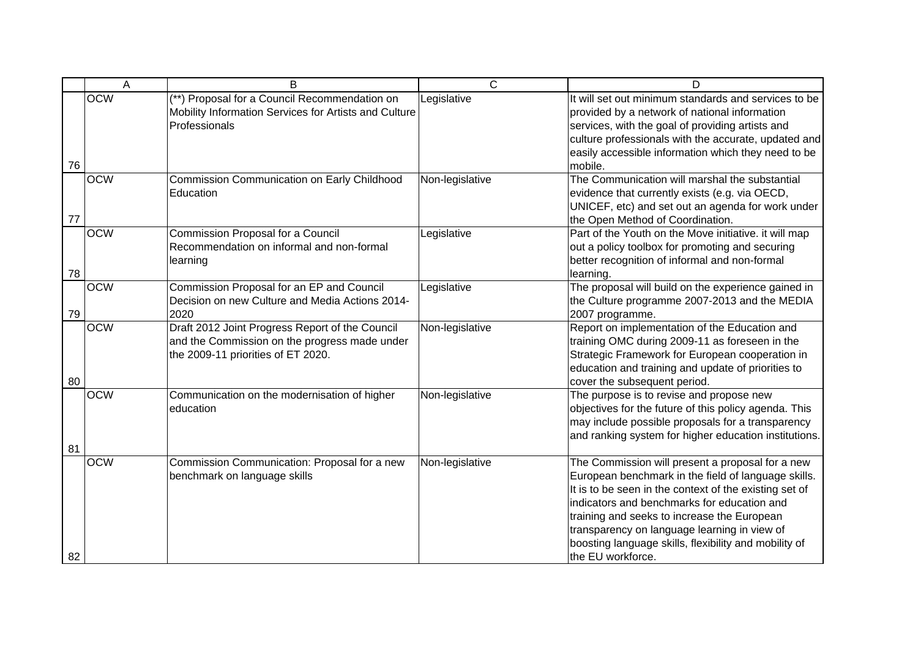|    | A          | B                                                                                                                                      | $\mathsf{C}$    | D                                                                                                                                                                                                                                                                                                                                                                                             |
|----|------------|----------------------------------------------------------------------------------------------------------------------------------------|-----------------|-----------------------------------------------------------------------------------------------------------------------------------------------------------------------------------------------------------------------------------------------------------------------------------------------------------------------------------------------------------------------------------------------|
| 76 | <b>OCW</b> | (**) Proposal for a Council Recommendation on<br>Mobility Information Services for Artists and Culture<br>Professionals                | Legislative     | It will set out minimum standards and services to be<br>provided by a network of national information<br>services, with the goal of providing artists and<br>culture professionals with the accurate, updated and<br>easily accessible information which they need to be<br>mobile.                                                                                                           |
| 77 | <b>OCW</b> | Commission Communication on Early Childhood<br>Education                                                                               | Non-legislative | The Communication will marshal the substantial<br>evidence that currently exists (e.g. via OECD,<br>UNICEF, etc) and set out an agenda for work under<br>the Open Method of Coordination.                                                                                                                                                                                                     |
| 78 | <b>OCW</b> | Commission Proposal for a Council<br>Recommendation on informal and non-formal<br>learning                                             | Legislative     | Part of the Youth on the Move initiative. it will map<br>out a policy toolbox for promoting and securing<br>better recognition of informal and non-formal<br>learning.                                                                                                                                                                                                                        |
| 79 | <b>OCW</b> | Commission Proposal for an EP and Council<br>Decision on new Culture and Media Actions 2014-<br>2020                                   | Legislative     | The proposal will build on the experience gained in<br>the Culture programme 2007-2013 and the MEDIA<br>2007 programme.                                                                                                                                                                                                                                                                       |
| 80 | <b>OCW</b> | Draft 2012 Joint Progress Report of the Council<br>and the Commission on the progress made under<br>the 2009-11 priorities of ET 2020. | Non-legislative | Report on implementation of the Education and<br>training OMC during 2009-11 as foreseen in the<br>Strategic Framework for European cooperation in<br>education and training and update of priorities to<br>cover the subsequent period.                                                                                                                                                      |
| 81 | <b>OCW</b> | Communication on the modernisation of higher<br>education                                                                              | Non-legislative | The purpose is to revise and propose new<br>objectives for the future of this policy agenda. This<br>may include possible proposals for a transparency<br>and ranking system for higher education institutions.                                                                                                                                                                               |
| 82 | <b>OCW</b> | Commission Communication: Proposal for a new<br>benchmark on language skills                                                           | Non-legislative | The Commission will present a proposal for a new<br>European benchmark in the field of language skills.<br>It is to be seen in the context of the existing set of<br>indicators and benchmarks for education and<br>training and seeks to increase the European<br>transparency on language learning in view of<br>boosting language skills, flexibility and mobility of<br>the EU workforce. |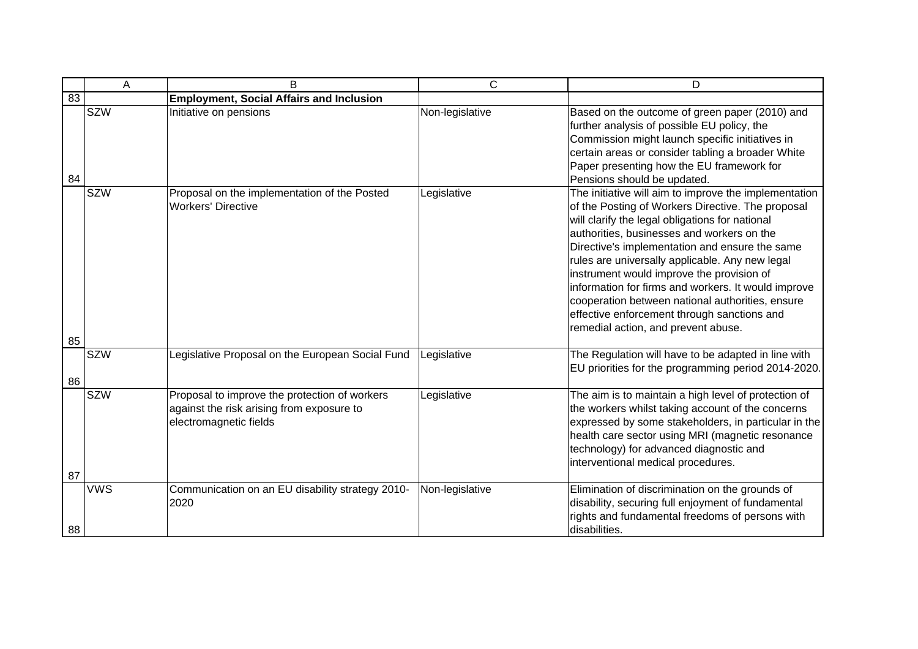|    | A          | B                                                                                                                    | $\mathsf{C}$    | D                                                                                                                                                                                                                                                                                                                                                                                                                                                                                                                                                              |
|----|------------|----------------------------------------------------------------------------------------------------------------------|-----------------|----------------------------------------------------------------------------------------------------------------------------------------------------------------------------------------------------------------------------------------------------------------------------------------------------------------------------------------------------------------------------------------------------------------------------------------------------------------------------------------------------------------------------------------------------------------|
| 83 |            | <b>Employment, Social Affairs and Inclusion</b>                                                                      |                 |                                                                                                                                                                                                                                                                                                                                                                                                                                                                                                                                                                |
| 84 | <b>SZW</b> | Initiative on pensions                                                                                               | Non-legislative | Based on the outcome of green paper (2010) and<br>further analysis of possible EU policy, the<br>Commission might launch specific initiatives in<br>certain areas or consider tabling a broader White<br>Paper presenting how the EU framework for<br>Pensions should be updated.                                                                                                                                                                                                                                                                              |
|    | <b>SZW</b> | Proposal on the implementation of the Posted<br><b>Workers' Directive</b>                                            | Legislative     | The initiative will aim to improve the implementation<br>of the Posting of Workers Directive. The proposal<br>will clarify the legal obligations for national<br>authorities, businesses and workers on the<br>Directive's implementation and ensure the same<br>rules are universally applicable. Any new legal<br>instrument would improve the provision of<br>information for firms and workers. It would improve<br>cooperation between national authorities, ensure<br>effective enforcement through sanctions and<br>remedial action, and prevent abuse. |
| 85 |            |                                                                                                                      |                 |                                                                                                                                                                                                                                                                                                                                                                                                                                                                                                                                                                |
| 86 | <b>SZW</b> | Legislative Proposal on the European Social Fund                                                                     | Legislative     | The Regulation will have to be adapted in line with<br>EU priorities for the programming period 2014-2020.                                                                                                                                                                                                                                                                                                                                                                                                                                                     |
|    | <b>SZW</b> | Proposal to improve the protection of workers<br>against the risk arising from exposure to<br>electromagnetic fields | Legislative     | The aim is to maintain a high level of protection of<br>the workers whilst taking account of the concerns<br>expressed by some stakeholders, in particular in the<br>health care sector using MRI (magnetic resonance<br>technology) for advanced diagnostic and<br>interventional medical procedures.                                                                                                                                                                                                                                                         |
| 87 |            |                                                                                                                      |                 |                                                                                                                                                                                                                                                                                                                                                                                                                                                                                                                                                                |
| 88 | <b>VWS</b> | Communication on an EU disability strategy 2010-<br>2020                                                             | Non-legislative | Elimination of discrimination on the grounds of<br>disability, securing full enjoyment of fundamental<br>rights and fundamental freedoms of persons with<br>disabilities.                                                                                                                                                                                                                                                                                                                                                                                      |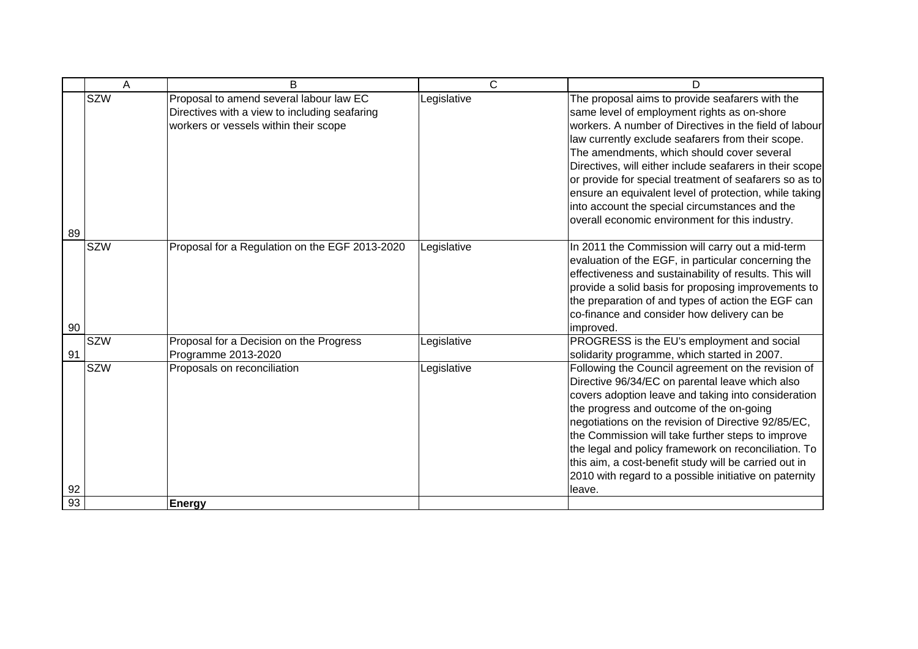|          | A          | B                                                                                                                                 | $\mathsf{C}$ | D                                                                                                                                                                                                                                                                                                                                                                                                                                                                                                                                                |
|----------|------------|-----------------------------------------------------------------------------------------------------------------------------------|--------------|--------------------------------------------------------------------------------------------------------------------------------------------------------------------------------------------------------------------------------------------------------------------------------------------------------------------------------------------------------------------------------------------------------------------------------------------------------------------------------------------------------------------------------------------------|
| 89       | <b>SZW</b> | Proposal to amend several labour law EC<br>Directives with a view to including seafaring<br>workers or vessels within their scope | Legislative  | The proposal aims to provide seafarers with the<br>same level of employment rights as on-shore<br>workers. A number of Directives in the field of labour<br>law currently exclude seafarers from their scope.<br>The amendments, which should cover several<br>Directives, will either include seafarers in their scope<br>or provide for special treatment of seafarers so as to<br>ensure an equivalent level of protection, while taking<br>into account the special circumstances and the<br>overall economic environment for this industry. |
|          | <b>SZW</b> | Proposal for a Regulation on the EGF 2013-2020                                                                                    | Legislative  | In 2011 the Commission will carry out a mid-term                                                                                                                                                                                                                                                                                                                                                                                                                                                                                                 |
| 90       |            |                                                                                                                                   |              | evaluation of the EGF, in particular concerning the<br>effectiveness and sustainability of results. This will<br>provide a solid basis for proposing improvements to<br>the preparation of and types of action the EGF can<br>co-finance and consider how delivery can be<br>improved.                                                                                                                                                                                                                                                           |
| 91       | <b>SZW</b> | Proposal for a Decision on the Progress<br>Programme 2013-2020                                                                    | Legislative  | PROGRESS is the EU's employment and social<br>solidarity programme, which started in 2007.                                                                                                                                                                                                                                                                                                                                                                                                                                                       |
|          | <b>SZW</b> | Proposals on reconciliation                                                                                                       | Legislative  | Following the Council agreement on the revision of<br>Directive 96/34/EC on parental leave which also<br>covers adoption leave and taking into consideration<br>the progress and outcome of the on-going<br>negotiations on the revision of Directive 92/85/EC,<br>the Commission will take further steps to improve<br>the legal and policy framework on reconciliation. To<br>this aim, a cost-benefit study will be carried out in<br>2010 with regard to a possible initiative on paternity                                                  |
| 92<br>93 |            |                                                                                                                                   |              | leave.                                                                                                                                                                                                                                                                                                                                                                                                                                                                                                                                           |
|          |            | <b>Energy</b>                                                                                                                     |              |                                                                                                                                                                                                                                                                                                                                                                                                                                                                                                                                                  |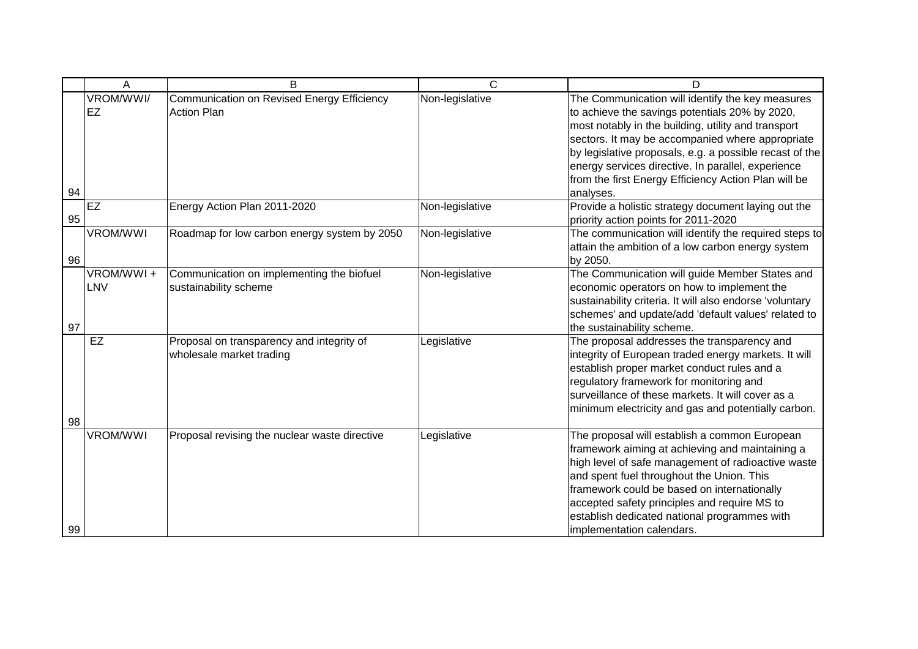|    | Α                | B                                                                     | C               | D                                                                                                                                                                                                                                                                                                                                                                                                   |
|----|------------------|-----------------------------------------------------------------------|-----------------|-----------------------------------------------------------------------------------------------------------------------------------------------------------------------------------------------------------------------------------------------------------------------------------------------------------------------------------------------------------------------------------------------------|
| 94 | VROM/WWI/<br>EZ  | Communication on Revised Energy Efficiency<br><b>Action Plan</b>      | Non-legislative | The Communication will identify the key measures<br>to achieve the savings potentials 20% by 2020,<br>most notably in the building, utility and transport<br>sectors. It may be accompanied where appropriate<br>by legislative proposals, e.g. a possible recast of the<br>energy services directive. In parallel, experience<br>from the first Energy Efficiency Action Plan will be<br>analyses. |
| 95 | EZ               | Energy Action Plan 2011-2020                                          | Non-legislative | Provide a holistic strategy document laying out the<br>priority action points for 2011-2020                                                                                                                                                                                                                                                                                                         |
| 96 | <b>VROM/WWI</b>  | Roadmap for low carbon energy system by 2050                          | Non-legislative | The communication will identify the required steps to<br>attain the ambition of a low carbon energy system<br>by 2050.                                                                                                                                                                                                                                                                              |
| 97 | VROM/WWI+<br>LNV | Communication on implementing the biofuel<br>sustainability scheme    | Non-legislative | The Communication will guide Member States and<br>economic operators on how to implement the<br>sustainability criteria. It will also endorse 'voluntary<br>schemes' and update/add 'default values' related to<br>the sustainability scheme.                                                                                                                                                       |
| 98 | EZ               | Proposal on transparency and integrity of<br>wholesale market trading | Legislative     | The proposal addresses the transparency and<br>integrity of European traded energy markets. It will<br>establish proper market conduct rules and a<br>regulatory framework for monitoring and<br>surveillance of these markets. It will cover as a<br>minimum electricity and gas and potentially carbon.                                                                                           |
| 99 | <b>VROM/WWI</b>  | Proposal revising the nuclear waste directive                         | Legislative     | The proposal will establish a common European<br>framework aiming at achieving and maintaining a<br>high level of safe management of radioactive waste<br>and spent fuel throughout the Union. This<br>framework could be based on internationally<br>accepted safety principles and require MS to<br>establish dedicated national programmes with<br>implementation calendars.                     |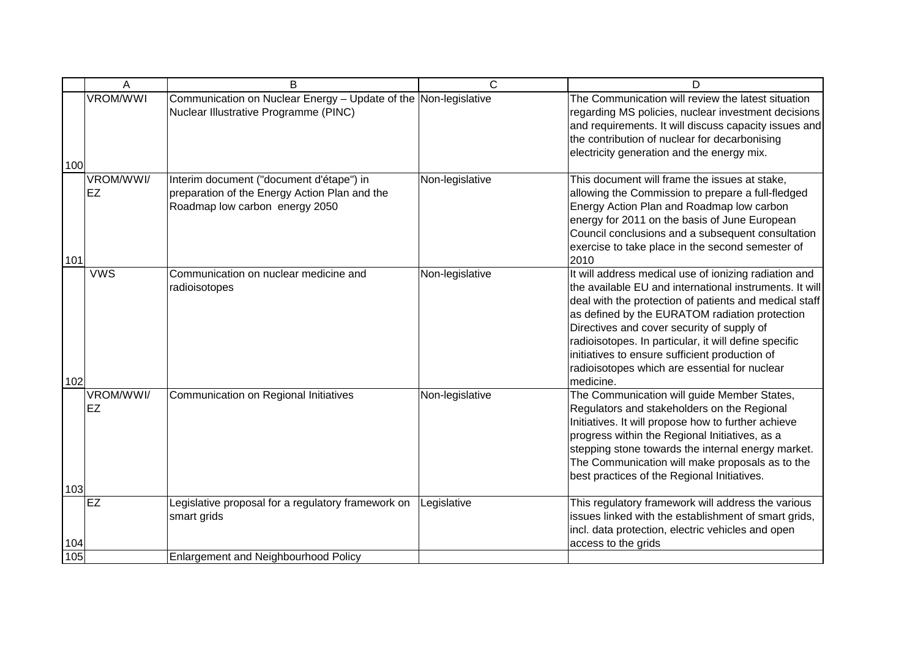|            | A               | B                                                                                                                           | C               | D                                                                                                                                                                                                                                                                                                                                                                                                                                                   |
|------------|-----------------|-----------------------------------------------------------------------------------------------------------------------------|-----------------|-----------------------------------------------------------------------------------------------------------------------------------------------------------------------------------------------------------------------------------------------------------------------------------------------------------------------------------------------------------------------------------------------------------------------------------------------------|
| 100        | <b>VROM/WWI</b> | Communication on Nuclear Energy - Update of the Non-legislative<br>Nuclear Illustrative Programme (PINC)                    |                 | The Communication will review the latest situation<br>regarding MS policies, nuclear investment decisions<br>and requirements. It will discuss capacity issues and<br>the contribution of nuclear for decarbonising<br>electricity generation and the energy mix.                                                                                                                                                                                   |
| 101        | VROM/WWI/<br>EZ | Interim document ("document d'étape") in<br>preparation of the Energy Action Plan and the<br>Roadmap low carbon energy 2050 | Non-legislative | This document will frame the issues at stake,<br>allowing the Commission to prepare a full-fledged<br>Energy Action Plan and Roadmap low carbon<br>energy for 2011 on the basis of June European<br>Council conclusions and a subsequent consultation<br>exercise to take place in the second semester of<br>2010                                                                                                                                   |
| 102        | <b>VWS</b>      | Communication on nuclear medicine and<br>radioisotopes                                                                      | Non-legislative | It will address medical use of ionizing radiation and<br>the available EU and international instruments. It will<br>deal with the protection of patients and medical staff<br>as defined by the EURATOM radiation protection<br>Directives and cover security of supply of<br>radioisotopes. In particular, it will define specific<br>initiatives to ensure sufficient production of<br>radioisotopes which are essential for nuclear<br>medicine. |
| 103        | VROM/WWI/<br>EZ | Communication on Regional Initiatives                                                                                       | Non-legislative | The Communication will guide Member States,<br>Regulators and stakeholders on the Regional<br>Initiatives. It will propose how to further achieve<br>progress within the Regional Initiatives, as a<br>stepping stone towards the internal energy market.<br>The Communication will make proposals as to the<br>best practices of the Regional Initiatives.                                                                                         |
|            | <b>EZ</b>       | Legislative proposal for a regulatory framework on<br>smart grids                                                           | Legislative     | This regulatory framework will address the various<br>issues linked with the establishment of smart grids,<br>incl. data protection, electric vehicles and open                                                                                                                                                                                                                                                                                     |
| 104<br>105 |                 | Enlargement and Neighbourhood Policy                                                                                        |                 | access to the grids                                                                                                                                                                                                                                                                                                                                                                                                                                 |
|            |                 |                                                                                                                             |                 |                                                                                                                                                                                                                                                                                                                                                                                                                                                     |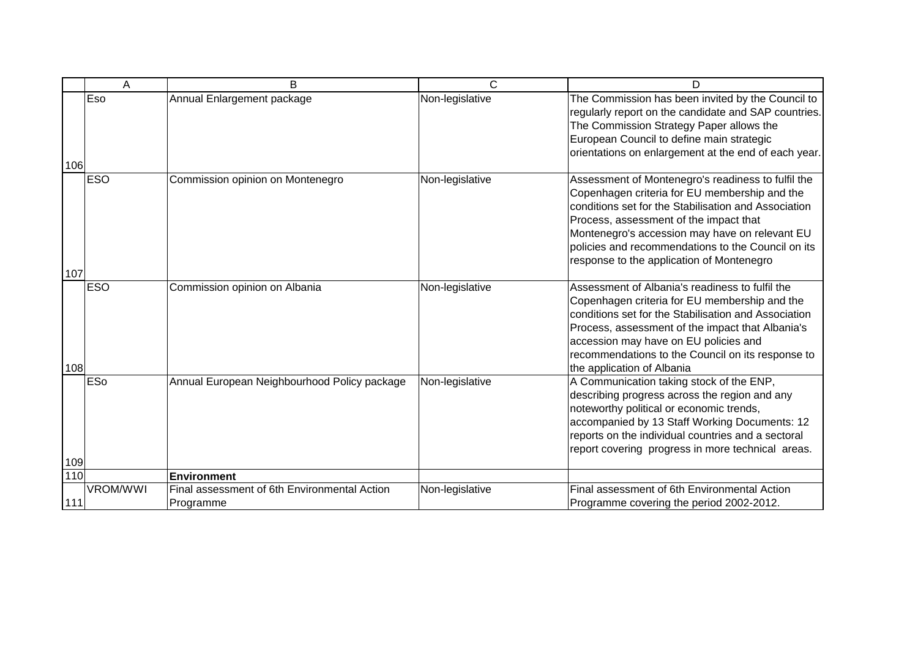|     | A               | B                                                         | C               | D                                                                                                                                                                                                                                                                                                                                                          |
|-----|-----------------|-----------------------------------------------------------|-----------------|------------------------------------------------------------------------------------------------------------------------------------------------------------------------------------------------------------------------------------------------------------------------------------------------------------------------------------------------------------|
| 106 | Eso             | Annual Enlargement package                                | Non-legislative | The Commission has been invited by the Council to<br>regularly report on the candidate and SAP countries.<br>The Commission Strategy Paper allows the<br>European Council to define main strategic<br>orientations on enlargement at the end of each year.                                                                                                 |
| 107 | <b>ESO</b>      | Commission opinion on Montenegro                          | Non-legislative | Assessment of Montenegro's readiness to fulfil the<br>Copenhagen criteria for EU membership and the<br>conditions set for the Stabilisation and Association<br>Process, assessment of the impact that<br>Montenegro's accession may have on relevant EU<br>policies and recommendations to the Council on its<br>response to the application of Montenegro |
| 108 | <b>ESO</b>      | Commission opinion on Albania                             | Non-legislative | Assessment of Albania's readiness to fulfil the<br>Copenhagen criteria for EU membership and the<br>conditions set for the Stabilisation and Association<br>Process, assessment of the impact that Albania's<br>accession may have on EU policies and<br>recommendations to the Council on its response to<br>the application of Albania                   |
| 109 | ESo             | Annual European Neighbourhood Policy package              | Non-legislative | A Communication taking stock of the ENP,<br>describing progress across the region and any<br>noteworthy political or economic trends,<br>accompanied by 13 Staff Working Documents: 12<br>reports on the individual countries and a sectoral<br>report covering progress in more technical areas.                                                          |
| 110 |                 | <b>Environment</b>                                        |                 |                                                                                                                                                                                                                                                                                                                                                            |
| 111 | <b>VROM/WWI</b> | Final assessment of 6th Environmental Action<br>Programme | Non-legislative | Final assessment of 6th Environmental Action<br>Programme covering the period 2002-2012.                                                                                                                                                                                                                                                                   |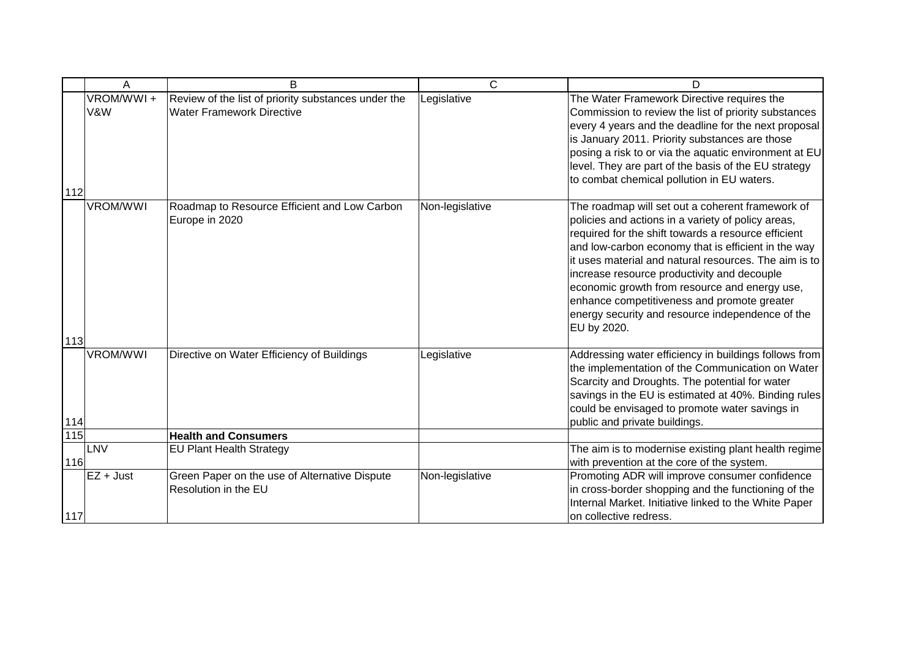|               | A                | B                                                                                       | C               | D                                                                                                                                                                                                                                                                                                                                                                                                                                                                                               |
|---------------|------------------|-----------------------------------------------------------------------------------------|-----------------|-------------------------------------------------------------------------------------------------------------------------------------------------------------------------------------------------------------------------------------------------------------------------------------------------------------------------------------------------------------------------------------------------------------------------------------------------------------------------------------------------|
| 112           | VROM/WWI+<br>V&W | Review of the list of priority substances under the<br><b>Water Framework Directive</b> | Legislative     | The Water Framework Directive requires the<br>Commission to review the list of priority substances<br>every 4 years and the deadline for the next proposal<br>is January 2011. Priority substances are those<br>posing a risk to or via the aquatic environment at EU<br>level. They are part of the basis of the EU strategy<br>to combat chemical pollution in EU waters.                                                                                                                     |
| 113           | <b>VROM/WWI</b>  | Roadmap to Resource Efficient and Low Carbon<br>Europe in 2020                          | Non-legislative | The roadmap will set out a coherent framework of<br>policies and actions in a variety of policy areas,<br>required for the shift towards a resource efficient<br>and low-carbon economy that is efficient in the way<br>it uses material and natural resources. The aim is to<br>increase resource productivity and decouple<br>economic growth from resource and energy use,<br>enhance competitiveness and promote greater<br>energy security and resource independence of the<br>EU by 2020. |
| 114           | <b>VROM/WWI</b>  | Directive on Water Efficiency of Buildings                                              | Legislative     | Addressing water efficiency in buildings follows from<br>the implementation of the Communication on Water<br>Scarcity and Droughts. The potential for water<br>savings in the EU is estimated at 40%. Binding rules<br>could be envisaged to promote water savings in<br>public and private buildings.                                                                                                                                                                                          |
| $\boxed{115}$ |                  | <b>Health and Consumers</b>                                                             |                 |                                                                                                                                                                                                                                                                                                                                                                                                                                                                                                 |
| 116           | LNV              | <b>EU Plant Health Strategy</b>                                                         |                 | The aim is to modernise existing plant health regime<br>with prevention at the core of the system.                                                                                                                                                                                                                                                                                                                                                                                              |
| 117           | EZ + Just        | Green Paper on the use of Alternative Dispute<br>Resolution in the EU                   | Non-legislative | Promoting ADR will improve consumer confidence<br>in cross-border shopping and the functioning of the<br>Internal Market. Initiative linked to the White Paper<br>on collective redress.                                                                                                                                                                                                                                                                                                        |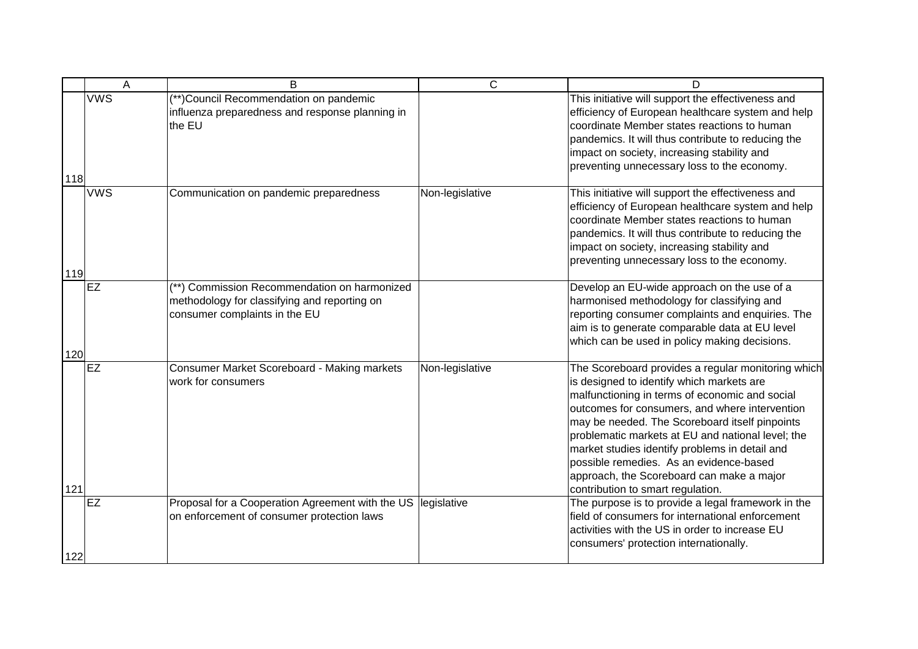|     | A          | B                                                                                                                             | $\overline{C}$  | D                                                                                                                                                                                                                                                                                                                                                                                                                                                                                         |
|-----|------------|-------------------------------------------------------------------------------------------------------------------------------|-----------------|-------------------------------------------------------------------------------------------------------------------------------------------------------------------------------------------------------------------------------------------------------------------------------------------------------------------------------------------------------------------------------------------------------------------------------------------------------------------------------------------|
| 118 | <b>VWS</b> | (**)Council Recommendation on pandemic<br>influenza preparedness and response planning in<br>the EU                           |                 | This initiative will support the effectiveness and<br>efficiency of European healthcare system and help<br>coordinate Member states reactions to human<br>pandemics. It will thus contribute to reducing the<br>impact on society, increasing stability and<br>preventing unnecessary loss to the economy.                                                                                                                                                                                |
| 119 | <b>VWS</b> | Communication on pandemic preparedness                                                                                        | Non-legislative | This initiative will support the effectiveness and<br>efficiency of European healthcare system and help<br>coordinate Member states reactions to human<br>pandemics. It will thus contribute to reducing the<br>impact on society, increasing stability and<br>preventing unnecessary loss to the economy.                                                                                                                                                                                |
| 120 | <b>EZ</b>  | (**) Commission Recommendation on harmonized<br>methodology for classifying and reporting on<br>consumer complaints in the EU |                 | Develop an EU-wide approach on the use of a<br>harmonised methodology for classifying and<br>reporting consumer complaints and enquiries. The<br>aim is to generate comparable data at EU level<br>which can be used in policy making decisions.                                                                                                                                                                                                                                          |
| 121 | <b>EZ</b>  | Consumer Market Scoreboard - Making markets<br>work for consumers                                                             | Non-legislative | The Scoreboard provides a regular monitoring which<br>is designed to identify which markets are<br>malfunctioning in terms of economic and social<br>outcomes for consumers, and where intervention<br>may be needed. The Scoreboard itself pinpoints<br>problematic markets at EU and national level; the<br>market studies identify problems in detail and<br>possible remedies. As an evidence-based<br>approach, the Scoreboard can make a major<br>contribution to smart regulation. |
| 122 | <b>EZ</b>  | Proposal for a Cooperation Agreement with the US<br>on enforcement of consumer protection laws                                | legislative     | The purpose is to provide a legal framework in the<br>field of consumers for international enforcement<br>activities with the US in order to increase EU<br>consumers' protection internationally.                                                                                                                                                                                                                                                                                        |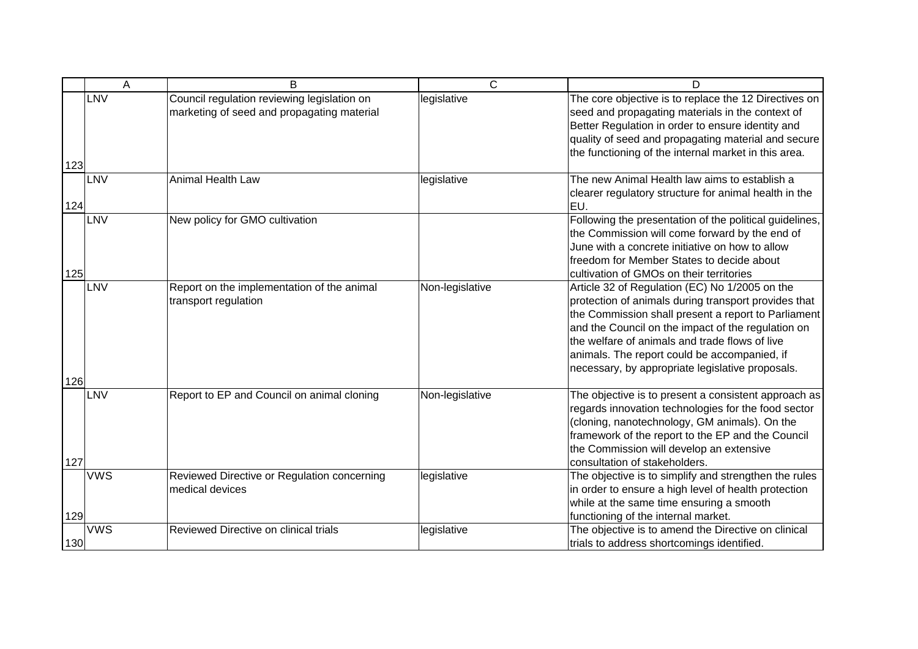|     | A          | B                                                                                         | $\mathsf{C}$    | D                                                                                                                                                                                                                                                                                                                                                                         |
|-----|------------|-------------------------------------------------------------------------------------------|-----------------|---------------------------------------------------------------------------------------------------------------------------------------------------------------------------------------------------------------------------------------------------------------------------------------------------------------------------------------------------------------------------|
| 123 | <b>LNV</b> | Council regulation reviewing legislation on<br>marketing of seed and propagating material | legislative     | The core objective is to replace the 12 Directives on<br>seed and propagating materials in the context of<br>Better Regulation in order to ensure identity and<br>quality of seed and propagating material and secure<br>the functioning of the internal market in this area.                                                                                             |
| 124 | <b>LNV</b> | <b>Animal Health Law</b>                                                                  | legislative     | The new Animal Health law aims to establish a<br>clearer regulatory structure for animal health in the<br>EU.                                                                                                                                                                                                                                                             |
| 125 | LNV        | New policy for GMO cultivation                                                            |                 | Following the presentation of the political guidelines,<br>the Commission will come forward by the end of<br>June with a concrete initiative on how to allow<br>freedom for Member States to decide about<br>cultivation of GMOs on their territories                                                                                                                     |
| 126 | LNV        | Report on the implementation of the animal<br>transport regulation                        | Non-legislative | Article 32 of Regulation (EC) No 1/2005 on the<br>protection of animals during transport provides that<br>the Commission shall present a report to Parliament<br>and the Council on the impact of the regulation on<br>the welfare of animals and trade flows of live<br>animals. The report could be accompanied, if<br>necessary, by appropriate legislative proposals. |
| 127 | LNV        | Report to EP and Council on animal cloning                                                | Non-legislative | The objective is to present a consistent approach as<br>regards innovation technologies for the food sector<br>(cloning, nanotechnology, GM animals). On the<br>framework of the report to the EP and the Council<br>the Commission will develop an extensive<br>consultation of stakeholders.                                                                            |
| 129 | <b>VWS</b> | Reviewed Directive or Regulation concerning<br>medical devices                            | legislative     | The objective is to simplify and strengthen the rules<br>in order to ensure a high level of health protection<br>while at the same time ensuring a smooth<br>functioning of the internal market.                                                                                                                                                                          |
| 130 | <b>VWS</b> | Reviewed Directive on clinical trials                                                     | legislative     | The objective is to amend the Directive on clinical<br>trials to address shortcomings identified.                                                                                                                                                                                                                                                                         |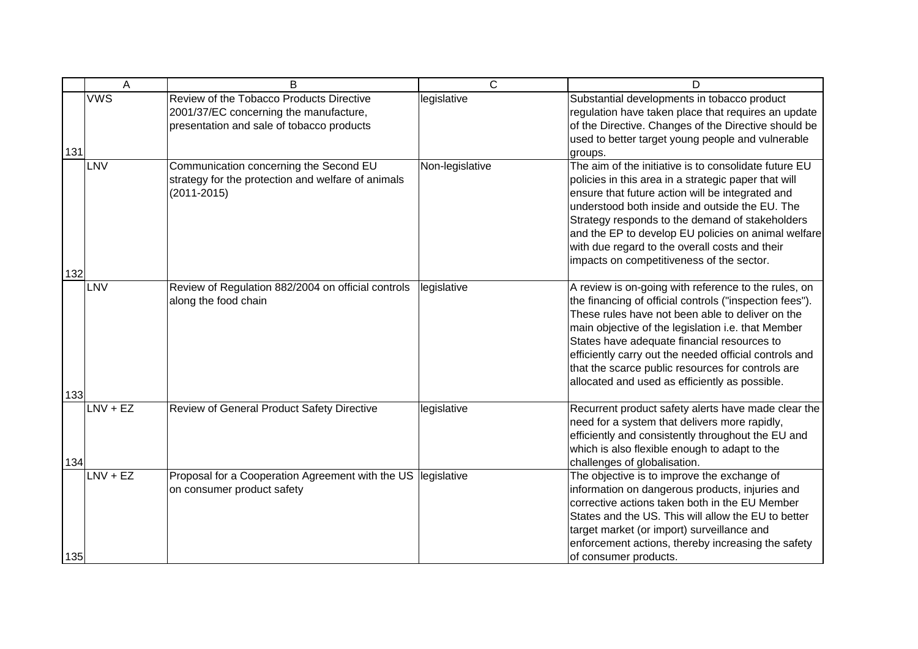|            | A          | B                                                                                                                               | $\overline{C}$  | D                                                                                                                                                                                                                                                                                                                                                                                                                                         |
|------------|------------|---------------------------------------------------------------------------------------------------------------------------------|-----------------|-------------------------------------------------------------------------------------------------------------------------------------------------------------------------------------------------------------------------------------------------------------------------------------------------------------------------------------------------------------------------------------------------------------------------------------------|
| 131        | <b>VWS</b> | Review of the Tobacco Products Directive<br>2001/37/EC concerning the manufacture,<br>presentation and sale of tobacco products | legislative     | Substantial developments in tobacco product<br>regulation have taken place that requires an update<br>of the Directive. Changes of the Directive should be<br>used to better target young people and vulnerable<br>groups.                                                                                                                                                                                                                |
|            | LNV        | Communication concerning the Second EU<br>strategy for the protection and welfare of animals<br>$(2011 - 2015)$                 | Non-legislative | The aim of the initiative is to consolidate future EU<br>policies in this area in a strategic paper that will<br>ensure that future action will be integrated and<br>understood both inside and outside the EU. The<br>Strategy responds to the demand of stakeholders<br>and the EP to develop EU policies on animal welfare<br>with due regard to the overall costs and their<br>impacts on competitiveness of the sector.              |
| 132        | LNV        | Review of Regulation 882/2004 on official controls<br>along the food chain                                                      | legislative     | A review is on-going with reference to the rules, on<br>the financing of official controls ("inspection fees").<br>These rules have not been able to deliver on the<br>main objective of the legislation i.e. that Member<br>States have adequate financial resources to<br>efficiently carry out the needed official controls and<br>that the scarce public resources for controls are<br>allocated and used as efficiently as possible. |
| 133<br>134 | $LNV + EZ$ | Review of General Product Safety Directive                                                                                      | legislative     | Recurrent product safety alerts have made clear the<br>need for a system that delivers more rapidly,<br>efficiently and consistently throughout the EU and<br>which is also flexible enough to adapt to the<br>challenges of globalisation.                                                                                                                                                                                               |
| 135        | $LNV + EZ$ | Proposal for a Cooperation Agreement with the US legislative<br>on consumer product safety                                      |                 | The objective is to improve the exchange of<br>information on dangerous products, injuries and<br>corrective actions taken both in the EU Member<br>States and the US. This will allow the EU to better<br>target market (or import) surveillance and<br>enforcement actions, thereby increasing the safety<br>of consumer products.                                                                                                      |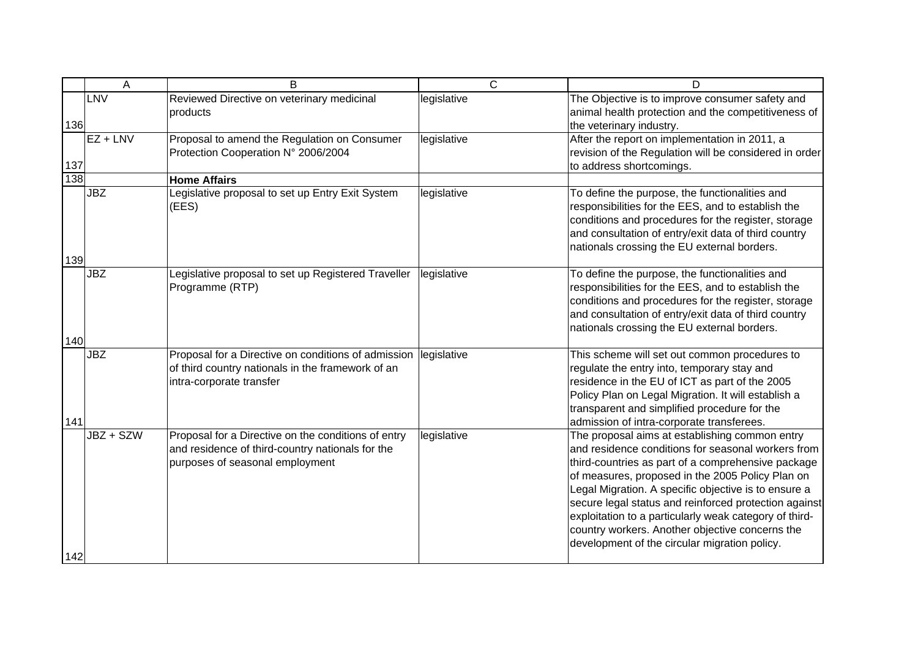|                   | A          | B                                                                                                                                                | $\overline{C}$ | D                                                                                                                                                                                                                                                                                                                                                                                                                                                                                             |
|-------------------|------------|--------------------------------------------------------------------------------------------------------------------------------------------------|----------------|-----------------------------------------------------------------------------------------------------------------------------------------------------------------------------------------------------------------------------------------------------------------------------------------------------------------------------------------------------------------------------------------------------------------------------------------------------------------------------------------------|
| 136               | LNV        | Reviewed Directive on veterinary medicinal<br>products                                                                                           | legislative    | The Objective is to improve consumer safety and<br>animal health protection and the competitiveness of<br>the veterinary industry.                                                                                                                                                                                                                                                                                                                                                            |
| $\frac{137}{138}$ | $EZ + LNV$ | Proposal to amend the Regulation on Consumer<br>Protection Cooperation N° 2006/2004                                                              | legislative    | After the report on implementation in 2011, a<br>revision of the Regulation will be considered in order<br>to address shortcomings.                                                                                                                                                                                                                                                                                                                                                           |
|                   |            | <b>Home Affairs</b>                                                                                                                              |                |                                                                                                                                                                                                                                                                                                                                                                                                                                                                                               |
| 139               | <b>JBZ</b> | Legislative proposal to set up Entry Exit System<br>(EES)                                                                                        | legislative    | To define the purpose, the functionalities and<br>responsibilities for the EES, and to establish the<br>conditions and procedures for the register, storage<br>and consultation of entry/exit data of third country<br>nationals crossing the EU external borders.                                                                                                                                                                                                                            |
| 140               | <b>JBZ</b> | Legislative proposal to set up Registered Traveller<br>Programme (RTP)                                                                           | legislative    | To define the purpose, the functionalities and<br>responsibilities for the EES, and to establish the<br>conditions and procedures for the register, storage<br>and consultation of entry/exit data of third country<br>nationals crossing the EU external borders.                                                                                                                                                                                                                            |
| 141               | <b>JBZ</b> | Proposal for a Directive on conditions of admission legislative<br>of third country nationals in the framework of an<br>intra-corporate transfer |                | This scheme will set out common procedures to<br>regulate the entry into, temporary stay and<br>residence in the EU of ICT as part of the 2005<br>Policy Plan on Legal Migration. It will establish a<br>transparent and simplified procedure for the<br>admission of intra-corporate transferees.                                                                                                                                                                                            |
| 142               | JBZ + SZW  | Proposal for a Directive on the conditions of entry<br>and residence of third-country nationals for the<br>purposes of seasonal employment       | legislative    | The proposal aims at establishing common entry<br>and residence conditions for seasonal workers from<br>third-countries as part of a comprehensive package<br>of measures, proposed in the 2005 Policy Plan on<br>Legal Migration. A specific objective is to ensure a<br>secure legal status and reinforced protection against<br>exploitation to a particularly weak category of third-<br>country workers. Another objective concerns the<br>development of the circular migration policy. |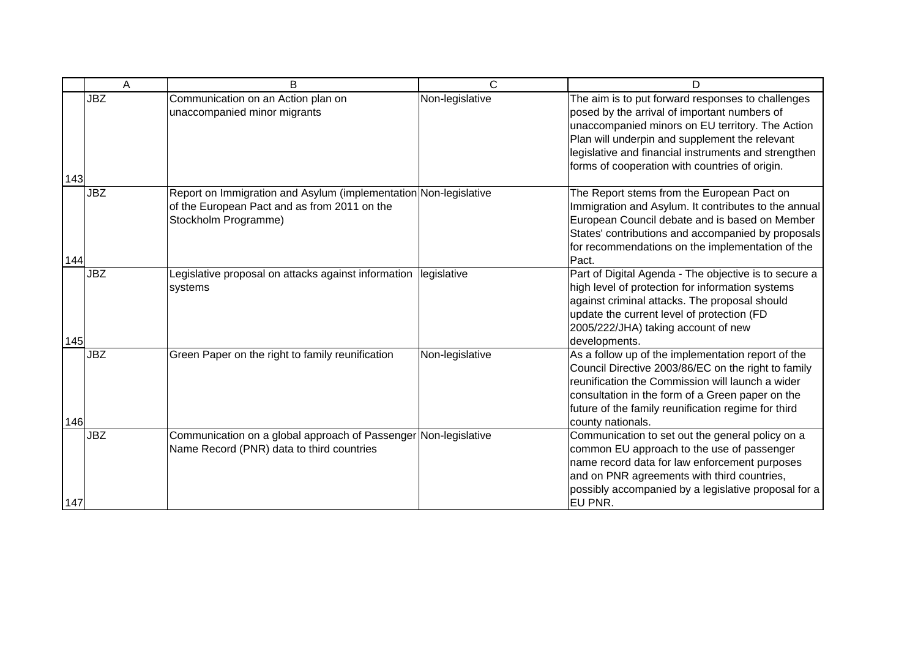|     | Α          | B                                                                                                                                        | C               | D                                                                                                                                                                                                                                                                                                                 |
|-----|------------|------------------------------------------------------------------------------------------------------------------------------------------|-----------------|-------------------------------------------------------------------------------------------------------------------------------------------------------------------------------------------------------------------------------------------------------------------------------------------------------------------|
| 143 | <b>JBZ</b> | Communication on an Action plan on<br>unaccompanied minor migrants                                                                       | Non-legislative | The aim is to put forward responses to challenges<br>posed by the arrival of important numbers of<br>unaccompanied minors on EU territory. The Action<br>Plan will underpin and supplement the relevant<br>legislative and financial instruments and strengthen<br>forms of cooperation with countries of origin. |
| 144 | <b>JBZ</b> | Report on Immigration and Asylum (implementation Non-legislative<br>of the European Pact and as from 2011 on the<br>Stockholm Programme) |                 | The Report stems from the European Pact on<br>Immigration and Asylum. It contributes to the annual<br>European Council debate and is based on Member<br>States' contributions and accompanied by proposals<br>for recommendations on the implementation of the<br>Pact.                                           |
| 145 | <b>JBZ</b> | Legislative proposal on attacks against information<br>systems                                                                           | legislative     | Part of Digital Agenda - The objective is to secure a<br>high level of protection for information systems<br>against criminal attacks. The proposal should<br>update the current level of protection (FD<br>2005/222/JHA) taking account of new<br>developments.                                                  |
| 146 | <b>JBZ</b> | Green Paper on the right to family reunification                                                                                         | Non-legislative | As a follow up of the implementation report of the<br>Council Directive 2003/86/EC on the right to family<br>reunification the Commission will launch a wider<br>consultation in the form of a Green paper on the<br>future of the family reunification regime for third<br>county nationals.                     |
| 147 | <b>JBZ</b> | Communication on a global approach of Passenger Non-legislative<br>Name Record (PNR) data to third countries                             |                 | Communication to set out the general policy on a<br>common EU approach to the use of passenger<br>name record data for law enforcement purposes<br>and on PNR agreements with third countries,<br>possibly accompanied by a legislative proposal for a<br>EU PNR.                                                 |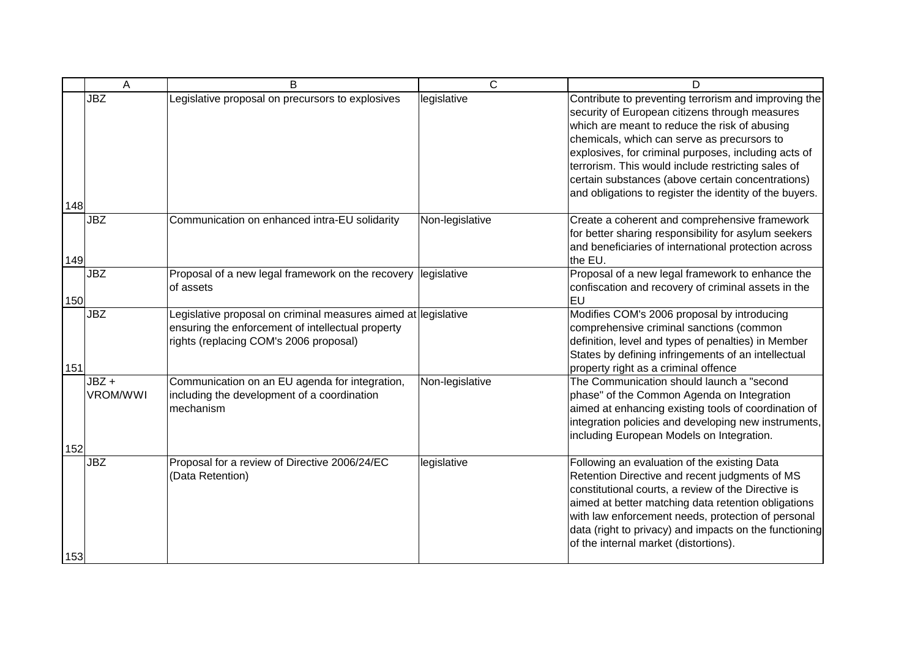|     | A                | B                                                                                                                                                             | $\overline{C}$  | D                                                                                                                                                                                                                                                                                                                                                                                                                                    |
|-----|------------------|---------------------------------------------------------------------------------------------------------------------------------------------------------------|-----------------|--------------------------------------------------------------------------------------------------------------------------------------------------------------------------------------------------------------------------------------------------------------------------------------------------------------------------------------------------------------------------------------------------------------------------------------|
| 148 | <b>JBZ</b>       | Legislative proposal on precursors to explosives                                                                                                              | legislative     | Contribute to preventing terrorism and improving the<br>security of European citizens through measures<br>which are meant to reduce the risk of abusing<br>chemicals, which can serve as precursors to<br>explosives, for criminal purposes, including acts of<br>terrorism. This would include restricting sales of<br>certain substances (above certain concentrations)<br>and obligations to register the identity of the buyers. |
| 149 | <b>JBZ</b>       | Communication on enhanced intra-EU solidarity                                                                                                                 | Non-legislative | Create a coherent and comprehensive framework<br>for better sharing responsibility for asylum seekers<br>and beneficiaries of international protection across<br>the EU.                                                                                                                                                                                                                                                             |
| 150 | <b>JBZ</b>       | Proposal of a new legal framework on the recovery<br>of assets                                                                                                | legislative     | Proposal of a new legal framework to enhance the<br>confiscation and recovery of criminal assets in the<br>EU                                                                                                                                                                                                                                                                                                                        |
| 151 | <b>JBZ</b>       | Legislative proposal on criminal measures aimed at legislative<br>ensuring the enforcement of intellectual property<br>rights (replacing COM's 2006 proposal) |                 | Modifies COM's 2006 proposal by introducing<br>comprehensive criminal sanctions (common<br>definition, level and types of penalties) in Member<br>States by defining infringements of an intellectual<br>property right as a criminal offence                                                                                                                                                                                        |
| 152 | JBZ+<br>VROM/WWI | Communication on an EU agenda for integration,<br>including the development of a coordination<br>mechanism                                                    | Non-legislative | The Communication should launch a "second<br>phase" of the Common Agenda on Integration<br>aimed at enhancing existing tools of coordination of<br>integration policies and developing new instruments,<br>including European Models on Integration.                                                                                                                                                                                 |
| 153 | <b>JBZ</b>       | Proposal for a review of Directive 2006/24/EC<br>(Data Retention)                                                                                             | legislative     | Following an evaluation of the existing Data<br>Retention Directive and recent judgments of MS<br>constitutional courts, a review of the Directive is<br>aimed at better matching data retention obligations<br>with law enforcement needs, protection of personal<br>data (right to privacy) and impacts on the functioning<br>of the internal market (distortions).                                                                |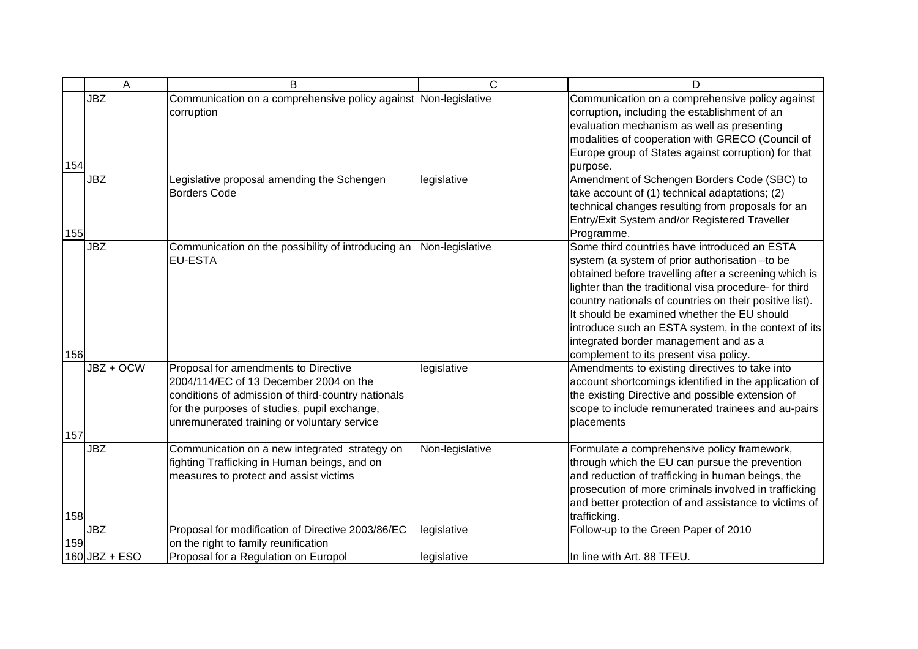|     | A               | B                                                                                                                                                                                                                                   | C               | D                                                                                                                                                                                                                                                                                                                                                                                                                                                                      |
|-----|-----------------|-------------------------------------------------------------------------------------------------------------------------------------------------------------------------------------------------------------------------------------|-----------------|------------------------------------------------------------------------------------------------------------------------------------------------------------------------------------------------------------------------------------------------------------------------------------------------------------------------------------------------------------------------------------------------------------------------------------------------------------------------|
| 154 | <b>JBZ</b>      | Communication on a comprehensive policy against Non-legislative<br>corruption                                                                                                                                                       |                 | Communication on a comprehensive policy against<br>corruption, including the establishment of an<br>evaluation mechanism as well as presenting<br>modalities of cooperation with GRECO (Council of<br>Europe group of States against corruption) for that<br>purpose.                                                                                                                                                                                                  |
| 155 | <b>JBZ</b>      | Legislative proposal amending the Schengen<br><b>Borders Code</b>                                                                                                                                                                   | legislative     | Amendment of Schengen Borders Code (SBC) to<br>take account of (1) technical adaptations; (2)<br>technical changes resulting from proposals for an<br>Entry/Exit System and/or Registered Traveller<br>Programme.                                                                                                                                                                                                                                                      |
| 156 | <b>JBZ</b>      | Communication on the possibility of introducing an<br><b>EU-ESTA</b>                                                                                                                                                                | Non-legislative | Some third countries have introduced an ESTA<br>system (a system of prior authorisation -to be<br>obtained before travelling after a screening which is<br>lighter than the traditional visa procedure- for third<br>country nationals of countries on their positive list).<br>It should be examined whether the EU should<br>introduce such an ESTA system, in the context of its<br>integrated border management and as a<br>complement to its present visa policy. |
| 157 | JBZ + OCW       | Proposal for amendments to Directive<br>2004/114/EC of 13 December 2004 on the<br>conditions of admission of third-country nationals<br>for the purposes of studies, pupil exchange,<br>unremunerated training or voluntary service | legislative     | Amendments to existing directives to take into<br>account shortcomings identified in the application of<br>the existing Directive and possible extension of<br>scope to include remunerated trainees and au-pairs<br>placements                                                                                                                                                                                                                                        |
| 158 | <b>JBZ</b>      | Communication on a new integrated strategy on<br>fighting Trafficking in Human beings, and on<br>measures to protect and assist victims                                                                                             | Non-legislative | Formulate a comprehensive policy framework,<br>through which the EU can pursue the prevention<br>and reduction of trafficking in human beings, the<br>prosecution of more criminals involved in trafficking<br>and better protection of and assistance to victims of<br>trafficking.                                                                                                                                                                                   |
| 159 | <b>JBZ</b>      | Proposal for modification of Directive 2003/86/EC<br>on the right to family reunification                                                                                                                                           | legislative     | Follow-up to the Green Paper of 2010                                                                                                                                                                                                                                                                                                                                                                                                                                   |
|     | $160$ JBZ + ESO | Proposal for a Regulation on Europol                                                                                                                                                                                                | legislative     | In line with Art. 88 TFEU.                                                                                                                                                                                                                                                                                                                                                                                                                                             |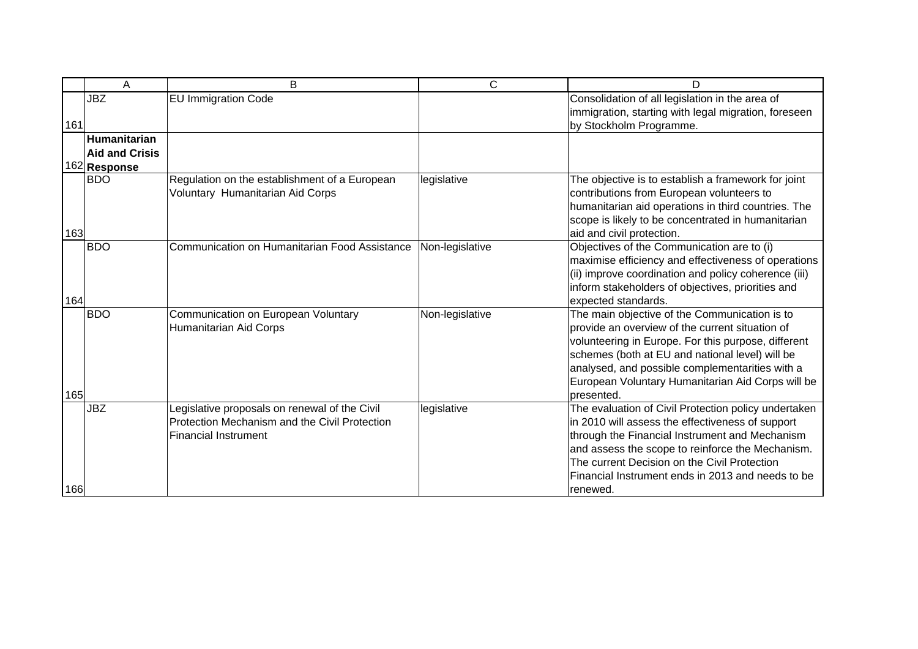|     | Α                     | B                                                                                                                             | C               | D                                                                                                                                                                                                                                                                                                                                |
|-----|-----------------------|-------------------------------------------------------------------------------------------------------------------------------|-----------------|----------------------------------------------------------------------------------------------------------------------------------------------------------------------------------------------------------------------------------------------------------------------------------------------------------------------------------|
| 161 | <b>JBZ</b>            | <b>EU Immigration Code</b>                                                                                                    |                 | Consolidation of all legislation in the area of<br>immigration, starting with legal migration, foreseen<br>by Stockholm Programme.                                                                                                                                                                                               |
|     | Humanitarian          |                                                                                                                               |                 |                                                                                                                                                                                                                                                                                                                                  |
|     | <b>Aid and Crisis</b> |                                                                                                                               |                 |                                                                                                                                                                                                                                                                                                                                  |
|     | 162 Response          |                                                                                                                               |                 |                                                                                                                                                                                                                                                                                                                                  |
| 163 | <b>BDO</b>            | Regulation on the establishment of a European<br>Voluntary Humanitarian Aid Corps                                             | legislative     | The objective is to establish a framework for joint<br>contributions from European volunteers to<br>humanitarian aid operations in third countries. The<br>scope is likely to be concentrated in humanitarian<br>aid and civil protection.                                                                                       |
| 164 | <b>BDO</b>            | Communication on Humanitarian Food Assistance                                                                                 | Non-legislative | Objectives of the Communication are to (i)<br>maximise efficiency and effectiveness of operations<br>(ii) improve coordination and policy coherence (iii)<br>inform stakeholders of objectives, priorities and<br>expected standards.                                                                                            |
| 165 | <b>BDO</b>            | Communication on European Voluntary<br><b>Humanitarian Aid Corps</b>                                                          | Non-legislative | The main objective of the Communication is to<br>provide an overview of the current situation of<br>volunteering in Europe. For this purpose, different<br>schemes (both at EU and national level) will be<br>analysed, and possible complementarities with a<br>European Voluntary Humanitarian Aid Corps will be<br>presented. |
| 166 | <b>JBZ</b>            | Legislative proposals on renewal of the Civil<br>Protection Mechanism and the Civil Protection<br><b>Financial Instrument</b> | legislative     | The evaluation of Civil Protection policy undertaken<br>in 2010 will assess the effectiveness of support<br>through the Financial Instrument and Mechanism<br>and assess the scope to reinforce the Mechanism.<br>The current Decision on the Civil Protection<br>Financial Instrument ends in 2013 and needs to be<br>renewed.  |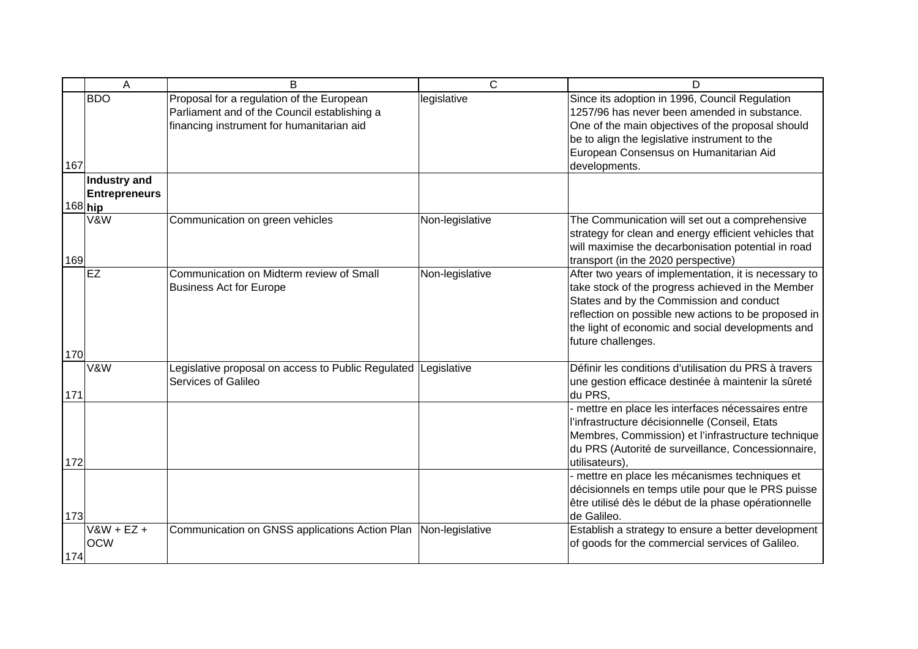|         | A                    | B                                                              | $\overline{C}$  | D                                                     |
|---------|----------------------|----------------------------------------------------------------|-----------------|-------------------------------------------------------|
|         | <b>BDO</b>           | Proposal for a regulation of the European                      | legislative     | Since its adoption in 1996, Council Regulation        |
|         |                      | Parliament and of the Council establishing a                   |                 | 1257/96 has never been amended in substance.          |
|         |                      | financing instrument for humanitarian aid                      |                 | One of the main objectives of the proposal should     |
|         |                      |                                                                |                 | be to align the legislative instrument to the         |
|         |                      |                                                                |                 | European Consensus on Humanitarian Aid                |
| 167     |                      |                                                                |                 | developments.                                         |
|         | Industry and         |                                                                |                 |                                                       |
|         | <b>Entrepreneurs</b> |                                                                |                 |                                                       |
| 168 hip |                      |                                                                |                 |                                                       |
|         | V&W                  | Communication on green vehicles                                | Non-legislative | The Communication will set out a comprehensive        |
|         |                      |                                                                |                 | strategy for clean and energy efficient vehicles that |
|         |                      |                                                                |                 | will maximise the decarbonisation potential in road   |
| 169     |                      |                                                                |                 | transport (in the 2020 perspective)                   |
|         | <b>EZ</b>            | Communication on Midterm review of Small                       | Non-legislative | After two years of implementation, it is necessary to |
|         |                      | <b>Business Act for Europe</b>                                 |                 | take stock of the progress achieved in the Member     |
|         |                      |                                                                |                 | States and by the Commission and conduct              |
|         |                      |                                                                |                 | reflection on possible new actions to be proposed in  |
|         |                      |                                                                |                 | the light of economic and social developments and     |
|         |                      |                                                                |                 | future challenges.                                    |
| 170     |                      |                                                                |                 |                                                       |
|         | V&W                  | Legislative proposal on access to Public Regulated Legislative |                 | Définir les conditions d'utilisation du PRS à travers |
|         |                      | Services of Galileo                                            |                 | une gestion efficace destinée à maintenir la sûreté   |
| 171     |                      |                                                                |                 | du PRS,                                               |
|         |                      |                                                                |                 | - mettre en place les interfaces nécessaires entre    |
|         |                      |                                                                |                 | l'infrastructure décisionnelle (Conseil, Etats        |
|         |                      |                                                                |                 | Membres, Commission) et l'infrastructure technique    |
|         |                      |                                                                |                 | du PRS (Autorité de surveillance, Concessionnaire,    |
| 172     |                      |                                                                |                 | utilisateurs).                                        |
|         |                      |                                                                |                 | - mettre en place les mécanismes techniques et        |
|         |                      |                                                                |                 | décisionnels en temps utile pour que le PRS puisse    |
|         |                      |                                                                |                 | être utilisé dès le début de la phase opérationnelle  |
| 173     |                      |                                                                |                 | de Galileo.                                           |
|         | $V$ &W + EZ +        | Communication on GNSS applications Action Plan                 | Non-legislative | Establish a strategy to ensure a better development   |
|         | <b>OCW</b>           |                                                                |                 | of goods for the commercial services of Galileo.      |
| 174     |                      |                                                                |                 |                                                       |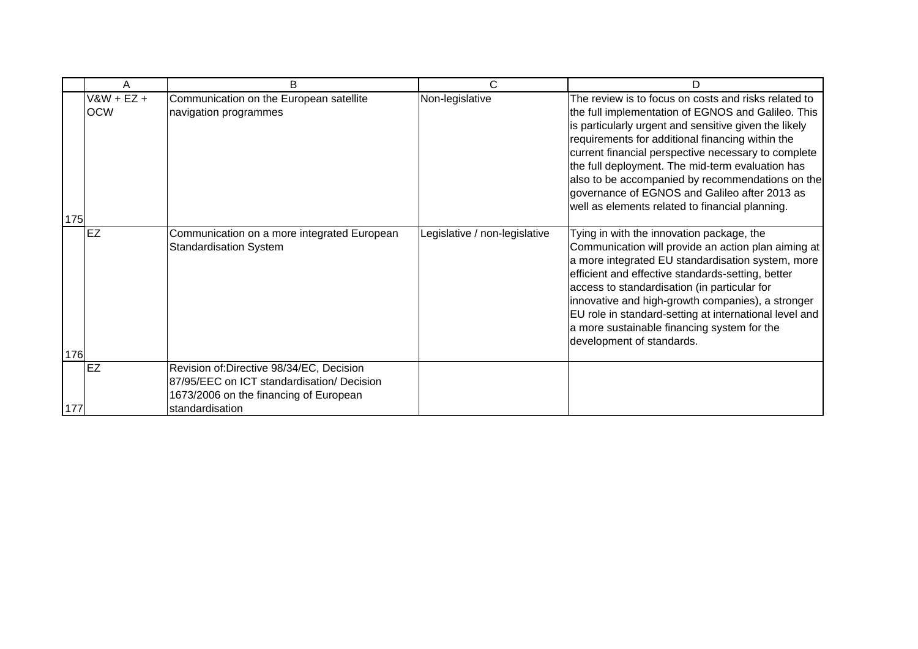|     | A                           | B                                                                                                                                                   | C                             | D                                                                                                                                                                                                                                                                                                                                                                                                                                                                                          |
|-----|-----------------------------|-----------------------------------------------------------------------------------------------------------------------------------------------------|-------------------------------|--------------------------------------------------------------------------------------------------------------------------------------------------------------------------------------------------------------------------------------------------------------------------------------------------------------------------------------------------------------------------------------------------------------------------------------------------------------------------------------------|
| 175 | $V$ &W + EZ +<br><b>OCW</b> | Communication on the European satellite<br>navigation programmes                                                                                    | Non-legislative               | The review is to focus on costs and risks related to<br>the full implementation of EGNOS and Galileo. This<br>is particularly urgent and sensitive given the likely<br>requirements for additional financing within the<br>current financial perspective necessary to complete<br>the full deployment. The mid-term evaluation has<br>also to be accompanied by recommendations on the<br>governance of EGNOS and Galileo after 2013 as<br>well as elements related to financial planning. |
| 176 | <b>EZ</b>                   | Communication on a more integrated European<br><b>Standardisation System</b>                                                                        | Legislative / non-legislative | Tying in with the innovation package, the<br>Communication will provide an action plan aiming at<br>a more integrated EU standardisation system, more<br>efficient and effective standards-setting, better<br>access to standardisation (in particular for<br>innovative and high-growth companies), a stronger<br>EU role in standard-setting at international level and<br>a more sustainable financing system for the<br>development of standards.                                      |
| 177 | <b>EZ</b>                   | Revision of:Directive 98/34/EC, Decision<br>87/95/EEC on ICT standardisation/ Decision<br>1673/2006 on the financing of European<br>standardisation |                               |                                                                                                                                                                                                                                                                                                                                                                                                                                                                                            |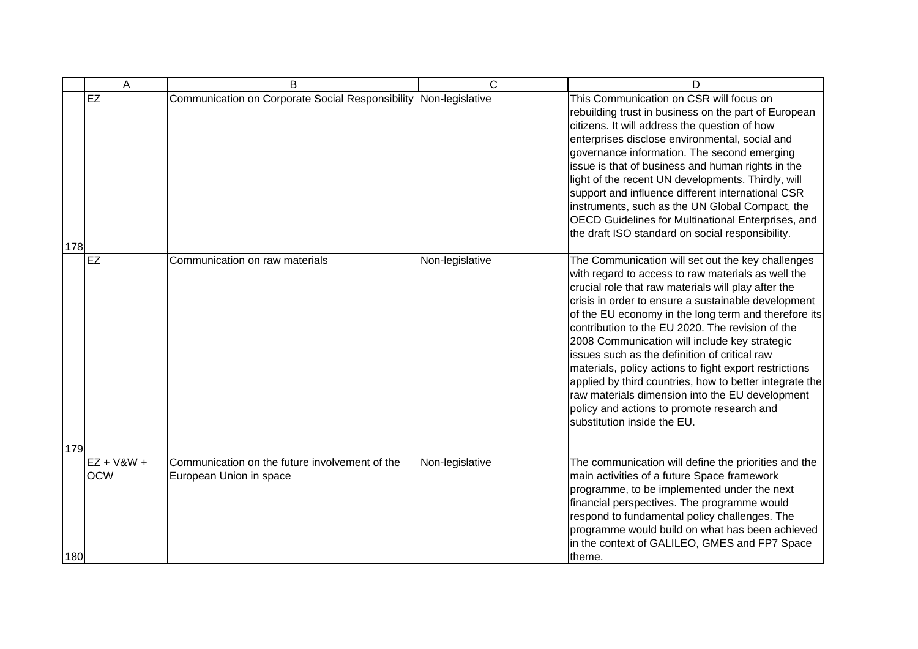|     | A                          | B                                                                         | $\mathsf{C}$    | D                                                                                                                                                                                                                                                                                                                                                                                                                                                                                                                                                                                                                                                                                        |
|-----|----------------------------|---------------------------------------------------------------------------|-----------------|------------------------------------------------------------------------------------------------------------------------------------------------------------------------------------------------------------------------------------------------------------------------------------------------------------------------------------------------------------------------------------------------------------------------------------------------------------------------------------------------------------------------------------------------------------------------------------------------------------------------------------------------------------------------------------------|
| 178 | EZ                         | Communication on Corporate Social Responsibility Non-legislative          |                 | This Communication on CSR will focus on<br>rebuilding trust in business on the part of European<br>citizens. It will address the question of how<br>enterprises disclose environmental, social and<br>governance information. The second emerging<br>issue is that of business and human rights in the<br>light of the recent UN developments. Thirdly, will<br>support and influence different international CSR<br>instruments, such as the UN Global Compact, the<br>OECD Guidelines for Multinational Enterprises, and<br>the draft ISO standard on social responsibility.                                                                                                           |
| 179 | <b>EZ</b>                  | Communication on raw materials                                            | Non-legislative | The Communication will set out the key challenges<br>with regard to access to raw materials as well the<br>crucial role that raw materials will play after the<br>crisis in order to ensure a sustainable development<br>of the EU economy in the long term and therefore its<br>contribution to the EU 2020. The revision of the<br>2008 Communication will include key strategic<br>issues such as the definition of critical raw<br>materials, policy actions to fight export restrictions<br>applied by third countries, how to better integrate the<br>raw materials dimension into the EU development<br>policy and actions to promote research and<br>substitution inside the EU. |
| 180 | $EZ + V&W +$<br><b>OCW</b> | Communication on the future involvement of the<br>European Union in space | Non-legislative | The communication will define the priorities and the<br>main activities of a future Space framework<br>programme, to be implemented under the next<br>financial perspectives. The programme would<br>respond to fundamental policy challenges. The<br>programme would build on what has been achieved<br>in the context of GALILEO, GMES and FP7 Space<br>theme.                                                                                                                                                                                                                                                                                                                         |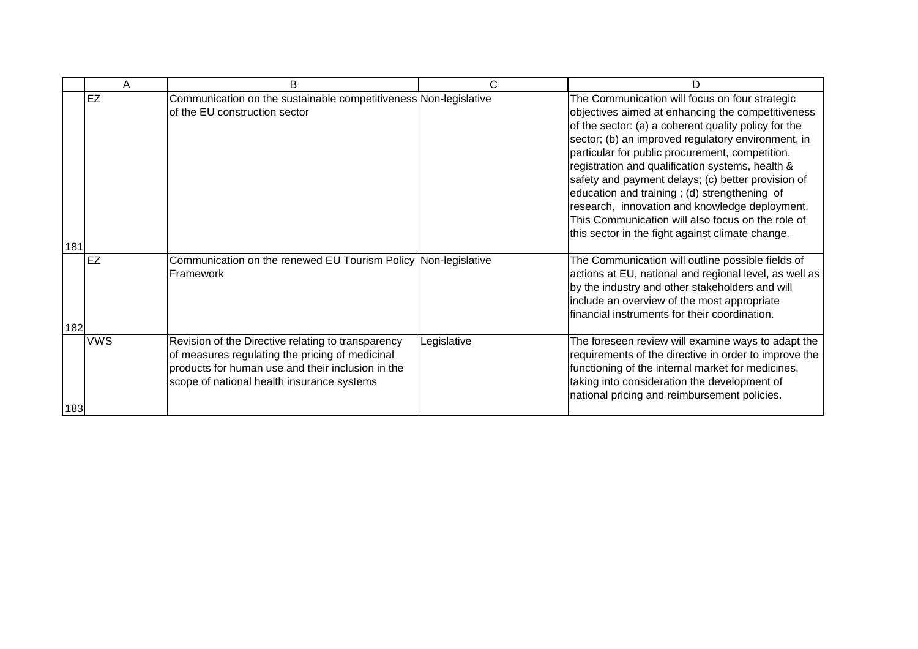|     | A          | B                                                                                                                                                                                                        | C           | D                                                                                                                                                                                                                                                                                                                 |
|-----|------------|----------------------------------------------------------------------------------------------------------------------------------------------------------------------------------------------------------|-------------|-------------------------------------------------------------------------------------------------------------------------------------------------------------------------------------------------------------------------------------------------------------------------------------------------------------------|
|     | EZ         | Communication on the sustainable competitiveness Non-legislative<br>of the EU construction sector                                                                                                        |             | The Communication will focus on four strategic<br>objectives aimed at enhancing the competitiveness<br>of the sector: (a) a coherent quality policy for the<br>sector; (b) an improved regulatory environment, in<br>particular for public procurement, competition,                                              |
| 181 |            |                                                                                                                                                                                                          |             | registration and qualification systems, health &<br>safety and payment delays; (c) better provision of<br>education and training; (d) strengthening of<br>research, innovation and knowledge deployment.<br>This Communication will also focus on the role of<br>this sector in the fight against climate change. |
| 182 | <b>EZ</b>  | Communication on the renewed EU Tourism Policy Non-legislative<br>Framework                                                                                                                              |             | The Communication will outline possible fields of<br>actions at EU, national and regional level, as well as<br>by the industry and other stakeholders and will<br>include an overview of the most appropriate<br>financial instruments for their coordination.                                                    |
| 183 | <b>VWS</b> | Revision of the Directive relating to transparency<br>of measures regulating the pricing of medicinal<br>products for human use and their inclusion in the<br>scope of national health insurance systems | Legislative | The foreseen review will examine ways to adapt the<br>requirements of the directive in order to improve the<br>functioning of the internal market for medicines,<br>taking into consideration the development of<br>national pricing and reimbursement policies.                                                  |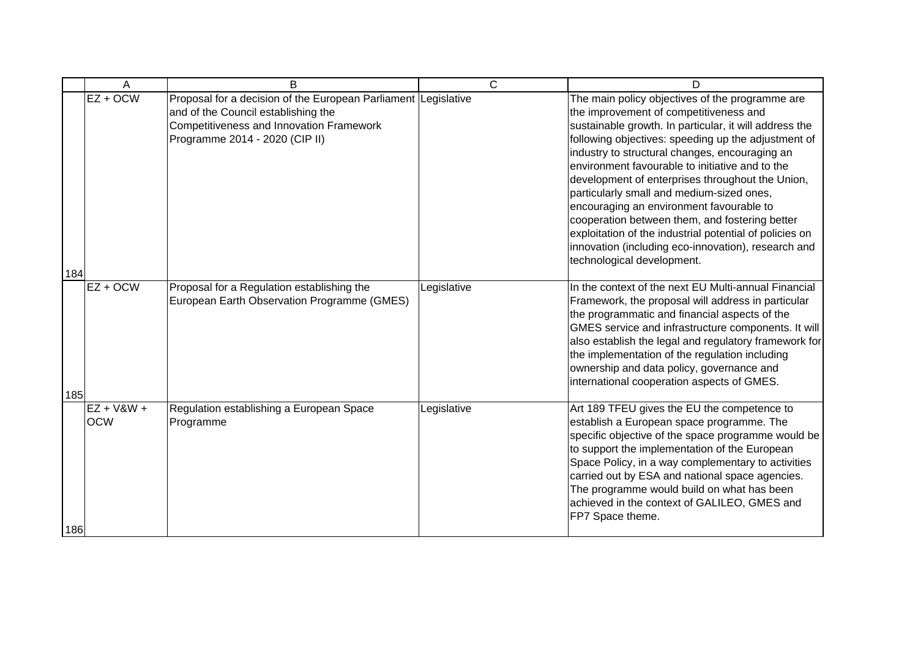|     | Α                          | B                                                                                                                                                                                   | C           | D                                                                                                                                                                                                                                                                                                                                                                                                                                                                                                                                                                                                                                                              |
|-----|----------------------------|-------------------------------------------------------------------------------------------------------------------------------------------------------------------------------------|-------------|----------------------------------------------------------------------------------------------------------------------------------------------------------------------------------------------------------------------------------------------------------------------------------------------------------------------------------------------------------------------------------------------------------------------------------------------------------------------------------------------------------------------------------------------------------------------------------------------------------------------------------------------------------------|
| 184 | $EZ + OCW$                 | Proposal for a decision of the European Parliament Legislative<br>and of the Council establishing the<br>Competitiveness and Innovation Framework<br>Programme 2014 - 2020 (CIP II) |             | The main policy objectives of the programme are<br>the improvement of competitiveness and<br>sustainable growth. In particular, it will address the<br>following objectives: speeding up the adjustment of<br>industry to structural changes, encouraging an<br>environment favourable to initiative and to the<br>development of enterprises throughout the Union,<br>particularly small and medium-sized ones,<br>encouraging an environment favourable to<br>cooperation between them, and fostering better<br>exploitation of the industrial potential of policies on<br>innovation (including eco-innovation), research and<br>technological development. |
| 185 | $EZ + OCW$                 | Proposal for a Regulation establishing the<br>European Earth Observation Programme (GMES)                                                                                           | Legislative | In the context of the next EU Multi-annual Financial<br>Framework, the proposal will address in particular<br>the programmatic and financial aspects of the<br>GMES service and infrastructure components. It will<br>also establish the legal and regulatory framework for<br>the implementation of the regulation including<br>ownership and data policy, governance and<br>international cooperation aspects of GMES.                                                                                                                                                                                                                                       |
| 186 | $EZ + V&W +$<br><b>OCW</b> | Regulation establishing a European Space<br>Programme                                                                                                                               | Legislative | Art 189 TFEU gives the EU the competence to<br>establish a European space programme. The<br>specific objective of the space programme would be<br>to support the implementation of the European<br>Space Policy, in a way complementary to activities<br>carried out by ESA and national space agencies.<br>The programme would build on what has been<br>achieved in the context of GALILEO, GMES and<br>FP7 Space theme.                                                                                                                                                                                                                                     |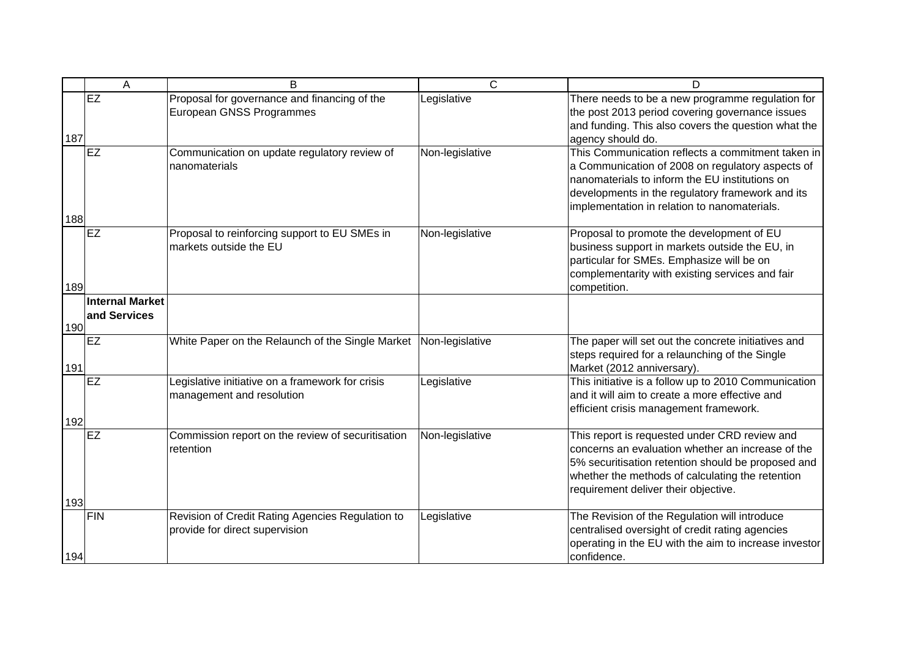|     | A                               | B                                                                                  | $\overline{C}$  | D                                                                                                                                                                                                                                                           |
|-----|---------------------------------|------------------------------------------------------------------------------------|-----------------|-------------------------------------------------------------------------------------------------------------------------------------------------------------------------------------------------------------------------------------------------------------|
| 187 | EZ                              | Proposal for governance and financing of the<br>European GNSS Programmes           | Legislative     | There needs to be a new programme regulation for<br>the post 2013 period covering governance issues<br>and funding. This also covers the question what the<br>agency should do.                                                                             |
| 188 | EZ                              | Communication on update regulatory review of<br>nanomaterials                      | Non-legislative | This Communication reflects a commitment taken in<br>a Communication of 2008 on regulatory aspects of<br>nanomaterials to inform the EU institutions on<br>developments in the regulatory framework and its<br>implementation in relation to nanomaterials. |
| 189 | <b>EZ</b>                       | Proposal to reinforcing support to EU SMEs in<br>markets outside the EU            | Non-legislative | Proposal to promote the development of EU<br>business support in markets outside the EU, in<br>particular for SMEs. Emphasize will be on<br>complementarity with existing services and fair<br>competition.                                                 |
| 190 | Internal Market<br>and Services |                                                                                    |                 |                                                                                                                                                                                                                                                             |
| 191 | <b>EZ</b>                       | White Paper on the Relaunch of the Single Market Non-legislative                   |                 | The paper will set out the concrete initiatives and<br>steps required for a relaunching of the Single<br>Market (2012 anniversary).                                                                                                                         |
| 192 | <b>EZ</b>                       | Legislative initiative on a framework for crisis<br>management and resolution      | Legislative     | This initiative is a follow up to 2010 Communication<br>and it will aim to create a more effective and<br>efficient crisis management framework.                                                                                                            |
| 193 | <b>EZ</b>                       | Commission report on the review of securitisation<br>retention                     | Non-legislative | This report is requested under CRD review and<br>concerns an evaluation whether an increase of the<br>5% securitisation retention should be proposed and<br>whether the methods of calculating the retention<br>requirement deliver their objective.        |
| 194 | <b>FIN</b>                      | Revision of Credit Rating Agencies Regulation to<br>provide for direct supervision | Legislative     | The Revision of the Regulation will introduce<br>centralised oversight of credit rating agencies<br>operating in the EU with the aim to increase investor<br>confidence.                                                                                    |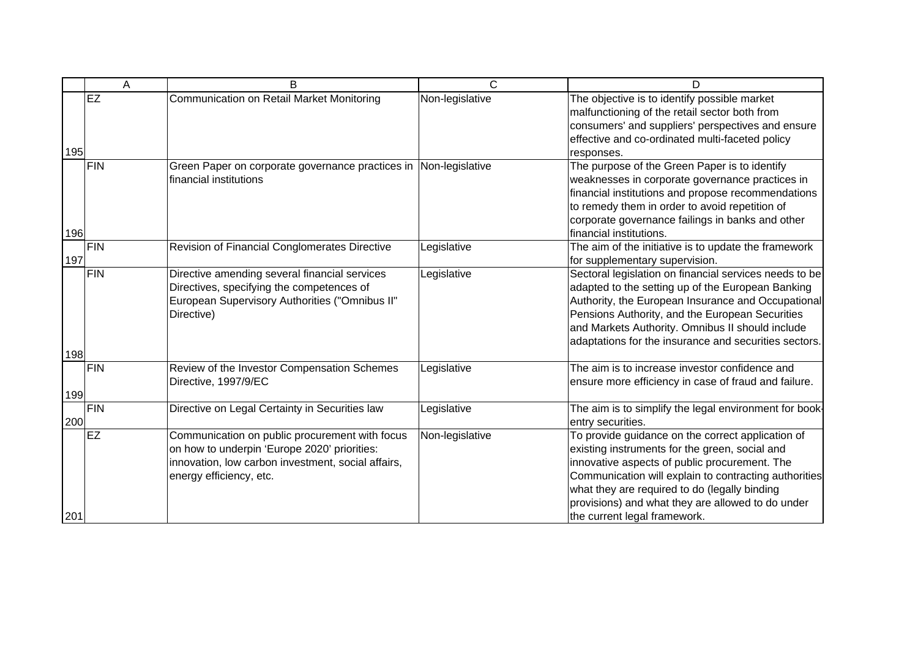|     | A          | B                                                                                                                                                                               | C               | D                                                                                                                                                                                                                                                                                                                                                   |
|-----|------------|---------------------------------------------------------------------------------------------------------------------------------------------------------------------------------|-----------------|-----------------------------------------------------------------------------------------------------------------------------------------------------------------------------------------------------------------------------------------------------------------------------------------------------------------------------------------------------|
| 195 | <b>EZ</b>  | <b>Communication on Retail Market Monitoring</b>                                                                                                                                | Non-legislative | The objective is to identify possible market<br>malfunctioning of the retail sector both from<br>consumers' and suppliers' perspectives and ensure<br>effective and co-ordinated multi-faceted policy<br>responses.                                                                                                                                 |
| 196 | FIN        | Green Paper on corporate governance practices in Non-legislative<br>financial institutions                                                                                      |                 | The purpose of the Green Paper is to identify<br>weaknesses in corporate governance practices in<br>financial institutions and propose recommendations<br>to remedy them in order to avoid repetition of<br>corporate governance failings in banks and other<br>financial institutions.                                                             |
| 197 | FIN        | Revision of Financial Conglomerates Directive                                                                                                                                   | Legislative     | The aim of the initiative is to update the framework<br>for supplementary supervision.                                                                                                                                                                                                                                                              |
|     | FIN        | Directive amending several financial services<br>Directives, specifying the competences of<br>European Supervisory Authorities ("Omnibus II"<br>Directive)                      | Legislative     | Sectoral legislation on financial services needs to be<br>adapted to the setting up of the European Banking<br>Authority, the European Insurance and Occupational<br>Pensions Authority, and the European Securities<br>and Markets Authority. Omnibus II should include<br>adaptations for the insurance and securities sectors.                   |
| 198 | <b>FIN</b> | Review of the Investor Compensation Schemes                                                                                                                                     | Legislative     | The aim is to increase investor confidence and                                                                                                                                                                                                                                                                                                      |
| 199 |            | Directive, 1997/9/EC                                                                                                                                                            |                 | ensure more efficiency in case of fraud and failure.                                                                                                                                                                                                                                                                                                |
| 200 | <b>FIN</b> | Directive on Legal Certainty in Securities law                                                                                                                                  | Legislative     | The aim is to simplify the legal environment for book-<br>entry securities.                                                                                                                                                                                                                                                                         |
| 201 | <b>EZ</b>  | Communication on public procurement with focus<br>on how to underpin 'Europe 2020' priorities:<br>innovation, low carbon investment, social affairs,<br>energy efficiency, etc. | Non-legislative | To provide guidance on the correct application of<br>existing instruments for the green, social and<br>innovative aspects of public procurement. The<br>Communication will explain to contracting authorities<br>what they are required to do (legally binding<br>provisions) and what they are allowed to do under<br>the current legal framework. |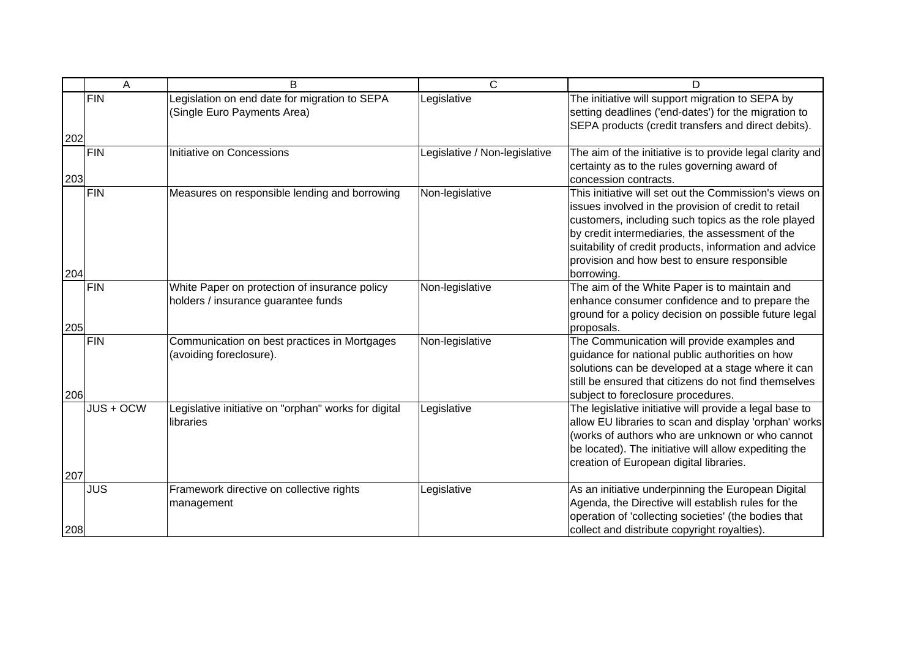|            | A          | B                                                                                    | $\mathsf{C}$                  | D                                                                                                                                                                                                                                                                                                                                                |
|------------|------------|--------------------------------------------------------------------------------------|-------------------------------|--------------------------------------------------------------------------------------------------------------------------------------------------------------------------------------------------------------------------------------------------------------------------------------------------------------------------------------------------|
|            | <b>FIN</b> | Legislation on end date for migration to SEPA<br>(Single Euro Payments Area)         | Legislative                   | The initiative will support migration to SEPA by<br>setting deadlines ('end-dates') for the migration to<br>SEPA products (credit transfers and direct debits).                                                                                                                                                                                  |
| 202<br>203 | FIN        | Initiative on Concessions                                                            | Legislative / Non-legislative | The aim of the initiative is to provide legal clarity and<br>certainty as to the rules governing award of<br>concession contracts.                                                                                                                                                                                                               |
| 204        | FIN        | Measures on responsible lending and borrowing                                        | Non-legislative               | This initiative will set out the Commission's views on<br>issues involved in the provision of credit to retail<br>customers, including such topics as the role played<br>by credit intermediaries, the assessment of the<br>suitability of credit products, information and advice<br>provision and how best to ensure responsible<br>borrowing. |
| 205        | <b>FIN</b> | White Paper on protection of insurance policy<br>holders / insurance guarantee funds | Non-legislative               | The aim of the White Paper is to maintain and<br>enhance consumer confidence and to prepare the<br>ground for a policy decision on possible future legal<br>proposals.                                                                                                                                                                           |
| 206        | <b>FIN</b> | Communication on best practices in Mortgages<br>(avoiding foreclosure).              | Non-legislative               | The Communication will provide examples and<br>guidance for national public authorities on how<br>solutions can be developed at a stage where it can<br>still be ensured that citizens do not find themselves<br>subject to foreclosure procedures.                                                                                              |
|            | JUS + OCW  | Legislative initiative on "orphan" works for digital<br>libraries                    | Legislative                   | The legislative initiative will provide a legal base to<br>allow EU libraries to scan and display 'orphan' works<br>(works of authors who are unknown or who cannot<br>be located). The initiative will allow expediting the<br>creation of European digital libraries.                                                                          |
| 207        |            |                                                                                      |                               |                                                                                                                                                                                                                                                                                                                                                  |
| 208        | <b>JUS</b> | Framework directive on collective rights<br>management                               | Legislative                   | As an initiative underpinning the European Digital<br>Agenda, the Directive will establish rules for the<br>operation of 'collecting societies' (the bodies that<br>collect and distribute copyright royalties).                                                                                                                                 |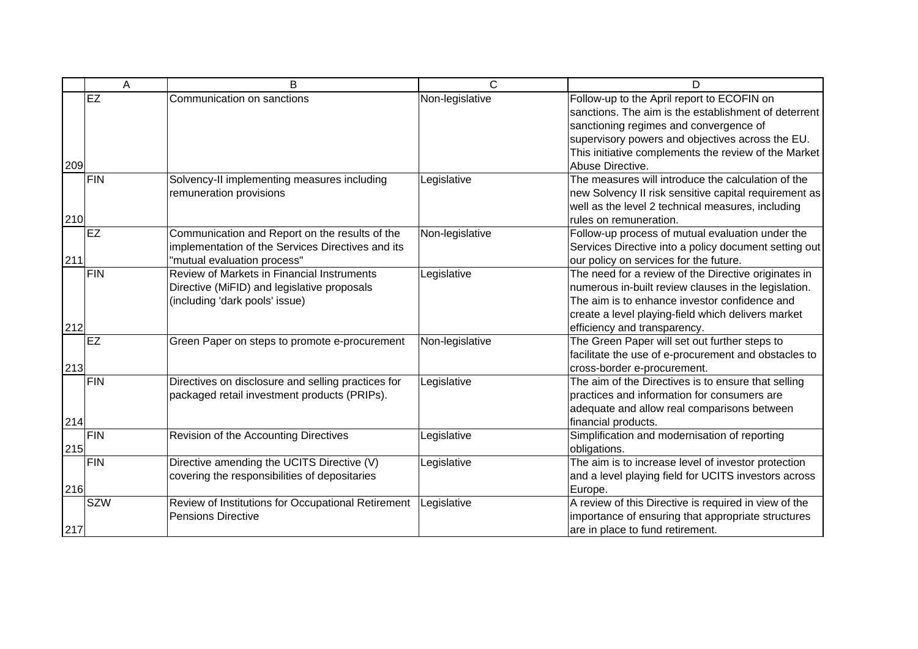|     | A          | B                                                                                                                                  | C               | D                                                                                                                                                                                                                                                                            |
|-----|------------|------------------------------------------------------------------------------------------------------------------------------------|-----------------|------------------------------------------------------------------------------------------------------------------------------------------------------------------------------------------------------------------------------------------------------------------------------|
| 209 | EZ         | Communication on sanctions                                                                                                         | Non-legislative | Follow-up to the April report to ECOFIN on<br>sanctions. The aim is the establishment of deterrent<br>sanctioning regimes and convergence of<br>supervisory powers and objectives across the EU.<br>This initiative complements the review of the Market<br>Abuse Directive. |
| 210 | FIN        | Solvency-II implementing measures including<br>remuneration provisions                                                             | Legislative     | The measures will introduce the calculation of the<br>new Solvency II risk sensitive capital requirement as<br>well as the level 2 technical measures, including<br>rules on remuneration.                                                                                   |
| 211 | <b>EZ</b>  | Communication and Report on the results of the<br>implementation of the Services Directives and its<br>'mutual evaluation process" | Non-legislative | Follow-up process of mutual evaluation under the<br>Services Directive into a policy document setting out<br>our policy on services for the future.                                                                                                                          |
| 212 | FIN        | Review of Markets in Financial Instruments<br>Directive (MiFID) and legislative proposals<br>(including 'dark pools' issue)        | Legislative     | The need for a review of the Directive originates in<br>numerous in-built review clauses in the legislation.<br>The aim is to enhance investor confidence and<br>create a level playing-field which delivers market<br>efficiency and transparency.                          |
| 213 | <b>EZ</b>  | Green Paper on steps to promote e-procurement                                                                                      | Non-legislative | The Green Paper will set out further steps to<br>facilitate the use of e-procurement and obstacles to<br>cross-border e-procurement.                                                                                                                                         |
| 214 | FIN        | Directives on disclosure and selling practices for<br>packaged retail investment products (PRIPs).                                 | Legislative     | The aim of the Directives is to ensure that selling<br>practices and information for consumers are<br>adequate and allow real comparisons between<br>financial products.                                                                                                     |
| 215 | <b>FIN</b> | Revision of the Accounting Directives                                                                                              | Legislative     | Simplification and modernisation of reporting<br>obligations.                                                                                                                                                                                                                |
| 216 | <b>FIN</b> | Directive amending the UCITS Directive (V)<br>covering the responsibilities of depositaries                                        | Legislative     | The aim is to increase level of investor protection<br>and a level playing field for UCITS investors across<br>Europe.                                                                                                                                                       |
| 217 | <b>SZW</b> | Review of Institutions for Occupational Retirement<br><b>Pensions Directive</b>                                                    | Legislative     | A review of this Directive is required in view of the<br>importance of ensuring that appropriate structures<br>are in place to fund retirement.                                                                                                                              |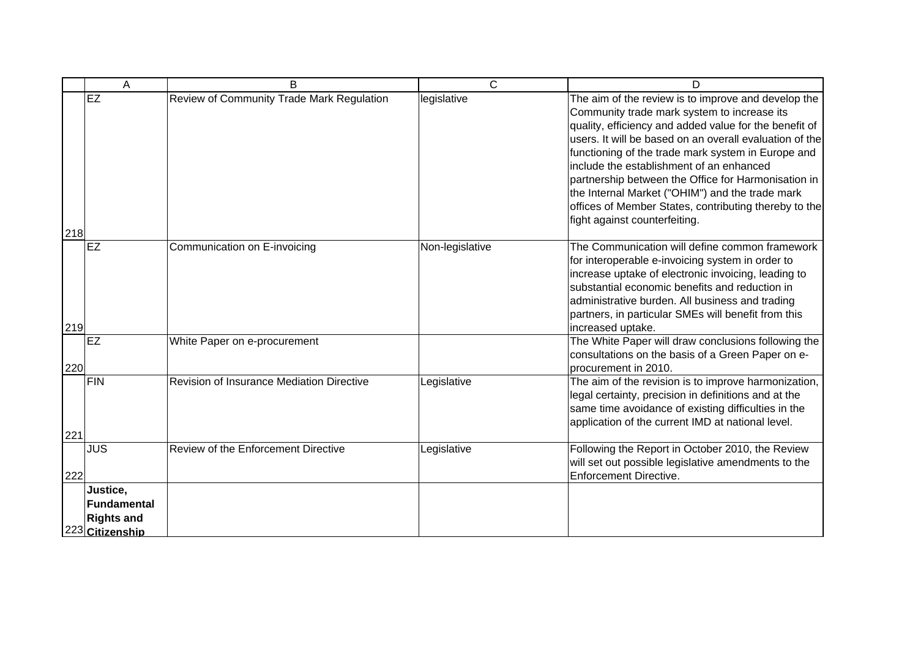|     | A                                                                       | B                                                | C               | D                                                                                                                                                                                                                                                                                                                                                                                                                                                                                                                             |
|-----|-------------------------------------------------------------------------|--------------------------------------------------|-----------------|-------------------------------------------------------------------------------------------------------------------------------------------------------------------------------------------------------------------------------------------------------------------------------------------------------------------------------------------------------------------------------------------------------------------------------------------------------------------------------------------------------------------------------|
| 218 | EZ                                                                      | Review of Community Trade Mark Regulation        | legislative     | The aim of the review is to improve and develop the<br>Community trade mark system to increase its<br>quality, efficiency and added value for the benefit of<br>users. It will be based on an overall evaluation of the<br>functioning of the trade mark system in Europe and<br>include the establishment of an enhanced<br>partnership between the Office for Harmonisation in<br>the Internal Market ("OHIM") and the trade mark<br>offices of Member States, contributing thereby to the<br>fight against counterfeiting. |
| 219 | <b>IEZ</b>                                                              | Communication on E-invoicing                     | Non-legislative | The Communication will define common framework<br>for interoperable e-invoicing system in order to<br>increase uptake of electronic invoicing, leading to<br>substantial economic benefits and reduction in<br>administrative burden. All business and trading<br>partners, in particular SMEs will benefit from this<br>increased uptake.                                                                                                                                                                                    |
| 220 | EZ                                                                      | White Paper on e-procurement                     |                 | The White Paper will draw conclusions following the<br>consultations on the basis of a Green Paper on e-<br>procurement in 2010.                                                                                                                                                                                                                                                                                                                                                                                              |
| 221 | <b>FIN</b>                                                              | <b>Revision of Insurance Mediation Directive</b> | Legislative     | The aim of the revision is to improve harmonization,<br>legal certainty, precision in definitions and at the<br>same time avoidance of existing difficulties in the<br>application of the current IMD at national level.                                                                                                                                                                                                                                                                                                      |
| 222 | <b>JUS</b>                                                              | Review of the Enforcement Directive              | Legislative     | Following the Report in October 2010, the Review<br>will set out possible legislative amendments to the<br><b>Enforcement Directive.</b>                                                                                                                                                                                                                                                                                                                                                                                      |
|     | Justice,<br><b>IFundamental</b><br><b>Rights and</b><br>223 Citizenship |                                                  |                 |                                                                                                                                                                                                                                                                                                                                                                                                                                                                                                                               |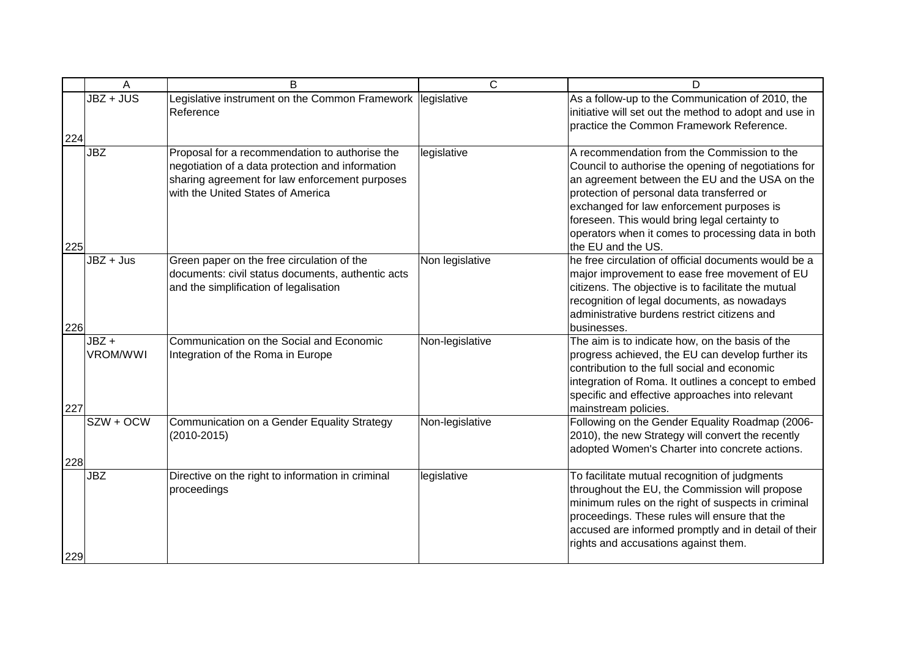|     | Α                       | B                                                                                                                                                                                         | $\overline{C}$  | D                                                                                                                                                                                                                                                                                                                                                                             |
|-----|-------------------------|-------------------------------------------------------------------------------------------------------------------------------------------------------------------------------------------|-----------------|-------------------------------------------------------------------------------------------------------------------------------------------------------------------------------------------------------------------------------------------------------------------------------------------------------------------------------------------------------------------------------|
| 224 | $JBZ + JUS$             | Legislative instrument on the Common Framework legislative<br>Reference                                                                                                                   |                 | As a follow-up to the Communication of 2010, the<br>initiative will set out the method to adopt and use in<br>practice the Common Framework Reference.                                                                                                                                                                                                                        |
| 225 | <b>JBZ</b>              | Proposal for a recommendation to authorise the<br>negotiation of a data protection and information<br>sharing agreement for law enforcement purposes<br>with the United States of America | legislative     | A recommendation from the Commission to the<br>Council to authorise the opening of negotiations for<br>an agreement between the EU and the USA on the<br>protection of personal data transferred or<br>exchanged for law enforcement purposes is<br>foreseen. This would bring legal certainty to<br>operators when it comes to processing data in both<br>the EU and the US. |
| 226 | $JBZ + Jus$             | Green paper on the free circulation of the<br>documents: civil status documents, authentic acts<br>and the simplification of legalisation                                                 | Non legislative | he free circulation of official documents would be a<br>major improvement to ease free movement of EU<br>citizens. The objective is to facilitate the mutual<br>recognition of legal documents, as nowadays<br>administrative burdens restrict citizens and<br>businesses.                                                                                                    |
| 227 | JBZ+<br><b>VROM/WWI</b> | Communication on the Social and Economic<br>Integration of the Roma in Europe                                                                                                             | Non-legislative | The aim is to indicate how, on the basis of the<br>progress achieved, the EU can develop further its<br>contribution to the full social and economic<br>integration of Roma. It outlines a concept to embed<br>specific and effective approaches into relevant<br>mainstream policies.                                                                                        |
| 228 | SZW + OCW               | Communication on a Gender Equality Strategy<br>$(2010 - 2015)$                                                                                                                            | Non-legislative | Following on the Gender Equality Roadmap (2006-<br>2010), the new Strategy will convert the recently<br>adopted Women's Charter into concrete actions.                                                                                                                                                                                                                        |
| 229 | JBZ                     | Directive on the right to information in criminal<br>proceedings                                                                                                                          | legislative     | To facilitate mutual recognition of judgments<br>throughout the EU, the Commission will propose<br>minimum rules on the right of suspects in criminal<br>proceedings. These rules will ensure that the<br>accused are informed promptly and in detail of their<br>rights and accusations against them.                                                                        |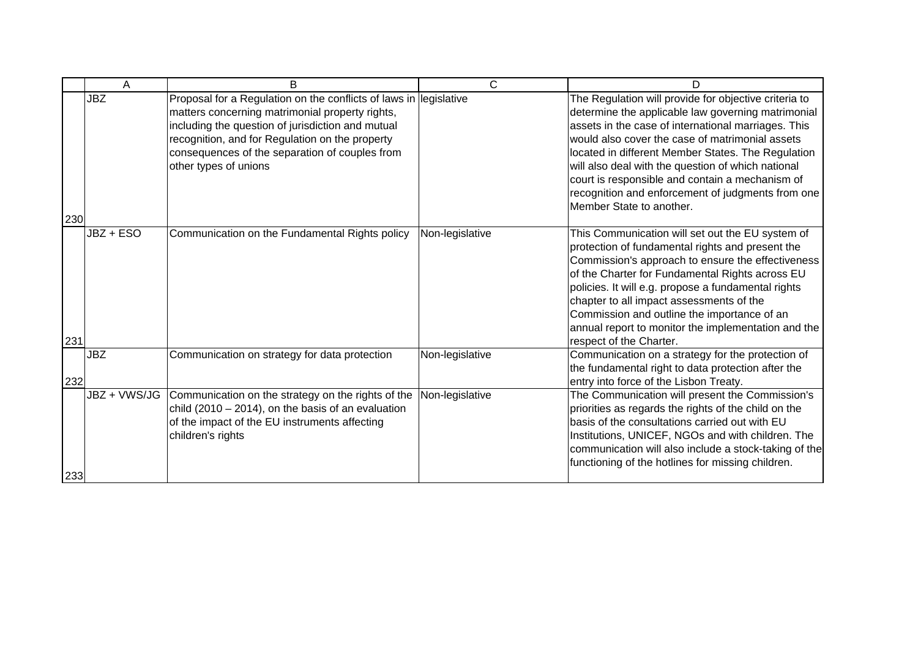|     | Α            | B                                                                                                                                                                                                                                                                                                       | C               | n                                                                                                                                                                                                                                                                                                                                                                                                                                                                     |
|-----|--------------|---------------------------------------------------------------------------------------------------------------------------------------------------------------------------------------------------------------------------------------------------------------------------------------------------------|-----------------|-----------------------------------------------------------------------------------------------------------------------------------------------------------------------------------------------------------------------------------------------------------------------------------------------------------------------------------------------------------------------------------------------------------------------------------------------------------------------|
| 230 | <b>JBZ</b>   | Proposal for a Regulation on the conflicts of laws in legislative<br>matters concerning matrimonial property rights,<br>including the question of jurisdiction and mutual<br>recognition, and for Regulation on the property<br>consequences of the separation of couples from<br>other types of unions |                 | The Regulation will provide for objective criteria to<br>determine the applicable law governing matrimonial<br>assets in the case of international marriages. This<br>would also cover the case of matrimonial assets<br>located in different Member States. The Regulation<br>will also deal with the question of which national<br>court is responsible and contain a mechanism of<br>recognition and enforcement of judgments from one<br>Member State to another. |
| 231 | JBZ + ESO    | Communication on the Fundamental Rights policy                                                                                                                                                                                                                                                          | Non-legislative | This Communication will set out the EU system of<br>protection of fundamental rights and present the<br>Commission's approach to ensure the effectiveness<br>of the Charter for Fundamental Rights across EU<br>policies. It will e.g. propose a fundamental rights<br>chapter to all impact assessments of the<br>Commission and outline the importance of an<br>annual report to monitor the implementation and the<br>respect of the Charter.                      |
| 232 | <b>JBZ</b>   | Communication on strategy for data protection                                                                                                                                                                                                                                                           | Non-legislative | Communication on a strategy for the protection of<br>the fundamental right to data protection after the<br>entry into force of the Lisbon Treaty.                                                                                                                                                                                                                                                                                                                     |
| 233 | JBZ + VWS/JG | Communication on the strategy on the rights of the<br>child $(2010 - 2014)$ , on the basis of an evaluation<br>of the impact of the EU instruments affecting<br>children's rights                                                                                                                       | Non-legislative | The Communication will present the Commission's<br>priorities as regards the rights of the child on the<br>basis of the consultations carried out with EU<br>Institutions, UNICEF, NGOs and with children. The<br>communication will also include a stock-taking of the<br>functioning of the hotlines for missing children.                                                                                                                                          |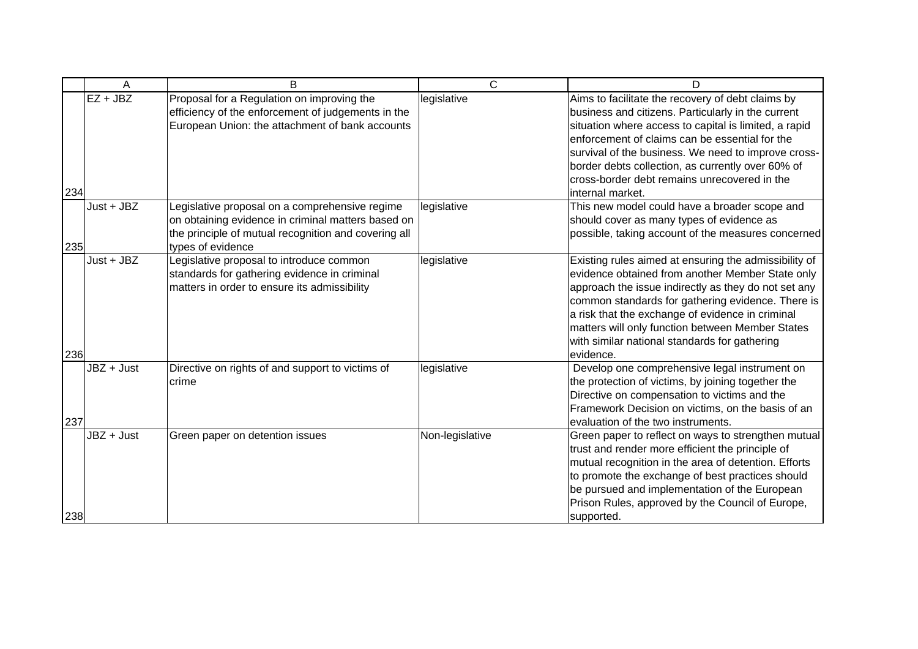|     | A            | B                                                                                                                                                                                 | $\mathsf{C}$    | D                                                                                                                                                                                                                                                                                                                                                                                                  |
|-----|--------------|-----------------------------------------------------------------------------------------------------------------------------------------------------------------------------------|-----------------|----------------------------------------------------------------------------------------------------------------------------------------------------------------------------------------------------------------------------------------------------------------------------------------------------------------------------------------------------------------------------------------------------|
| 234 | $EZ + JBZ$   | Proposal for a Regulation on improving the<br>efficiency of the enforcement of judgements in the<br>European Union: the attachment of bank accounts                               | legislative     | Aims to facilitate the recovery of debt claims by<br>business and citizens. Particularly in the current<br>situation where access to capital is limited, a rapid<br>enforcement of claims can be essential for the<br>survival of the business. We need to improve cross-<br>border debts collection, as currently over 60% of<br>cross-border debt remains unrecovered in the<br>internal market. |
| 235 | $Just + JBZ$ | Legislative proposal on a comprehensive regime<br>on obtaining evidence in criminal matters based on<br>the principle of mutual recognition and covering all<br>types of evidence | legislative     | This new model could have a broader scope and<br>should cover as many types of evidence as<br>possible, taking account of the measures concerned                                                                                                                                                                                                                                                   |
| 236 | $Just + JBZ$ | Legislative proposal to introduce common<br>standards for gathering evidence in criminal<br>matters in order to ensure its admissibility                                          | legislative     | Existing rules aimed at ensuring the admissibility of<br>evidence obtained from another Member State only<br>approach the issue indirectly as they do not set any<br>common standards for gathering evidence. There is<br>a risk that the exchange of evidence in criminal<br>matters will only function between Member States<br>with similar national standards for gathering<br>evidence.       |
| 237 | JBZ + Just   | Directive on rights of and support to victims of<br>crime                                                                                                                         | legislative     | Develop one comprehensive legal instrument on<br>the protection of victims, by joining together the<br>Directive on compensation to victims and the<br>Framework Decision on victims, on the basis of an<br>evaluation of the two instruments.                                                                                                                                                     |
| 238 | $JBZ + Just$ | Green paper on detention issues                                                                                                                                                   | Non-legislative | Green paper to reflect on ways to strengthen mutual<br>trust and render more efficient the principle of<br>mutual recognition in the area of detention. Efforts<br>to promote the exchange of best practices should<br>be pursued and implementation of the European<br>Prison Rules, approved by the Council of Europe,<br>supported.                                                             |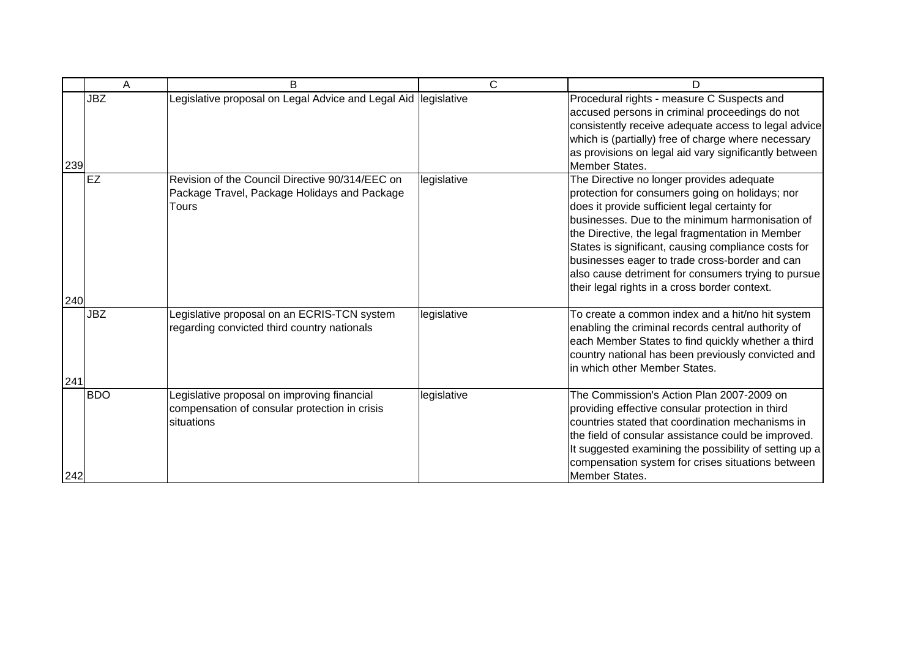|     | Α          | <sub>B</sub>                                                                                               | $\mathsf{C}$ | D                                                                                                                                                                                                                                                                                                                                                                                                                                                                      |
|-----|------------|------------------------------------------------------------------------------------------------------------|--------------|------------------------------------------------------------------------------------------------------------------------------------------------------------------------------------------------------------------------------------------------------------------------------------------------------------------------------------------------------------------------------------------------------------------------------------------------------------------------|
| 239 | <b>JBZ</b> | Legislative proposal on Legal Advice and Legal Aid legislative                                             |              | Procedural rights - measure C Suspects and<br>accused persons in criminal proceedings do not<br>consistently receive adequate access to legal advice<br>which is (partially) free of charge where necessary<br>as provisions on legal aid vary significantly between<br>Member States.                                                                                                                                                                                 |
| 240 | <b>EZ</b>  | Revision of the Council Directive 90/314/EEC on<br>Package Travel, Package Holidays and Package<br>Tours   | legislative  | The Directive no longer provides adequate<br>protection for consumers going on holidays; nor<br>does it provide sufficient legal certainty for<br>businesses. Due to the minimum harmonisation of<br>the Directive, the legal fragmentation in Member<br>States is significant, causing compliance costs for<br>businesses eager to trade cross-border and can<br>also cause detriment for consumers trying to pursue<br>their legal rights in a cross border context. |
| 241 | <b>JBZ</b> | Legislative proposal on an ECRIS-TCN system<br>regarding convicted third country nationals                 | legislative  | To create a common index and a hit/no hit system<br>enabling the criminal records central authority of<br>each Member States to find quickly whether a third<br>country national has been previously convicted and<br>in which other Member States.                                                                                                                                                                                                                    |
| 242 | <b>BDO</b> | Legislative proposal on improving financial<br>compensation of consular protection in crisis<br>situations | legislative  | The Commission's Action Plan 2007-2009 on<br>providing effective consular protection in third<br>countries stated that coordination mechanisms in<br>the field of consular assistance could be improved.<br>It suggested examining the possibility of setting up a<br>compensation system for crises situations between<br>Member States.                                                                                                                              |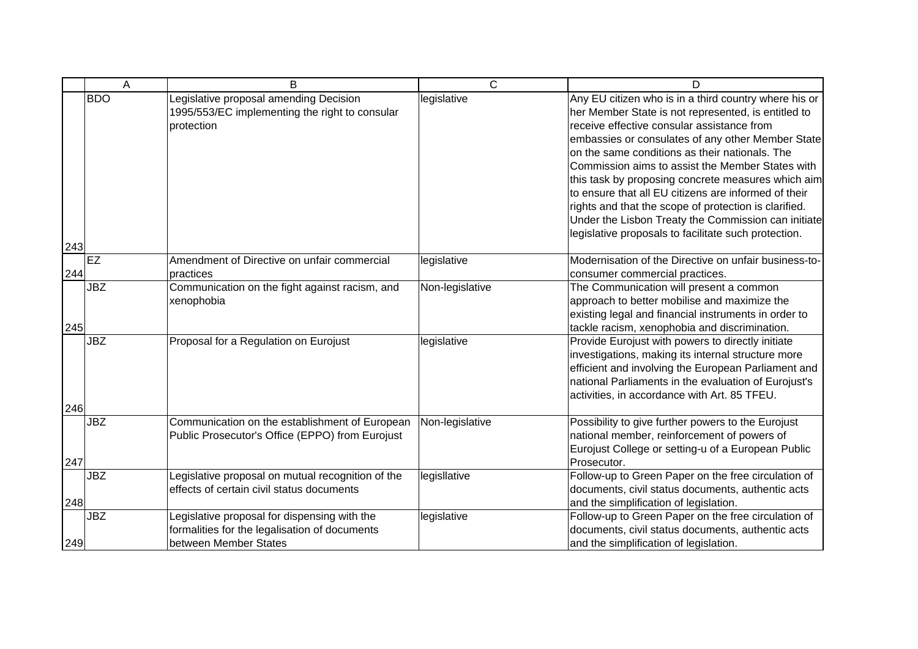|     | A          | B                                                                                                                      | $\overline{C}$  | D                                                                                                                                                                                                                                                                                                                                                                                                                                                                                                                                                                                                           |
|-----|------------|------------------------------------------------------------------------------------------------------------------------|-----------------|-------------------------------------------------------------------------------------------------------------------------------------------------------------------------------------------------------------------------------------------------------------------------------------------------------------------------------------------------------------------------------------------------------------------------------------------------------------------------------------------------------------------------------------------------------------------------------------------------------------|
|     | <b>BDO</b> | Legislative proposal amending Decision<br>1995/553/EC implementing the right to consular<br>protection                 | legislative     | Any EU citizen who is in a third country where his or<br>her Member State is not represented, is entitled to<br>receive effective consular assistance from<br>embassies or consulates of any other Member State<br>on the same conditions as their nationals. The<br>Commission aims to assist the Member States with<br>this task by proposing concrete measures which aim<br>to ensure that all EU citizens are informed of their<br>rights and that the scope of protection is clarified.<br>Under the Lisbon Treaty the Commission can initiate<br>legislative proposals to facilitate such protection. |
| 243 |            |                                                                                                                        |                 |                                                                                                                                                                                                                                                                                                                                                                                                                                                                                                                                                                                                             |
| 244 | EZ         | Amendment of Directive on unfair commercial<br>practices                                                               | legislative     | Modernisation of the Directive on unfair business-to-<br>consumer commercial practices.                                                                                                                                                                                                                                                                                                                                                                                                                                                                                                                     |
| 245 | <b>JBZ</b> | Communication on the fight against racism, and<br>xenophobia                                                           | Non-legislative | The Communication will present a common<br>approach to better mobilise and maximize the<br>existing legal and financial instruments in order to<br>tackle racism, xenophobia and discrimination.                                                                                                                                                                                                                                                                                                                                                                                                            |
|     | <b>JBZ</b> | Proposal for a Regulation on Eurojust                                                                                  | legislative     | Provide Eurojust with powers to directly initiate<br>investigations, making its internal structure more<br>efficient and involving the European Parliament and<br>national Parliaments in the evaluation of Eurojust's<br>activities, in accordance with Art. 85 TFEU.                                                                                                                                                                                                                                                                                                                                      |
| 246 |            |                                                                                                                        |                 |                                                                                                                                                                                                                                                                                                                                                                                                                                                                                                                                                                                                             |
| 247 | <b>JBZ</b> | Communication on the establishment of European<br>Public Prosecutor's Office (EPPO) from Eurojust                      | Non-legislative | Possibility to give further powers to the Eurojust<br>national member, reinforcement of powers of<br>Eurojust College or setting-u of a European Public<br>Prosecutor.                                                                                                                                                                                                                                                                                                                                                                                                                                      |
| 248 | <b>JBZ</b> | Legislative proposal on mutual recognition of the<br>effects of certain civil status documents                         | legisllative    | Follow-up to Green Paper on the free circulation of<br>documents, civil status documents, authentic acts<br>and the simplification of legislation.                                                                                                                                                                                                                                                                                                                                                                                                                                                          |
| 249 | <b>JBZ</b> | Legislative proposal for dispensing with the<br>formalities for the legalisation of documents<br>between Member States | legislative     | Follow-up to Green Paper on the free circulation of<br>documents, civil status documents, authentic acts<br>and the simplification of legislation.                                                                                                                                                                                                                                                                                                                                                                                                                                                          |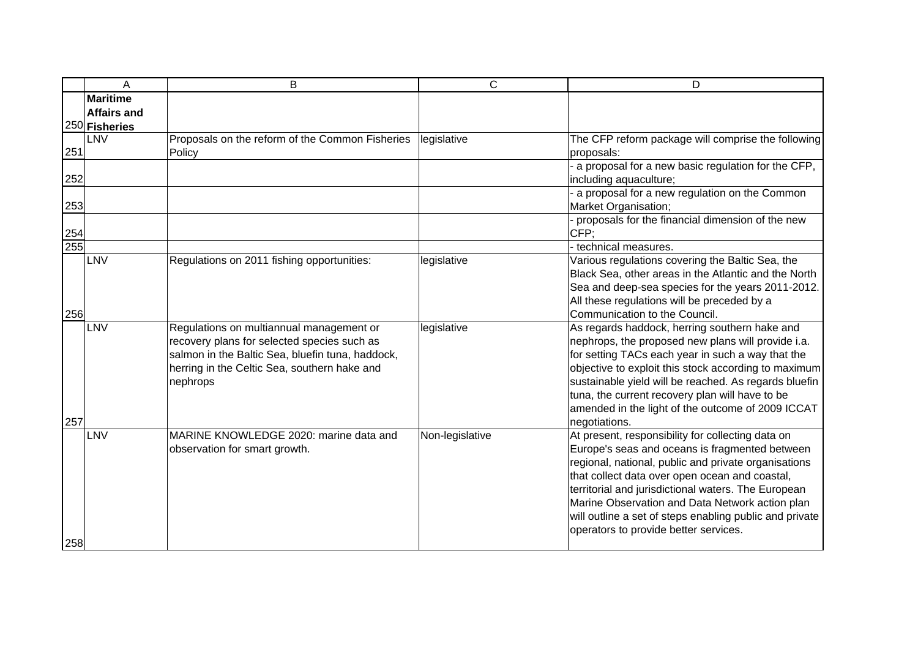|     | Α                                                      | B                                                                                                                                                                                                       | $\mathsf{C}$    | D                                                                                                                                                                                                                                                                                                                                                                                                                           |
|-----|--------------------------------------------------------|---------------------------------------------------------------------------------------------------------------------------------------------------------------------------------------------------------|-----------------|-----------------------------------------------------------------------------------------------------------------------------------------------------------------------------------------------------------------------------------------------------------------------------------------------------------------------------------------------------------------------------------------------------------------------------|
|     | <b>Maritime</b><br><b>Affairs and</b><br>250 Fisheries |                                                                                                                                                                                                         |                 |                                                                                                                                                                                                                                                                                                                                                                                                                             |
| 251 | LNV                                                    | Proposals on the reform of the Common Fisheries<br>Policy                                                                                                                                               | legislative     | The CFP reform package will comprise the following<br>proposals:                                                                                                                                                                                                                                                                                                                                                            |
| 252 |                                                        |                                                                                                                                                                                                         |                 | a proposal for a new basic regulation for the CFP,<br>including aquaculture;                                                                                                                                                                                                                                                                                                                                                |
| 253 |                                                        |                                                                                                                                                                                                         |                 | a proposal for a new regulation on the Common<br>Market Organisation;                                                                                                                                                                                                                                                                                                                                                       |
| 254 |                                                        |                                                                                                                                                                                                         |                 | proposals for the financial dimension of the new<br>CFP:                                                                                                                                                                                                                                                                                                                                                                    |
| 255 |                                                        |                                                                                                                                                                                                         |                 | technical measures.                                                                                                                                                                                                                                                                                                                                                                                                         |
| 256 | LNV                                                    | Regulations on 2011 fishing opportunities:                                                                                                                                                              | legislative     | Various regulations covering the Baltic Sea, the<br>Black Sea, other areas in the Atlantic and the North<br>Sea and deep-sea species for the years 2011-2012.<br>All these regulations will be preceded by a<br>Communication to the Council.                                                                                                                                                                               |
| 257 | LNV                                                    | Regulations on multiannual management or<br>recovery plans for selected species such as<br>salmon in the Baltic Sea, bluefin tuna, haddock,<br>herring in the Celtic Sea, southern hake and<br>nephrops | legislative     | As regards haddock, herring southern hake and<br>nephrops, the proposed new plans will provide i.a.<br>for setting TACs each year in such a way that the<br>objective to exploit this stock according to maximum<br>sustainable yield will be reached. As regards bluefin<br>tuna, the current recovery plan will have to be<br>amended in the light of the outcome of 2009 ICCAT<br>negotiations.                          |
| 258 | LNV                                                    | MARINE KNOWLEDGE 2020: marine data and<br>observation for smart growth.                                                                                                                                 | Non-legislative | At present, responsibility for collecting data on<br>Europe's seas and oceans is fragmented between<br>regional, national, public and private organisations<br>that collect data over open ocean and coastal,<br>territorial and jurisdictional waters. The European<br>Marine Observation and Data Network action plan<br>will outline a set of steps enabling public and private<br>operators to provide better services. |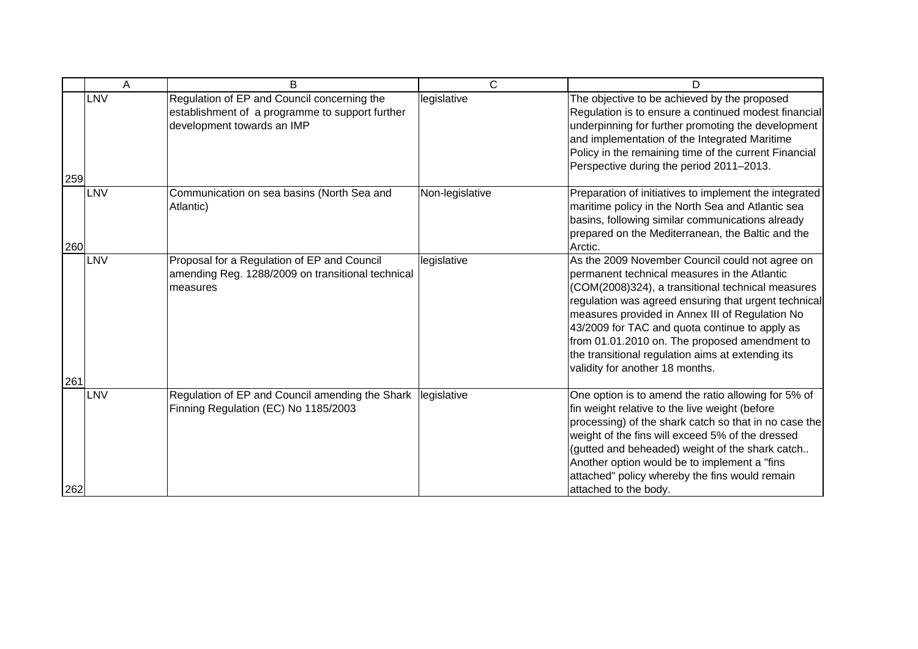|     | A   | B                                                                                                                            | $\mathsf{C}$    | D                                                                                                                                                                                                                                                                                                                                                                                                                                                          |
|-----|-----|------------------------------------------------------------------------------------------------------------------------------|-----------------|------------------------------------------------------------------------------------------------------------------------------------------------------------------------------------------------------------------------------------------------------------------------------------------------------------------------------------------------------------------------------------------------------------------------------------------------------------|
| 259 | LNV | Regulation of EP and Council concerning the<br>establishment of a programme to support further<br>development towards an IMP | legislative     | The objective to be achieved by the proposed<br>Regulation is to ensure a continued modest financial<br>underpinning for further promoting the development<br>and implementation of the Integrated Maritime<br>Policy in the remaining time of the current Financial<br>Perspective during the period 2011-2013.                                                                                                                                           |
| 260 | LNV | Communication on sea basins (North Sea and<br>Atlantic)                                                                      | Non-legislative | Preparation of initiatives to implement the integrated<br>maritime policy in the North Sea and Atlantic sea<br>basins, following similar communications already<br>prepared on the Mediterranean, the Baltic and the<br>Arctic.                                                                                                                                                                                                                            |
| 261 | LNV | Proposal for a Regulation of EP and Council<br>amending Reg. 1288/2009 on transitional technical<br>measures                 | legislative     | As the 2009 November Council could not agree on<br>permanent technical measures in the Atlantic<br>(COM(2008)324), a transitional technical measures<br>regulation was agreed ensuring that urgent technical<br>measures provided in Annex III of Regulation No<br>43/2009 for TAC and quota continue to apply as<br>from 01.01.2010 on. The proposed amendment to<br>the transitional regulation aims at extending its<br>validity for another 18 months. |
| 262 | LNV | Regulation of EP and Council amending the Shark   legislative<br>Finning Regulation (EC) No 1185/2003                        |                 | One option is to amend the ratio allowing for 5% of<br>fin weight relative to the live weight (before<br>processing) of the shark catch so that in no case the<br>weight of the fins will exceed 5% of the dressed<br>(gutted and beheaded) weight of the shark catch<br>Another option would be to implement a "fins<br>attached" policy whereby the fins would remain<br>attached to the body.                                                           |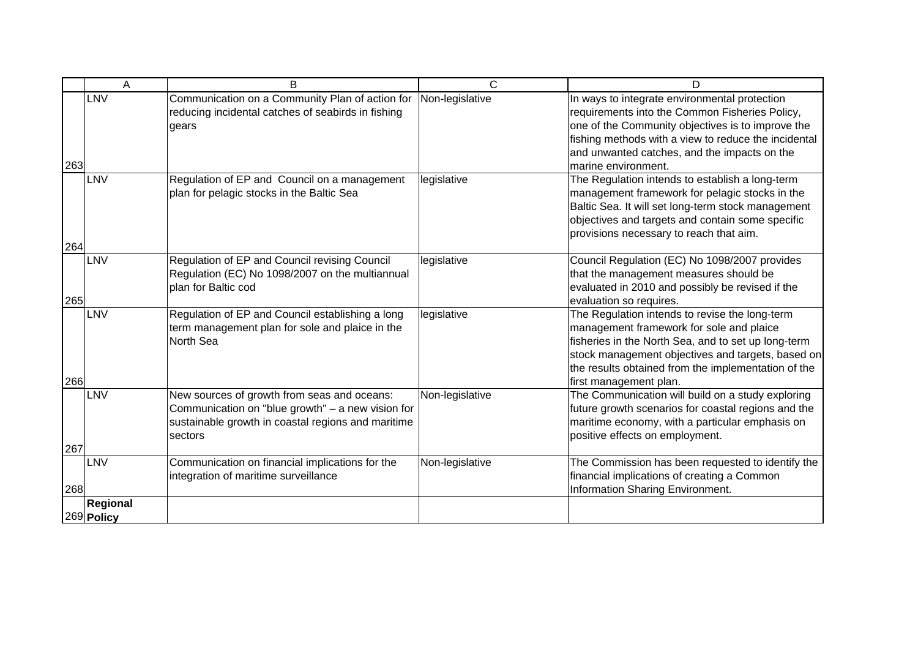|     | A                      | B                                                                                                                                                                 | C               | D                                                                                                                                                                                                                                                                                       |
|-----|------------------------|-------------------------------------------------------------------------------------------------------------------------------------------------------------------|-----------------|-----------------------------------------------------------------------------------------------------------------------------------------------------------------------------------------------------------------------------------------------------------------------------------------|
| 263 | <b>LNV</b>             | Communication on a Community Plan of action for<br>reducing incidental catches of seabirds in fishing<br>gears                                                    | Non-legislative | In ways to integrate environmental protection<br>requirements into the Common Fisheries Policy,<br>one of the Community objectives is to improve the<br>fishing methods with a view to reduce the incidental<br>and unwanted catches, and the impacts on the<br>marine environment.     |
| 264 | LNV                    | Regulation of EP and Council on a management<br>plan for pelagic stocks in the Baltic Sea                                                                         | legislative     | The Regulation intends to establish a long-term<br>management framework for pelagic stocks in the<br>Baltic Sea. It will set long-term stock management<br>objectives and targets and contain some specific<br>provisions necessary to reach that aim.                                  |
| 265 | LNV                    | Regulation of EP and Council revising Council<br>Regulation (EC) No 1098/2007 on the multiannual<br>plan for Baltic cod                                           | legislative     | Council Regulation (EC) No 1098/2007 provides<br>that the management measures should be<br>evaluated in 2010 and possibly be revised if the<br>evaluation so requires.                                                                                                                  |
| 266 | <b>LNV</b>             | Regulation of EP and Council establishing a long<br>term management plan for sole and plaice in the<br>North Sea                                                  | legislative     | The Regulation intends to revise the long-term<br>management framework for sole and plaice<br>fisheries in the North Sea, and to set up long-term<br>stock management objectives and targets, based on<br>the results obtained from the implementation of the<br>first management plan. |
| 267 | <b>LNV</b>             | New sources of growth from seas and oceans:<br>Communication on "blue growth" - a new vision for<br>sustainable growth in coastal regions and maritime<br>sectors | Non-legislative | The Communication will build on a study exploring<br>future growth scenarios for coastal regions and the<br>maritime economy, with a particular emphasis on<br>positive effects on employment.                                                                                          |
| 268 | LNV                    | Communication on financial implications for the<br>integration of maritime surveillance                                                                           | Non-legislative | The Commission has been requested to identify the<br>financial implications of creating a Common<br>Information Sharing Environment.                                                                                                                                                    |
|     | Regional<br>269 Policy |                                                                                                                                                                   |                 |                                                                                                                                                                                                                                                                                         |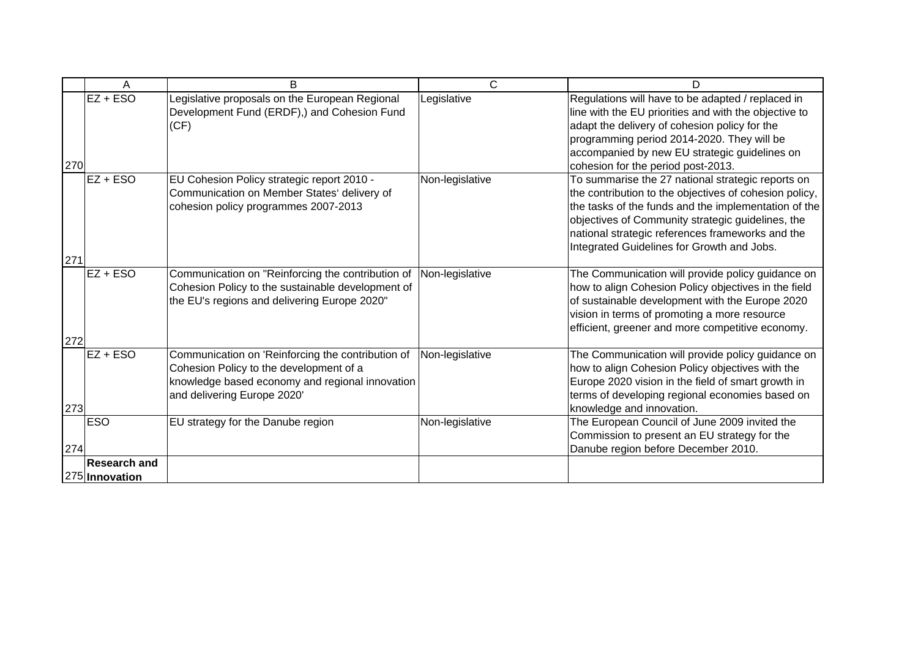|     | A                                     | B                                                                                                                                                                              | $\mathsf{C}$    | D                                                                                                                                                                                                                                                                                                                          |
|-----|---------------------------------------|--------------------------------------------------------------------------------------------------------------------------------------------------------------------------------|-----------------|----------------------------------------------------------------------------------------------------------------------------------------------------------------------------------------------------------------------------------------------------------------------------------------------------------------------------|
| 270 | $EZ + ESO$                            | Legislative proposals on the European Regional<br>Development Fund (ERDF),) and Cohesion Fund<br>(CF)                                                                          | Legislative     | Regulations will have to be adapted / replaced in<br>line with the EU priorities and with the objective to<br>adapt the delivery of cohesion policy for the<br>programming period 2014-2020. They will be<br>accompanied by new EU strategic guidelines on<br>cohesion for the period post-2013.                           |
| 271 | $EZ + ESO$                            | EU Cohesion Policy strategic report 2010 -<br>Communication on Member States' delivery of<br>cohesion policy programmes 2007-2013                                              | Non-legislative | To summarise the 27 national strategic reports on<br>the contribution to the objectives of cohesion policy,<br>the tasks of the funds and the implementation of the<br>objectives of Community strategic guidelines, the<br>national strategic references frameworks and the<br>Integrated Guidelines for Growth and Jobs. |
| 272 | $EZ + ESO$                            | Communication on "Reinforcing the contribution of<br>Cohesion Policy to the sustainable development of<br>the EU's regions and delivering Europe 2020"                         | Non-legislative | The Communication will provide policy guidance on<br>how to align Cohesion Policy objectives in the field<br>of sustainable development with the Europe 2020<br>vision in terms of promoting a more resource<br>efficient, greener and more competitive economy.                                                           |
| 273 | $EZ + ESO$                            | Communication on 'Reinforcing the contribution of<br>Cohesion Policy to the development of a<br>knowledge based economy and regional innovation<br>and delivering Europe 2020' | Non-legislative | The Communication will provide policy guidance on<br>how to align Cohesion Policy objectives with the<br>Europe 2020 vision in the field of smart growth in<br>terms of developing regional economies based on<br>knowledge and innovation.                                                                                |
| 274 | <b>ESO</b>                            | EU strategy for the Danube region                                                                                                                                              | Non-legislative | The European Council of June 2009 invited the<br>Commission to present an EU strategy for the<br>Danube region before December 2010.                                                                                                                                                                                       |
|     | <b>Research and</b><br>275 Innovation |                                                                                                                                                                                |                 |                                                                                                                                                                                                                                                                                                                            |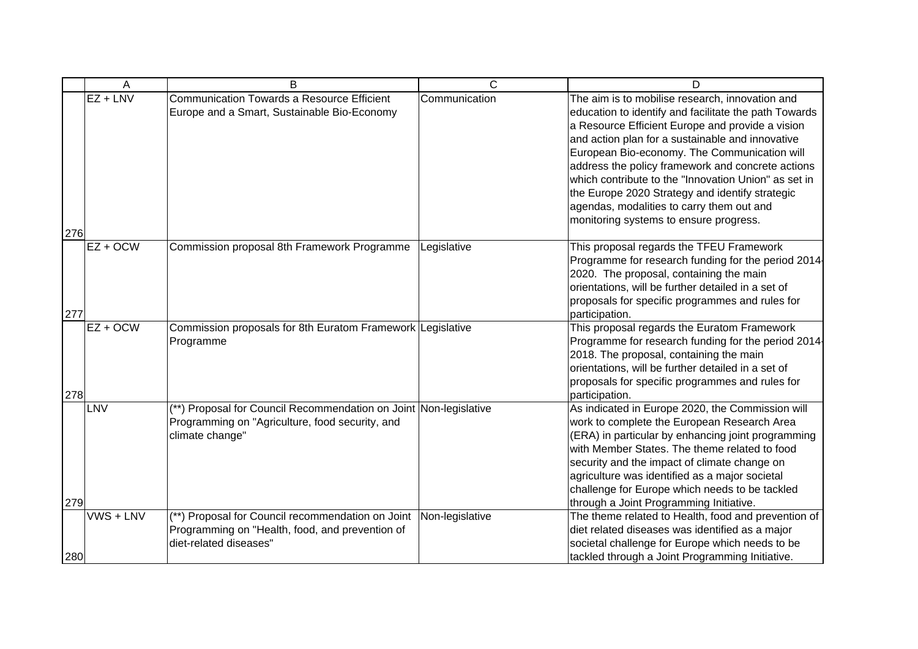|            | A          | B                                                                                                                                       | C               | D                                                                                                                                                                                                                                                                                                                                                                                                                                                                                                                       |
|------------|------------|-----------------------------------------------------------------------------------------------------------------------------------------|-----------------|-------------------------------------------------------------------------------------------------------------------------------------------------------------------------------------------------------------------------------------------------------------------------------------------------------------------------------------------------------------------------------------------------------------------------------------------------------------------------------------------------------------------------|
| 276        | $EZ + LNV$ | <b>Communication Towards a Resource Efficient</b><br>Europe and a Smart, Sustainable Bio-Economy                                        | Communication   | The aim is to mobilise research, innovation and<br>education to identify and facilitate the path Towards<br>a Resource Efficient Europe and provide a vision<br>and action plan for a sustainable and innovative<br>European Bio-economy. The Communication will<br>address the policy framework and concrete actions<br>which contribute to the "Innovation Union" as set in<br>the Europe 2020 Strategy and identify strategic<br>agendas, modalities to carry them out and<br>monitoring systems to ensure progress. |
| 277        | $EZ + OCW$ | Commission proposal 8th Framework Programme                                                                                             | Legislative     | This proposal regards the TFEU Framework<br>Programme for research funding for the period 2014-<br>2020. The proposal, containing the main<br>orientations, will be further detailed in a set of<br>proposals for specific programmes and rules for<br>participation.                                                                                                                                                                                                                                                   |
| 278        | $EZ + OCW$ | Commission proposals for 8th Euratom Framework Legislative<br>Programme                                                                 |                 | This proposal regards the Euratom Framework<br>Programme for research funding for the period 2014-<br>2018. The proposal, containing the main<br>orientations, will be further detailed in a set of<br>proposals for specific programmes and rules for<br>participation.                                                                                                                                                                                                                                                |
|            | LNV        | (**) Proposal for Council Recommendation on Joint Non-legislative<br>Programming on "Agriculture, food security, and<br>climate change" |                 | As indicated in Europe 2020, the Commission will<br>work to complete the European Research Area<br>(ERA) in particular by enhancing joint programming<br>with Member States. The theme related to food<br>security and the impact of climate change on<br>agriculture was identified as a major societal<br>challenge for Europe which needs to be tackled                                                                                                                                                              |
| 279<br>280 | VWS + LNV  | (**) Proposal for Council recommendation on Joint<br>Programming on "Health, food, and prevention of<br>diet-related diseases"          | Non-legislative | through a Joint Programming Initiative.<br>The theme related to Health, food and prevention of<br>diet related diseases was identified as a major<br>societal challenge for Europe which needs to be<br>tackled through a Joint Programming Initiative.                                                                                                                                                                                                                                                                 |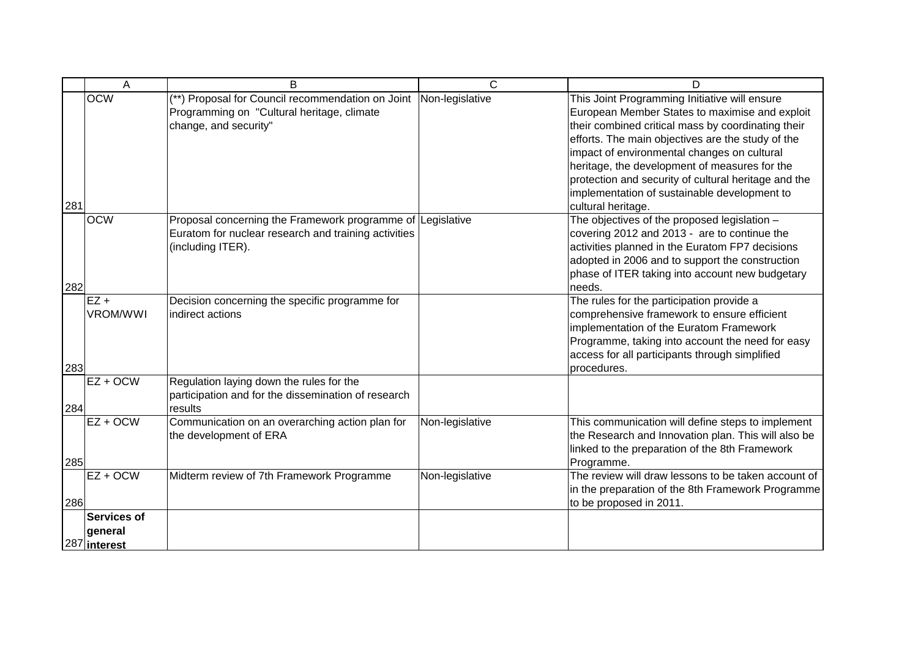|     | A                         | B                                                                                                                                       | C               | D                                                                                                                                                                                                                                                                                                                                                                                                                                        |
|-----|---------------------------|-----------------------------------------------------------------------------------------------------------------------------------------|-----------------|------------------------------------------------------------------------------------------------------------------------------------------------------------------------------------------------------------------------------------------------------------------------------------------------------------------------------------------------------------------------------------------------------------------------------------------|
| 281 | <b>OCW</b>                | (**) Proposal for Council recommendation on Joint<br>Programming on "Cultural heritage, climate<br>change, and security"                | Non-legislative | This Joint Programming Initiative will ensure<br>European Member States to maximise and exploit<br>their combined critical mass by coordinating their<br>efforts. The main objectives are the study of the<br>impact of environmental changes on cultural<br>heritage, the development of measures for the<br>protection and security of cultural heritage and the<br>implementation of sustainable development to<br>cultural heritage. |
| 282 | <b>OCW</b>                | Proposal concerning the Framework programme of Legislative<br>Euratom for nuclear research and training activities<br>(including ITER). |                 | The objectives of the proposed legislation -<br>covering 2012 and 2013 - are to continue the<br>activities planned in the Euratom FP7 decisions<br>adopted in 2006 and to support the construction<br>phase of ITER taking into account new budgetary<br>needs.                                                                                                                                                                          |
| 283 | $EZ +$<br><b>VROM/WWI</b> | Decision concerning the specific programme for<br>indirect actions                                                                      |                 | The rules for the participation provide a<br>comprehensive framework to ensure efficient<br>implementation of the Euratom Framework<br>Programme, taking into account the need for easy<br>access for all participants through simplified<br>procedures.                                                                                                                                                                                 |
| 284 | $EZ + OCW$                | Regulation laying down the rules for the<br>participation and for the dissemination of research<br>results                              |                 |                                                                                                                                                                                                                                                                                                                                                                                                                                          |
| 285 | $EZ + OCW$                | Communication on an overarching action plan for<br>the development of ERA                                                               | Non-legislative | This communication will define steps to implement<br>the Research and Innovation plan. This will also be<br>linked to the preparation of the 8th Framework<br>Programme.                                                                                                                                                                                                                                                                 |
| 286 | $EZ + OCW$                | Midterm review of 7th Framework Programme                                                                                               | Non-legislative | The review will draw lessons to be taken account of<br>in the preparation of the 8th Framework Programme<br>to be proposed in 2011.                                                                                                                                                                                                                                                                                                      |
|     | <b>Services of</b>        |                                                                                                                                         |                 |                                                                                                                                                                                                                                                                                                                                                                                                                                          |
|     | general                   |                                                                                                                                         |                 |                                                                                                                                                                                                                                                                                                                                                                                                                                          |
|     | 287 interest              |                                                                                                                                         |                 |                                                                                                                                                                                                                                                                                                                                                                                                                                          |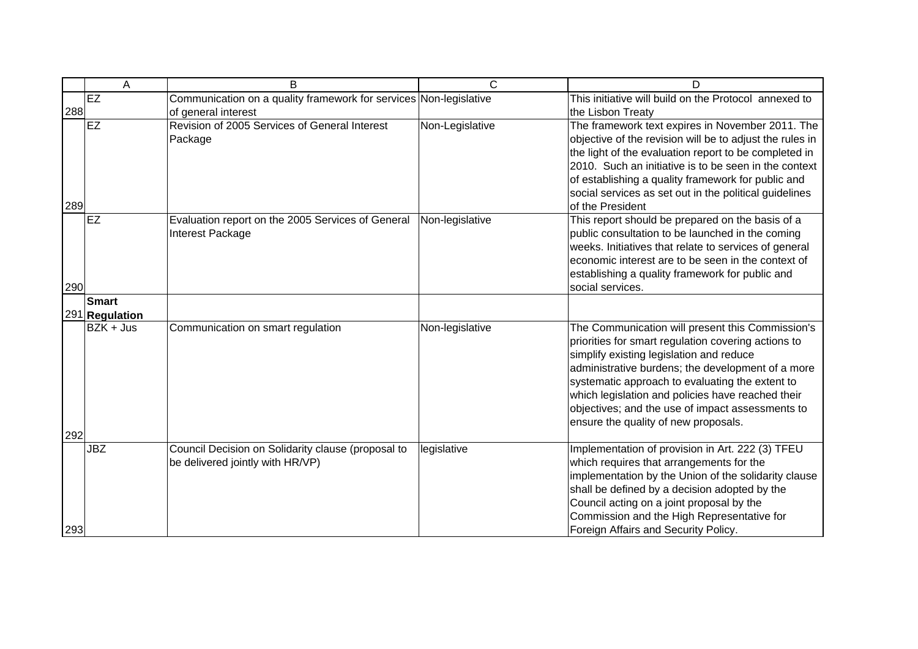|     | A              | B                                                                                      | $\mathsf{C}$    | D                                                                                                                                                                                                                                                                                                                                                                                                            |
|-----|----------------|----------------------------------------------------------------------------------------|-----------------|--------------------------------------------------------------------------------------------------------------------------------------------------------------------------------------------------------------------------------------------------------------------------------------------------------------------------------------------------------------------------------------------------------------|
| 288 | EZ             | Communication on a quality framework for services Non-legislative                      |                 | This initiative will build on the Protocol annexed to                                                                                                                                                                                                                                                                                                                                                        |
| 289 | EZ             | of general interest<br>Revision of 2005 Services of General Interest<br>Package        | Non-Legislative | the Lisbon Treaty<br>The framework text expires in November 2011. The<br>objective of the revision will be to adjust the rules in<br>the light of the evaluation report to be completed in<br>2010. Such an initiative is to be seen in the context<br>of establishing a quality framework for public and<br>social services as set out in the political guidelines<br>of the President                      |
| 290 | EZ             | Evaluation report on the 2005 Services of General<br>Interest Package                  | Non-legislative | This report should be prepared on the basis of a<br>public consultation to be launched in the coming<br>weeks. Initiatives that relate to services of general<br>economic interest are to be seen in the context of<br>establishing a quality framework for public and<br>social services.                                                                                                                   |
|     | <b>Smart</b>   |                                                                                        |                 |                                                                                                                                                                                                                                                                                                                                                                                                              |
|     | 291 Regulation |                                                                                        |                 |                                                                                                                                                                                                                                                                                                                                                                                                              |
|     | $BZK + Jus$    | Communication on smart regulation                                                      | Non-legislative | The Communication will present this Commission's<br>priorities for smart regulation covering actions to<br>simplify existing legislation and reduce<br>administrative burdens; the development of a more<br>systematic approach to evaluating the extent to<br>which legislation and policies have reached their<br>objectives; and the use of impact assessments to<br>ensure the quality of new proposals. |
| 292 |                |                                                                                        |                 |                                                                                                                                                                                                                                                                                                                                                                                                              |
| 293 | <b>JBZ</b>     | Council Decision on Solidarity clause (proposal to<br>be delivered jointly with HR/VP) | legislative     | Implementation of provision in Art. 222 (3) TFEU<br>which requires that arrangements for the<br>implementation by the Union of the solidarity clause<br>shall be defined by a decision adopted by the<br>Council acting on a joint proposal by the<br>Commission and the High Representative for<br>Foreign Affairs and Security Policy.                                                                     |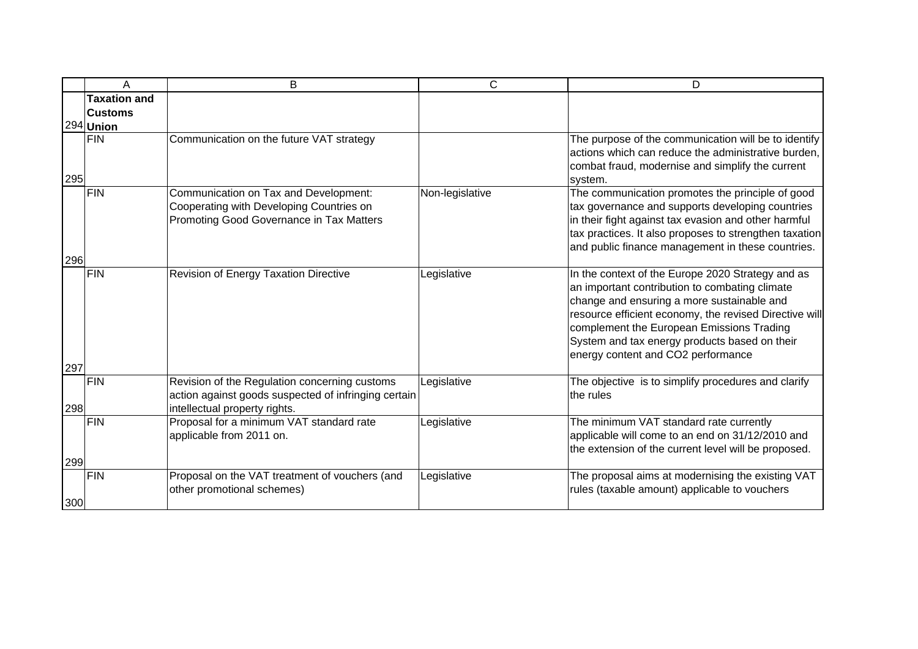|     | Α                                                  | B                                                                                                                                      | $\mathsf{C}$    | D                                                                                                                                                                                                                                                                                                                                               |
|-----|----------------------------------------------------|----------------------------------------------------------------------------------------------------------------------------------------|-----------------|-------------------------------------------------------------------------------------------------------------------------------------------------------------------------------------------------------------------------------------------------------------------------------------------------------------------------------------------------|
|     | <b>Taxation and</b><br><b>Customs</b><br>294 Union |                                                                                                                                        |                 |                                                                                                                                                                                                                                                                                                                                                 |
| 295 | <b>FIN</b>                                         | Communication on the future VAT strategy                                                                                               |                 | The purpose of the communication will be to identify<br>actions which can reduce the administrative burden,<br>combat fraud, modernise and simplify the current<br>system.                                                                                                                                                                      |
| 296 | <b>FIN</b>                                         | Communication on Tax and Development:<br>Cooperating with Developing Countries on<br>Promoting Good Governance in Tax Matters          | Non-legislative | The communication promotes the principle of good<br>tax governance and supports developing countries<br>in their fight against tax evasion and other harmful<br>tax practices. It also proposes to strengthen taxation<br>and public finance management in these countries.                                                                     |
| 297 | <b>FIN</b>                                         | Revision of Energy Taxation Directive                                                                                                  | Legislative     | In the context of the Europe 2020 Strategy and as<br>an important contribution to combating climate<br>change and ensuring a more sustainable and<br>resource efficient economy, the revised Directive will<br>complement the European Emissions Trading<br>System and tax energy products based on their<br>energy content and CO2 performance |
| 298 | <b>FIN</b>                                         | Revision of the Regulation concerning customs<br>action against goods suspected of infringing certain<br>intellectual property rights. | Legislative     | The objective is to simplify procedures and clarify<br>the rules                                                                                                                                                                                                                                                                                |
| 299 | <b>FIN</b>                                         | Proposal for a minimum VAT standard rate<br>applicable from 2011 on.                                                                   | Legislative     | The minimum VAT standard rate currently<br>applicable will come to an end on 31/12/2010 and<br>the extension of the current level will be proposed.                                                                                                                                                                                             |
| 300 | <b>FIN</b>                                         | Proposal on the VAT treatment of vouchers (and<br>other promotional schemes)                                                           | Legislative     | The proposal aims at modernising the existing VAT<br>rules (taxable amount) applicable to vouchers                                                                                                                                                                                                                                              |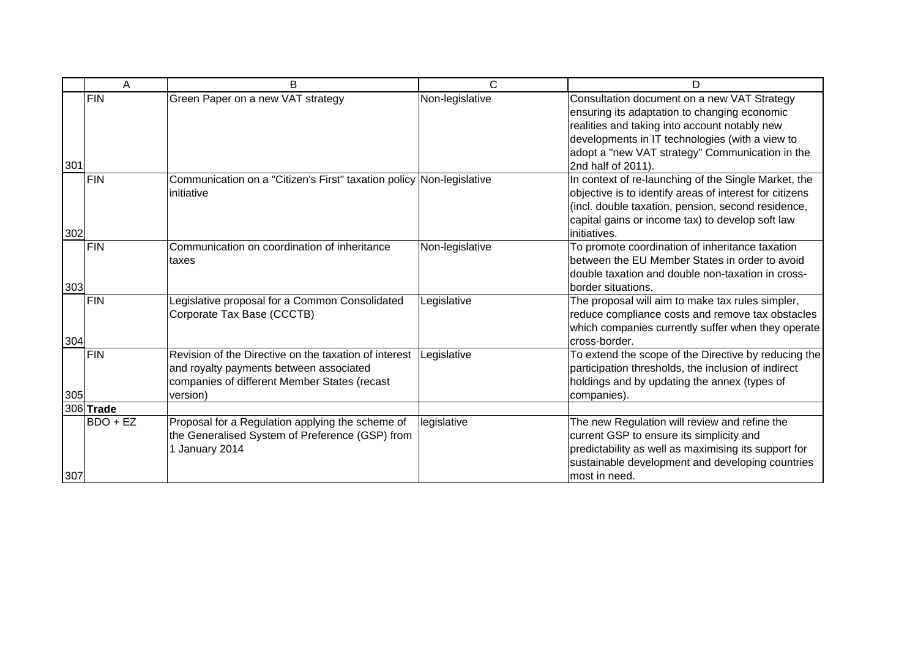|     | Α          | B                                                                                                                                                            | C               | D                                                                                                                                                                                                                                                                        |
|-----|------------|--------------------------------------------------------------------------------------------------------------------------------------------------------------|-----------------|--------------------------------------------------------------------------------------------------------------------------------------------------------------------------------------------------------------------------------------------------------------------------|
| 301 | <b>FIN</b> | Green Paper on a new VAT strategy                                                                                                                            | Non-legislative | Consultation document on a new VAT Strategy<br>ensuring its adaptation to changing economic<br>realities and taking into account notably new<br>developments in IT technologies (with a view to<br>adopt a "new VAT strategy" Communication in the<br>2nd half of 2011). |
| 302 | FIN        | Communication on a "Citizen's First" taxation policy Non-legislative<br>initiative                                                                           |                 | In context of re-launching of the Single Market, the<br>objective is to identify areas of interest for citizens<br>(incl. double taxation, pension, second residence,<br>capital gains or income tax) to develop soft law<br>initiatives.                                |
| 303 | FIN        | Communication on coordination of inheritance<br>taxes                                                                                                        | Non-legislative | To promote coordination of inheritance taxation<br>between the EU Member States in order to avoid<br>double taxation and double non-taxation in cross-<br>border situations.                                                                                             |
| 304 | <b>FIN</b> | Legislative proposal for a Common Consolidated<br>Corporate Tax Base (CCCTB)                                                                                 | Legislative     | The proposal will aim to make tax rules simpler,<br>reduce compliance costs and remove tax obstacles<br>which companies currently suffer when they operate<br>cross-border.                                                                                              |
| 305 | <b>FIN</b> | Revision of the Directive on the taxation of interest<br>and royalty payments between associated<br>companies of different Member States (recast<br>version) | Legislative     | To extend the scope of the Directive by reducing the<br>participation thresholds, the inclusion of indirect<br>holdings and by updating the annex (types of<br>companies).                                                                                               |
|     | 306 Trade  |                                                                                                                                                              |                 |                                                                                                                                                                                                                                                                          |
| 307 | $BDO + EZ$ | Proposal for a Regulation applying the scheme of<br>the Generalised System of Preference (GSP) from<br>1 January 2014                                        | legislative     | The new Regulation will review and refine the<br>current GSP to ensure its simplicity and<br>predictability as well as maximising its support for<br>sustainable development and developing countries<br>most in need.                                                   |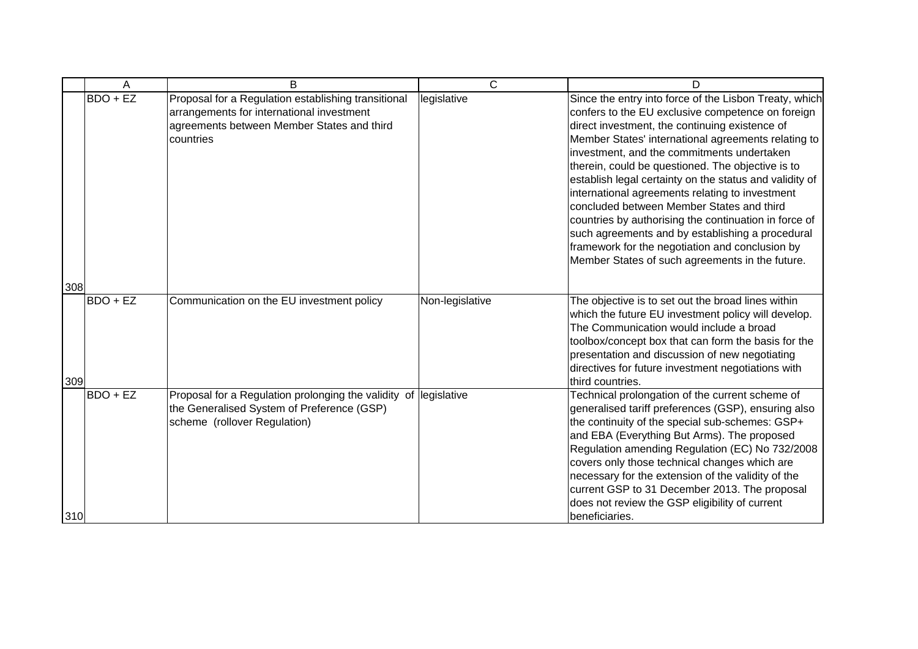| Α                      | <sub>B</sub>                                                                                                                                                | C               | D                                                                                                                                                                                                                                                                                                                                                                                                                                                                                                                                                                                                                                                                                                     |
|------------------------|-------------------------------------------------------------------------------------------------------------------------------------------------------------|-----------------|-------------------------------------------------------------------------------------------------------------------------------------------------------------------------------------------------------------------------------------------------------------------------------------------------------------------------------------------------------------------------------------------------------------------------------------------------------------------------------------------------------------------------------------------------------------------------------------------------------------------------------------------------------------------------------------------------------|
| $BDO + EZ$<br>308      | Proposal for a Regulation establishing transitional<br>arrangements for international investment<br>agreements between Member States and third<br>countries | legislative     | Since the entry into force of the Lisbon Treaty, which<br>confers to the EU exclusive competence on foreign<br>direct investment, the continuing existence of<br>Member States' international agreements relating to<br>investment, and the commitments undertaken<br>therein, could be questioned. The objective is to<br>establish legal certainty on the status and validity of<br>international agreements relating to investment<br>concluded between Member States and third<br>countries by authorising the continuation in force of<br>such agreements and by establishing a procedural<br>framework for the negotiation and conclusion by<br>Member States of such agreements in the future. |
| <b>BDO + EZ</b><br>309 | Communication on the EU investment policy                                                                                                                   | Non-legislative | The objective is to set out the broad lines within<br>which the future EU investment policy will develop.<br>The Communication would include a broad<br>toolbox/concept box that can form the basis for the<br>presentation and discussion of new negotiating<br>directives for future investment negotiations with<br>third countries.                                                                                                                                                                                                                                                                                                                                                               |
| BDO + EZ<br>310        | Proposal for a Regulation prolonging the validity of legislative<br>the Generalised System of Preference (GSP)<br>scheme (rollover Regulation)              |                 | Technical prolongation of the current scheme of<br>generalised tariff preferences (GSP), ensuring also<br>the continuity of the special sub-schemes: GSP+<br>and EBA (Everything But Arms). The proposed<br>Regulation amending Regulation (EC) No 732/2008<br>covers only those technical changes which are<br>necessary for the extension of the validity of the<br>current GSP to 31 December 2013. The proposal<br>does not review the GSP eligibility of current<br>beneficiaries.                                                                                                                                                                                                               |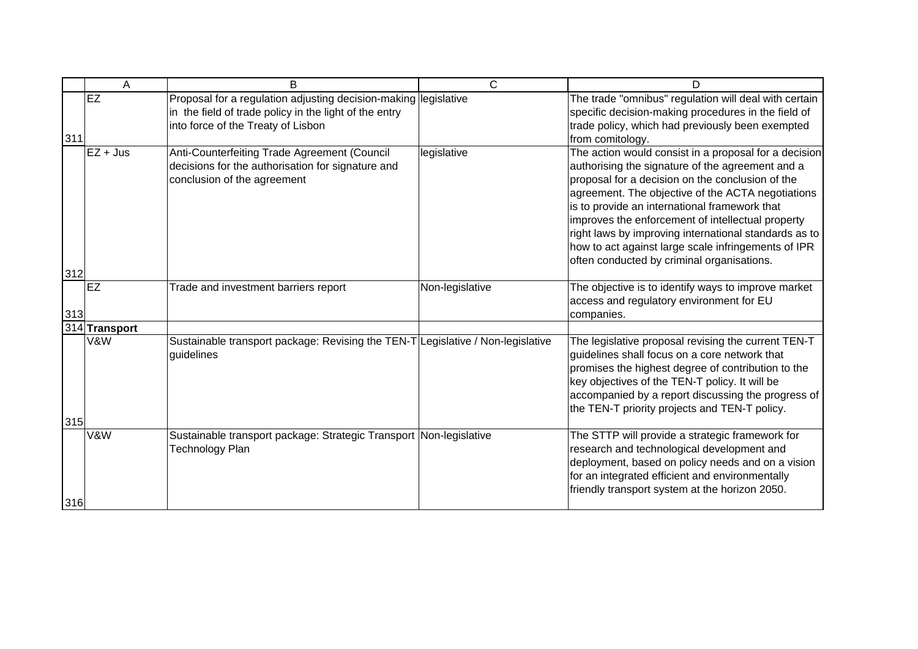|     | A             | B                                                                                                                                                               | $\mathsf{C}$    | D                                                                                                                                                                                                                                                                                                                                                                                                                                                                                      |
|-----|---------------|-----------------------------------------------------------------------------------------------------------------------------------------------------------------|-----------------|----------------------------------------------------------------------------------------------------------------------------------------------------------------------------------------------------------------------------------------------------------------------------------------------------------------------------------------------------------------------------------------------------------------------------------------------------------------------------------------|
| 311 | EZ            | Proposal for a regulation adjusting decision-making legislative<br>in the field of trade policy in the light of the entry<br>into force of the Treaty of Lisbon |                 | The trade "omnibus" regulation will deal with certain<br>specific decision-making procedures in the field of<br>trade policy, which had previously been exempted<br>from comitology.                                                                                                                                                                                                                                                                                                   |
| 312 | $EZ + Jus$    | Anti-Counterfeiting Trade Agreement (Council<br>decisions for the authorisation for signature and<br>conclusion of the agreement                                | legislative     | The action would consist in a proposal for a decision<br>authorising the signature of the agreement and a<br>proposal for a decision on the conclusion of the<br>agreement. The objective of the ACTA negotiations<br>is to provide an international framework that<br>improves the enforcement of intellectual property<br>right laws by improving international standards as to<br>how to act against large scale infringements of IPR<br>often conducted by criminal organisations. |
| 313 | <b>IEZ</b>    | Trade and investment barriers report                                                                                                                            | Non-legislative | The objective is to identify ways to improve market<br>access and regulatory environment for EU<br>companies.                                                                                                                                                                                                                                                                                                                                                                          |
|     | 314 Transport |                                                                                                                                                                 |                 |                                                                                                                                                                                                                                                                                                                                                                                                                                                                                        |
|     | V&W           | Sustainable transport package: Revising the TEN-T Legislative / Non-legislative<br>guidelines                                                                   |                 | The legislative proposal revising the current TEN-T<br>guidelines shall focus on a core network that<br>promises the highest degree of contribution to the<br>key objectives of the TEN-T policy. It will be<br>accompanied by a report discussing the progress of<br>the TEN-T priority projects and TEN-T policy.                                                                                                                                                                    |
| 315 |               |                                                                                                                                                                 |                 |                                                                                                                                                                                                                                                                                                                                                                                                                                                                                        |
| 316 | V&W           | Sustainable transport package: Strategic Transport Non-legislative<br><b>Technology Plan</b>                                                                    |                 | The STTP will provide a strategic framework for<br>research and technological development and<br>deployment, based on policy needs and on a vision<br>for an integrated efficient and environmentally<br>friendly transport system at the horizon 2050.                                                                                                                                                                                                                                |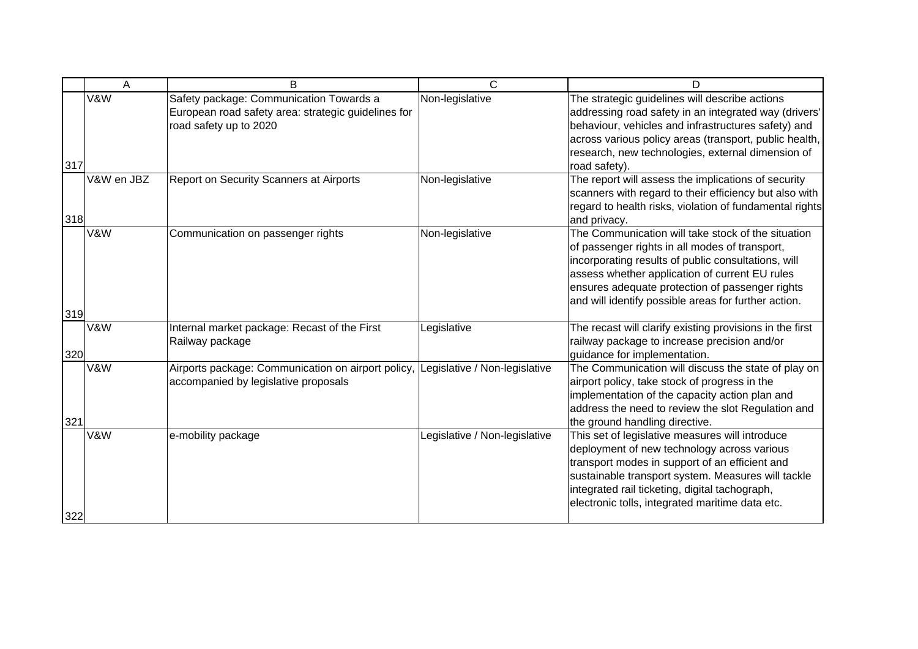|     | A              | B                                                                                                                        | $\mathsf{C}$                  | D                                                                                                                                                                                                                                                                                                                        |
|-----|----------------|--------------------------------------------------------------------------------------------------------------------------|-------------------------------|--------------------------------------------------------------------------------------------------------------------------------------------------------------------------------------------------------------------------------------------------------------------------------------------------------------------------|
| 317 | <b>V&amp;W</b> | Safety package: Communication Towards a<br>European road safety area: strategic guidelines for<br>road safety up to 2020 | Non-legislative               | The strategic guidelines will describe actions<br>addressing road safety in an integrated way (drivers'<br>behaviour, vehicles and infrastructures safety) and<br>across various policy areas (transport, public health,<br>research, new technologies, external dimension of<br>road safety).                           |
| 318 | V&W en JBZ     | Report on Security Scanners at Airports                                                                                  | Non-legislative               | The report will assess the implications of security<br>scanners with regard to their efficiency but also with<br>regard to health risks, violation of fundamental rights<br>and privacy.                                                                                                                                 |
|     | V&W            | Communication on passenger rights                                                                                        | Non-legislative               | The Communication will take stock of the situation<br>of passenger rights in all modes of transport,<br>incorporating results of public consultations, will<br>assess whether application of current EU rules<br>ensures adequate protection of passenger rights<br>and will identify possible areas for further action. |
| 319 |                |                                                                                                                          |                               |                                                                                                                                                                                                                                                                                                                          |
| 320 | V&W            | Internal market package: Recast of the First<br>Railway package                                                          | Legislative                   | The recast will clarify existing provisions in the first<br>railway package to increase precision and/or<br>guidance for implementation.                                                                                                                                                                                 |
| 321 | V&W            | Airports package: Communication on airport policy,<br>accompanied by legislative proposals                               | Legislative / Non-legislative | The Communication will discuss the state of play on<br>airport policy, take stock of progress in the<br>implementation of the capacity action plan and<br>address the need to review the slot Regulation and<br>the ground handling directive.                                                                           |
| 322 | V&W            | e-mobility package                                                                                                       | Legislative / Non-legislative | This set of legislative measures will introduce<br>deployment of new technology across various<br>transport modes in support of an efficient and<br>sustainable transport system. Measures will tackle<br>integrated rail ticketing, digital tachograph,<br>electronic tolls, integrated maritime data etc.              |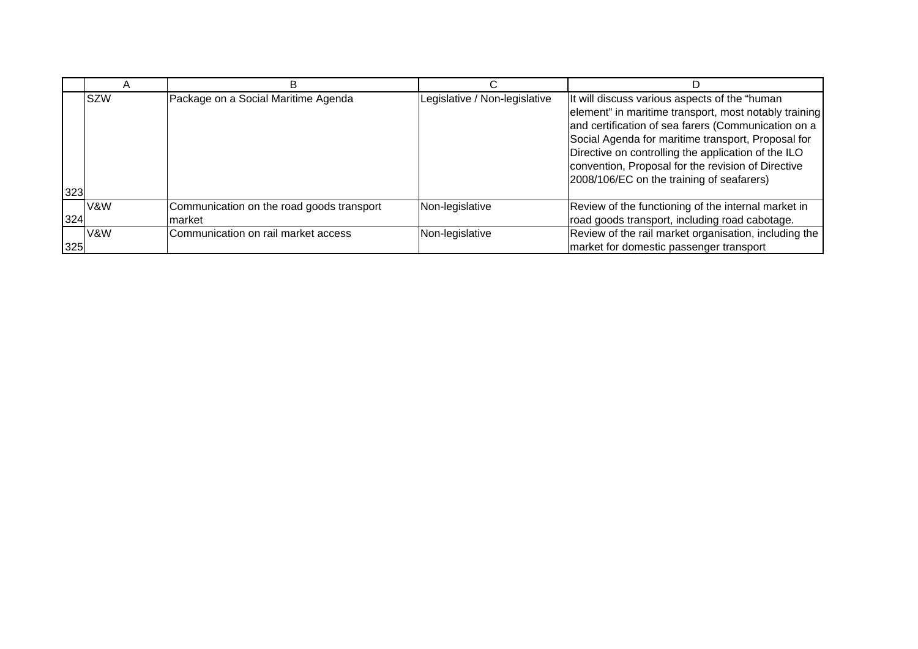|     |                | в                                                   |                               |                                                                                                                                                                                                                                                                                                                                                                               |
|-----|----------------|-----------------------------------------------------|-------------------------------|-------------------------------------------------------------------------------------------------------------------------------------------------------------------------------------------------------------------------------------------------------------------------------------------------------------------------------------------------------------------------------|
| 323 | <b>SZW</b>     | Package on a Social Maritime Agenda                 | Legislative / Non-legislative | It will discuss various aspects of the "human<br>element" in maritime transport, most notably training<br>and certification of sea farers (Communication on a<br>Social Agenda for maritime transport, Proposal for<br>Directive on controlling the application of the ILO<br>convention, Proposal for the revision of Directive<br>2008/106/EC on the training of seafarers) |
| 324 | V&W            | Communication on the road goods transport<br>market | Non-legislative               | Review of the functioning of the internal market in<br>road goods transport, including road cabotage.                                                                                                                                                                                                                                                                         |
| 325 | <b>V&amp;W</b> | Communication on rail market access                 | Non-legislative               | Review of the rail market organisation, including the<br>market for domestic passenger transport                                                                                                                                                                                                                                                                              |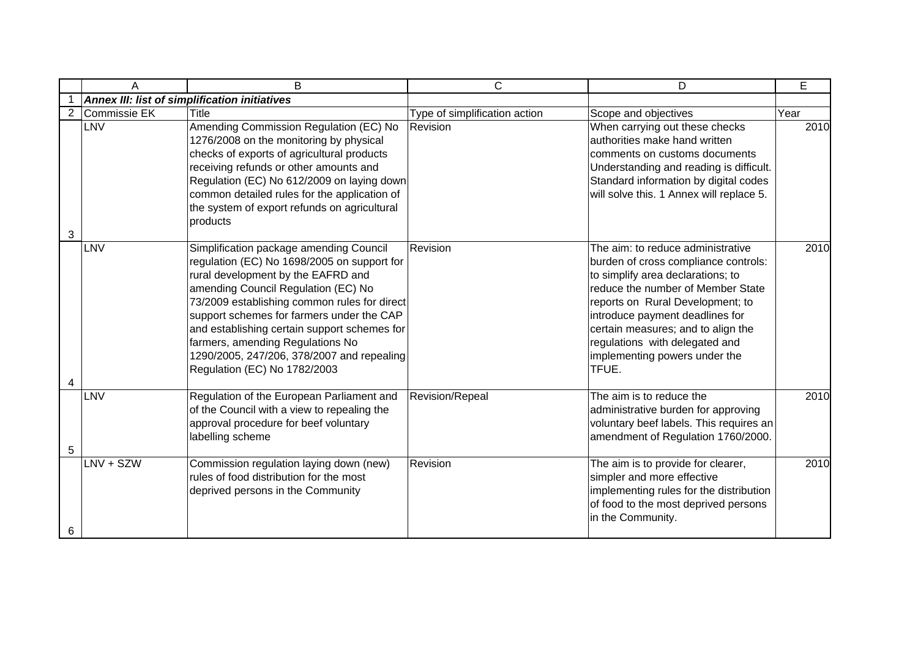|                | A            | B                                                                                                                                                                                                                                                                                                                                                                                                                                  | $\mathsf{C}$                  | D                                                                                                                                                                                                                                                                                                                                            | E    |
|----------------|--------------|------------------------------------------------------------------------------------------------------------------------------------------------------------------------------------------------------------------------------------------------------------------------------------------------------------------------------------------------------------------------------------------------------------------------------------|-------------------------------|----------------------------------------------------------------------------------------------------------------------------------------------------------------------------------------------------------------------------------------------------------------------------------------------------------------------------------------------|------|
|                |              | <b>Annex III: list of simplification initiatives</b>                                                                                                                                                                                                                                                                                                                                                                               |                               |                                                                                                                                                                                                                                                                                                                                              |      |
| $\overline{2}$ | Commissie EK | <b>Title</b>                                                                                                                                                                                                                                                                                                                                                                                                                       | Type of simplification action | Scope and objectives                                                                                                                                                                                                                                                                                                                         | Year |
| 3              | LNV          | Amending Commission Regulation (EC) No<br>1276/2008 on the monitoring by physical<br>checks of exports of agricultural products<br>receiving refunds or other amounts and<br>Regulation (EC) No 612/2009 on laying down<br>common detailed rules for the application of<br>the system of export refunds on agricultural<br>products                                                                                                | Revision                      | When carrying out these checks<br>authorities make hand written<br>comments on customs documents<br>Understanding and reading is difficult.<br>Standard information by digital codes<br>will solve this. 1 Annex will replace 5.                                                                                                             | 2010 |
| 4              | LNV          | Simplification package amending Council<br>regulation (EC) No 1698/2005 on support for<br>rural development by the EAFRD and<br>amending Council Regulation (EC) No<br>73/2009 establishing common rules for direct<br>support schemes for farmers under the CAP<br>and establishing certain support schemes for<br>farmers, amending Regulations No<br>1290/2005, 247/206, 378/2007 and repealing<br>Regulation (EC) No 1782/2003 | Revision                      | The aim: to reduce administrative<br>burden of cross compliance controls:<br>to simplify area declarations; to<br>reduce the number of Member State<br>reports on Rural Development; to<br>introduce payment deadlines for<br>certain measures; and to align the<br>regulations with delegated and<br>implementing powers under the<br>TFUE. | 2010 |
| 5              | LNV          | Regulation of the European Parliament and<br>of the Council with a view to repealing the<br>approval procedure for beef voluntary<br>labelling scheme                                                                                                                                                                                                                                                                              | Revision/Repeal               | The aim is to reduce the<br>administrative burden for approving<br>voluntary beef labels. This requires an<br>amendment of Regulation 1760/2000.                                                                                                                                                                                             | 2010 |
| 6              | $LNV + SZW$  | Commission regulation laying down (new)<br>rules of food distribution for the most<br>deprived persons in the Community                                                                                                                                                                                                                                                                                                            | Revision                      | The aim is to provide for clearer,<br>simpler and more effective<br>implementing rules for the distribution<br>of food to the most deprived persons<br>in the Community.                                                                                                                                                                     | 2010 |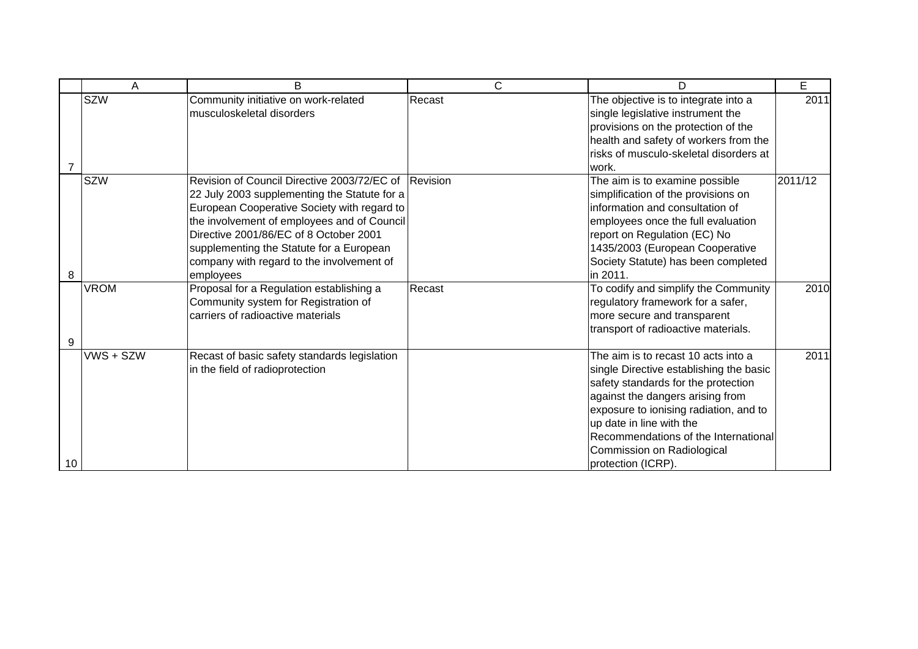|    | Α           | B                                                                                                                                                                                                                                                                                                                                                  | С      | D                                                                                                                                                                                                                                                                                                                           | E       |
|----|-------------|----------------------------------------------------------------------------------------------------------------------------------------------------------------------------------------------------------------------------------------------------------------------------------------------------------------------------------------------------|--------|-----------------------------------------------------------------------------------------------------------------------------------------------------------------------------------------------------------------------------------------------------------------------------------------------------------------------------|---------|
| 7  | <b>SZW</b>  | Community initiative on work-related<br>musculoskeletal disorders                                                                                                                                                                                                                                                                                  | Recast | The objective is to integrate into a<br>single legislative instrument the<br>provisions on the protection of the<br>health and safety of workers from the<br>risks of musculo-skeletal disorders at<br>work.                                                                                                                | 2011    |
| 8  | <b>SZW</b>  | Revision of Council Directive 2003/72/EC of Revision<br>22 July 2003 supplementing the Statute for a<br>European Cooperative Society with regard to<br>the involvement of employees and of Council<br>Directive 2001/86/EC of 8 October 2001<br>supplementing the Statute for a European<br>company with regard to the involvement of<br>employees |        | The aim is to examine possible<br>simplification of the provisions on<br>information and consultation of<br>employees once the full evaluation<br>report on Regulation (EC) No<br>1435/2003 (European Cooperative<br>Society Statute) has been completed<br>in 2011.                                                        | 2011/12 |
| 9  | <b>VROM</b> | Proposal for a Regulation establishing a<br>Community system for Registration of<br>carriers of radioactive materials                                                                                                                                                                                                                              | Recast | To codify and simplify the Community<br>regulatory framework for a safer,<br>more secure and transparent<br>transport of radioactive materials.                                                                                                                                                                             | 2010    |
| 10 | VWS + SZW   | Recast of basic safety standards legislation<br>in the field of radioprotection                                                                                                                                                                                                                                                                    |        | The aim is to recast 10 acts into a<br>single Directive establishing the basic<br>safety standards for the protection<br>against the dangers arising from<br>exposure to ionising radiation, and to<br>up date in line with the<br>Recommendations of the International<br>Commission on Radiological<br>protection (ICRP). | 2011    |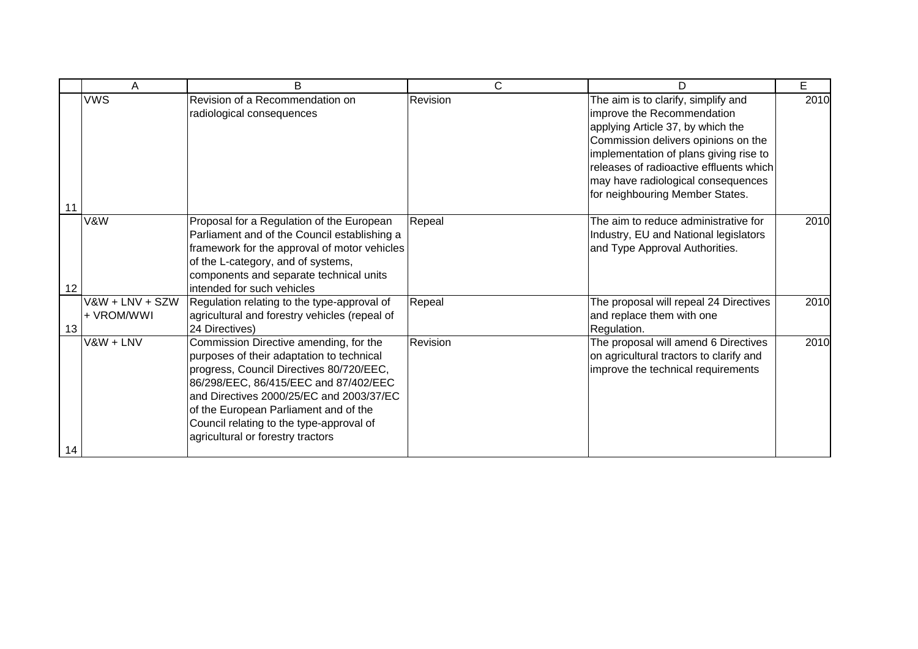|    | A                             | B                                                                                                                                                                                                                                                                                                                                              | C        | D                                                                                                                                                                                                                                                                                                           | E    |
|----|-------------------------------|------------------------------------------------------------------------------------------------------------------------------------------------------------------------------------------------------------------------------------------------------------------------------------------------------------------------------------------------|----------|-------------------------------------------------------------------------------------------------------------------------------------------------------------------------------------------------------------------------------------------------------------------------------------------------------------|------|
| 11 | <b>VWS</b>                    | Revision of a Recommendation on<br>radiological consequences                                                                                                                                                                                                                                                                                   | Revision | The aim is to clarify, simplify and<br>improve the Recommendation<br>applying Article 37, by which the<br>Commission delivers opinions on the<br>implementation of plans giving rise to<br>releases of radioactive effluents which<br>may have radiological consequences<br>for neighbouring Member States. | 2010 |
| 12 | V&W                           | Proposal for a Regulation of the European<br>Parliament and of the Council establishing a<br>framework for the approval of motor vehicles<br>of the L-category, and of systems,<br>components and separate technical units<br>intended for such vehicles                                                                                       | Repeal   | The aim to reduce administrative for<br>Industry, EU and National legislators<br>and Type Approval Authorities.                                                                                                                                                                                             | 2010 |
| 13 | V&W + LNV + SZW<br>+ VROM/WWI | Regulation relating to the type-approval of<br>agricultural and forestry vehicles (repeal of<br>24 Directives)                                                                                                                                                                                                                                 | Repeal   | The proposal will repeal 24 Directives<br>and replace them with one<br>Regulation.                                                                                                                                                                                                                          | 2010 |
| 14 | V&W + LNV                     | Commission Directive amending, for the<br>purposes of their adaptation to technical<br>progress, Council Directives 80/720/EEC,<br>86/298/EEC, 86/415/EEC and 87/402/EEC<br>and Directives 2000/25/EC and 2003/37/EC<br>of the European Parliament and of the<br>Council relating to the type-approval of<br>agricultural or forestry tractors | Revision | The proposal will amend 6 Directives<br>on agricultural tractors to clarify and<br>improve the technical requirements                                                                                                                                                                                       | 2010 |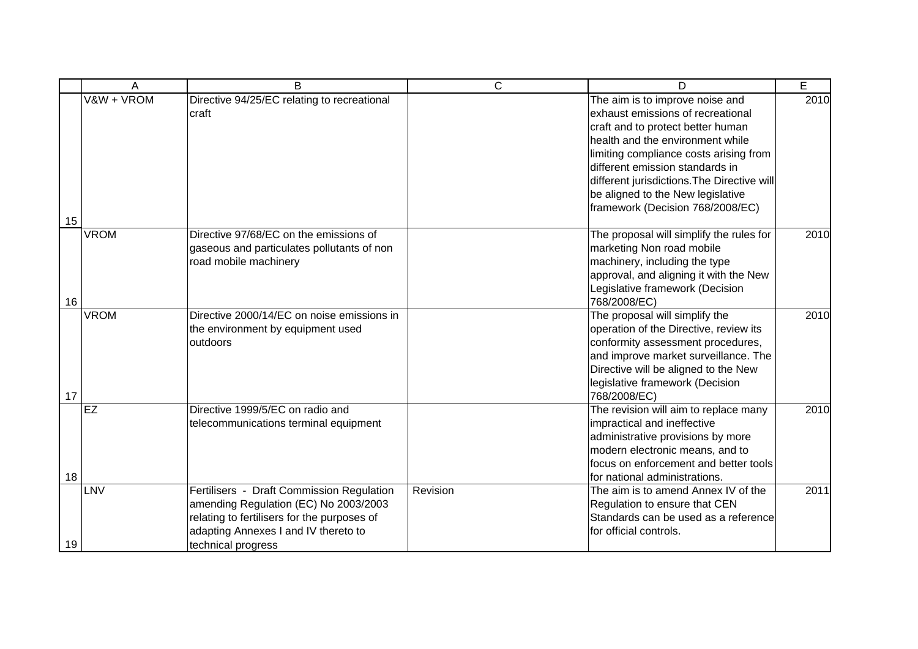|    | Α           | B                                                                                                                                                                                               | $\mathsf{C}$ | D                                                                                                                                                                                                                                                                                                                                                  | $\overline{E}$ |
|----|-------------|-------------------------------------------------------------------------------------------------------------------------------------------------------------------------------------------------|--------------|----------------------------------------------------------------------------------------------------------------------------------------------------------------------------------------------------------------------------------------------------------------------------------------------------------------------------------------------------|----------------|
| 15 | V&W + VROM  | Directive 94/25/EC relating to recreational<br>craft                                                                                                                                            |              | The aim is to improve noise and<br>exhaust emissions of recreational<br>craft and to protect better human<br>health and the environment while<br>limiting compliance costs arising from<br>different emission standards in<br>different jurisdictions. The Directive will<br>be aligned to the New legislative<br>framework (Decision 768/2008/EC) | 2010           |
| 16 | <b>VROM</b> | Directive 97/68/EC on the emissions of<br>gaseous and particulates pollutants of non<br>road mobile machinery                                                                                   |              | The proposal will simplify the rules for<br>marketing Non road mobile<br>machinery, including the type<br>approval, and aligning it with the New<br>Legislative framework (Decision<br>768/2008/EC)                                                                                                                                                | 2010           |
| 17 | <b>VROM</b> | Directive 2000/14/EC on noise emissions in<br>the environment by equipment used<br>outdoors                                                                                                     |              | The proposal will simplify the<br>operation of the Directive, review its<br>conformity assessment procedures,<br>and improve market surveillance. The<br>Directive will be aligned to the New<br>legislative framework (Decision<br>768/2008/EC)                                                                                                   | 2010           |
| 18 | EZ          | Directive 1999/5/EC on radio and<br>telecommunications terminal equipment                                                                                                                       |              | The revision will aim to replace many<br>impractical and ineffective<br>administrative provisions by more<br>modern electronic means, and to<br>focus on enforcement and better tools<br>for national administrations.                                                                                                                             | 2010           |
| 19 | LNV         | Fertilisers - Draft Commission Regulation<br>amending Regulation (EC) No 2003/2003<br>relating to fertilisers for the purposes of<br>adapting Annexes I and IV thereto to<br>technical progress | Revision     | The aim is to amend Annex IV of the<br>Regulation to ensure that CEN<br>Standards can be used as a reference<br>for official controls.                                                                                                                                                                                                             | 2011           |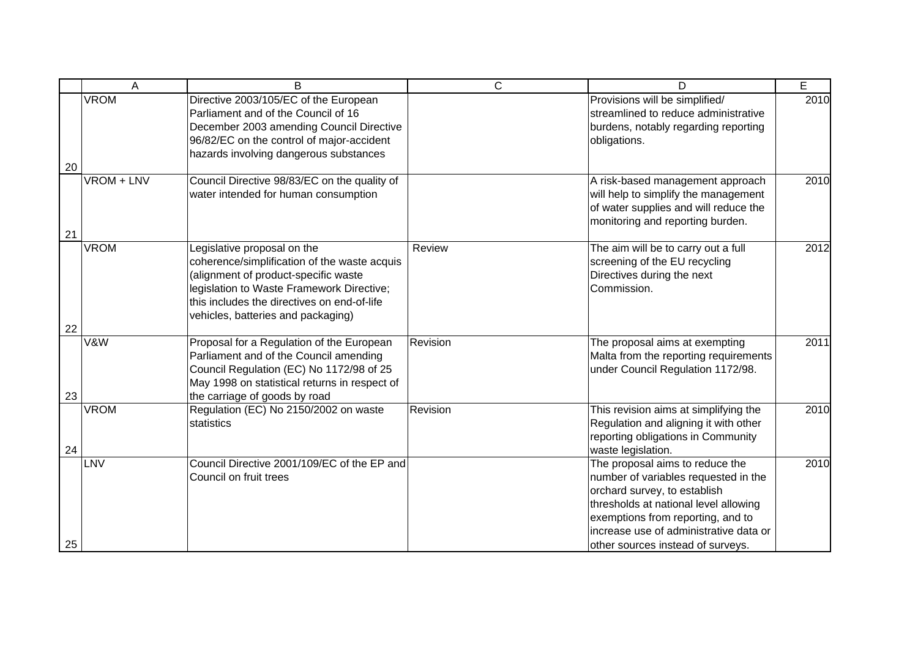|          | Α           | B                                                                                                                                                                                                                                                     | $\mathsf{C}$ | D                                                                                                                                                                                                                                                                    | E    |
|----------|-------------|-------------------------------------------------------------------------------------------------------------------------------------------------------------------------------------------------------------------------------------------------------|--------------|----------------------------------------------------------------------------------------------------------------------------------------------------------------------------------------------------------------------------------------------------------------------|------|
| 20       | <b>VROM</b> | Directive 2003/105/EC of the European<br>Parliament and of the Council of 16<br>December 2003 amending Council Directive<br>96/82/EC on the control of major-accident<br>hazards involving dangerous substances                                       |              | Provisions will be simplified/<br>streamlined to reduce administrative<br>burdens, notably regarding reporting<br>obligations.                                                                                                                                       | 2010 |
| 21       | VROM + LNV  | Council Directive 98/83/EC on the quality of<br>water intended for human consumption                                                                                                                                                                  |              | A risk-based management approach<br>will help to simplify the management<br>of water supplies and will reduce the<br>monitoring and reporting burden.                                                                                                                | 2010 |
|          | <b>VROM</b> | Legislative proposal on the<br>coherence/simplification of the waste acquis<br>(alignment of product-specific waste<br>legislation to Waste Framework Directive;<br>this includes the directives on end-of-life<br>vehicles, batteries and packaging) | Review       | The aim will be to carry out a full<br>screening of the EU recycling<br>Directives during the next<br>Commission.                                                                                                                                                    | 2012 |
| 22<br>23 | V&W         | Proposal for a Regulation of the European<br>Parliament and of the Council amending<br>Council Regulation (EC) No 1172/98 of 25<br>May 1998 on statistical returns in respect of<br>the carriage of goods by road                                     | Revision     | The proposal aims at exempting<br>Malta from the reporting requirements<br>under Council Regulation 1172/98.                                                                                                                                                         | 2011 |
| 24       | <b>VROM</b> | Regulation (EC) No 2150/2002 on waste<br>statistics                                                                                                                                                                                                   | Revision     | This revision aims at simplifying the<br>Regulation and aligning it with other<br>reporting obligations in Community<br>waste legislation.                                                                                                                           | 2010 |
| 25       | LNV         | Council Directive 2001/109/EC of the EP and<br>Council on fruit trees                                                                                                                                                                                 |              | The proposal aims to reduce the<br>number of variables requested in the<br>orchard survey, to establish<br>thresholds at national level allowing<br>exemptions from reporting, and to<br>increase use of administrative data or<br>other sources instead of surveys. | 2010 |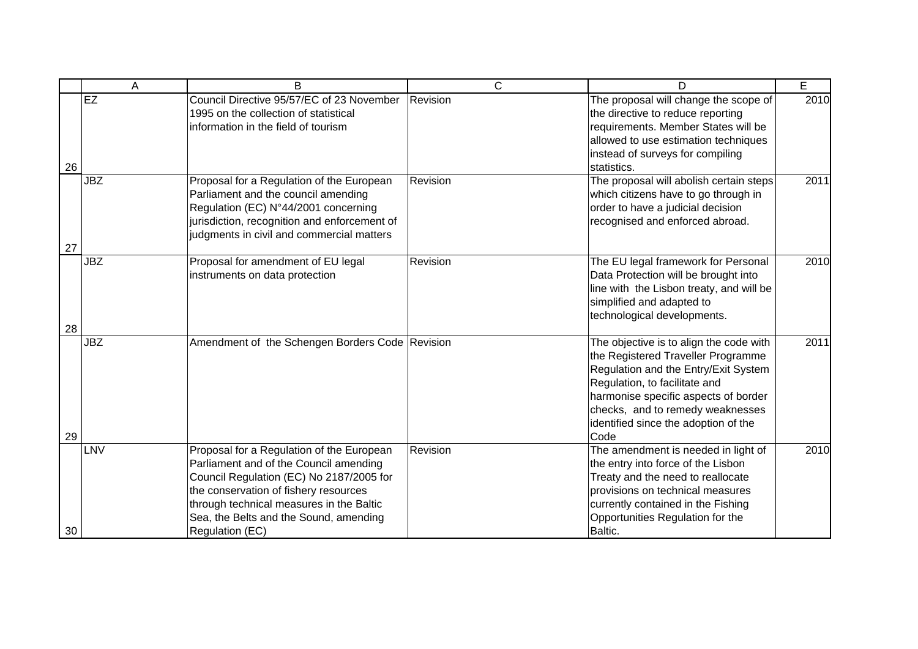|    | Α          | B                                                                                                                                                                                                                                                                                 | $\mathsf{C}$ | D                                                                                                                                                                                                                                                                                  | E    |
|----|------------|-----------------------------------------------------------------------------------------------------------------------------------------------------------------------------------------------------------------------------------------------------------------------------------|--------------|------------------------------------------------------------------------------------------------------------------------------------------------------------------------------------------------------------------------------------------------------------------------------------|------|
| 26 | EZ         | Council Directive 95/57/EC of 23 November<br>1995 on the collection of statistical<br>information in the field of tourism                                                                                                                                                         | Revision     | The proposal will change the scope of<br>the directive to reduce reporting<br>requirements. Member States will be<br>allowed to use estimation techniques<br>instead of surveys for compiling<br>statistics.                                                                       | 2010 |
| 27 | <b>JBZ</b> | Proposal for a Regulation of the European<br>Parliament and the council amending<br>Regulation (EC) N°44/2001 concerning<br>jurisdiction, recognition and enforcement of<br>judgments in civil and commercial matters                                                             | Revision     | The proposal will abolish certain steps<br>which citizens have to go through in<br>order to have a judicial decision<br>recognised and enforced abroad.                                                                                                                            | 2011 |
| 28 | <b>JBZ</b> | Proposal for amendment of EU legal<br>instruments on data protection                                                                                                                                                                                                              | Revision     | The EU legal framework for Personal<br>Data Protection will be brought into<br>line with the Lisbon treaty, and will be<br>simplified and adapted to<br>technological developments.                                                                                                | 2010 |
| 29 | <b>JBZ</b> | Amendment of the Schengen Borders Code Revision                                                                                                                                                                                                                                   |              | The objective is to align the code with<br>the Registered Traveller Programme<br>Regulation and the Entry/Exit System<br>Regulation, to facilitate and<br>harmonise specific aspects of border<br>checks, and to remedy weaknesses<br>identified since the adoption of the<br>Code | 2011 |
| 30 | LNV        | Proposal for a Regulation of the European<br>Parliament and of the Council amending<br>Council Regulation (EC) No 2187/2005 for<br>the conservation of fishery resources<br>through technical measures in the Baltic<br>Sea, the Belts and the Sound, amending<br>Regulation (EC) | Revision     | The amendment is needed in light of<br>the entry into force of the Lisbon<br>Treaty and the need to reallocate<br>provisions on technical measures<br>currently contained in the Fishing<br>Opportunities Regulation for the<br>Baltic.                                            | 2010 |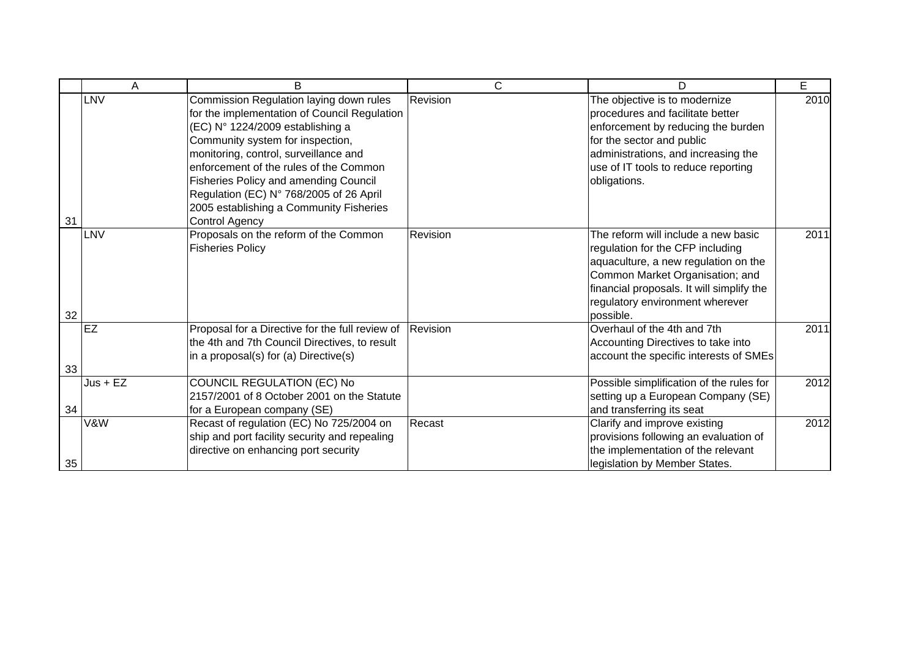|    | A           | B                                                                                                                                                                                                                                                                                                                                                                                                                 | C        | D                                                                                                                                                                                                                                               | E    |
|----|-------------|-------------------------------------------------------------------------------------------------------------------------------------------------------------------------------------------------------------------------------------------------------------------------------------------------------------------------------------------------------------------------------------------------------------------|----------|-------------------------------------------------------------------------------------------------------------------------------------------------------------------------------------------------------------------------------------------------|------|
| 31 | LNV         | Commission Regulation laying down rules<br>for the implementation of Council Regulation<br>(EC) N° 1224/2009 establishing a<br>Community system for inspection,<br>monitoring, control, surveillance and<br>enforcement of the rules of the Common<br><b>Fisheries Policy and amending Council</b><br>Regulation (EC) N° 768/2005 of 26 April<br>2005 establishing a Community Fisheries<br><b>Control Agency</b> | Revision | The objective is to modernize<br>procedures and facilitate better<br>enforcement by reducing the burden<br>for the sector and public<br>administrations, and increasing the<br>use of IT tools to reduce reporting<br>obligations.              | 2010 |
| 32 | LNV         | Proposals on the reform of the Common<br><b>Fisheries Policy</b>                                                                                                                                                                                                                                                                                                                                                  | Revision | The reform will include a new basic<br>regulation for the CFP including<br>aquaculture, a new regulation on the<br>Common Market Organisation; and<br>financial proposals. It will simplify the<br>regulatory environment wherever<br>possible. | 2011 |
| 33 | EZ          | Proposal for a Directive for the full review of<br>the 4th and 7th Council Directives, to result<br>in a proposal(s) for (a) Directive(s)                                                                                                                                                                                                                                                                         | Revision | Overhaul of the 4th and 7th<br>Accounting Directives to take into<br>account the specific interests of SMEs                                                                                                                                     | 2011 |
| 34 | $Just + EZ$ | COUNCIL REGULATION (EC) No<br>2157/2001 of 8 October 2001 on the Statute<br>for a European company (SE)                                                                                                                                                                                                                                                                                                           |          | Possible simplification of the rules for<br>setting up a European Company (SE)<br>and transferring its seat                                                                                                                                     | 2012 |
| 35 | V&W         | Recast of regulation (EC) No 725/2004 on<br>ship and port facility security and repealing<br>directive on enhancing port security                                                                                                                                                                                                                                                                                 | Recast   | Clarify and improve existing<br>provisions following an evaluation of<br>the implementation of the relevant<br>legislation by Member States.                                                                                                    | 2012 |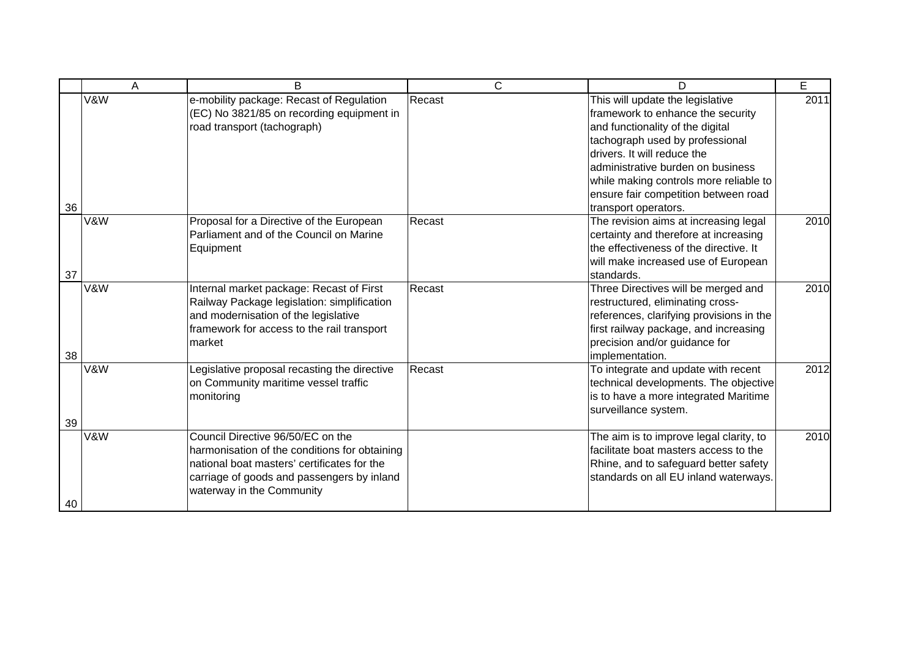|    | A   | B                                                                                                                                                                                                            | C      | D                                                                                                                                                                                                                                                                                                                          | E    |
|----|-----|--------------------------------------------------------------------------------------------------------------------------------------------------------------------------------------------------------------|--------|----------------------------------------------------------------------------------------------------------------------------------------------------------------------------------------------------------------------------------------------------------------------------------------------------------------------------|------|
| 36 | V&W | e-mobility package: Recast of Regulation<br>(EC) No 3821/85 on recording equipment in<br>road transport (tachograph)                                                                                         | Recast | This will update the legislative<br>framework to enhance the security<br>and functionality of the digital<br>tachograph used by professional<br>drivers. It will reduce the<br>administrative burden on business<br>while making controls more reliable to<br>ensure fair competition between road<br>transport operators. | 2011 |
| 37 | V&W | Proposal for a Directive of the European<br>Parliament and of the Council on Marine<br>Equipment                                                                                                             | Recast | The revision aims at increasing legal<br>certainty and therefore at increasing<br>the effectiveness of the directive. It<br>will make increased use of European<br>standards.                                                                                                                                              | 2010 |
| 38 | V&W | Internal market package: Recast of First<br>Railway Package legislation: simplification<br>and modernisation of the legislative<br>framework for access to the rail transport<br>market                      | Recast | Three Directives will be merged and<br>restructured, eliminating cross-<br>references, clarifying provisions in the<br>first railway package, and increasing<br>precision and/or guidance for<br>implementation.                                                                                                           | 2010 |
| 39 | V&W | Legislative proposal recasting the directive<br>on Community maritime vessel traffic<br>monitoring                                                                                                           | Recast | To integrate and update with recent<br>technical developments. The objective<br>is to have a more integrated Maritime<br>surveillance system.                                                                                                                                                                              | 2012 |
| 40 | V&W | Council Directive 96/50/EC on the<br>harmonisation of the conditions for obtaining<br>national boat masters' certificates for the<br>carriage of goods and passengers by inland<br>waterway in the Community |        | The aim is to improve legal clarity, to<br>facilitate boat masters access to the<br>Rhine, and to safeguard better safety<br>standards on all EU inland waterways.                                                                                                                                                         | 2010 |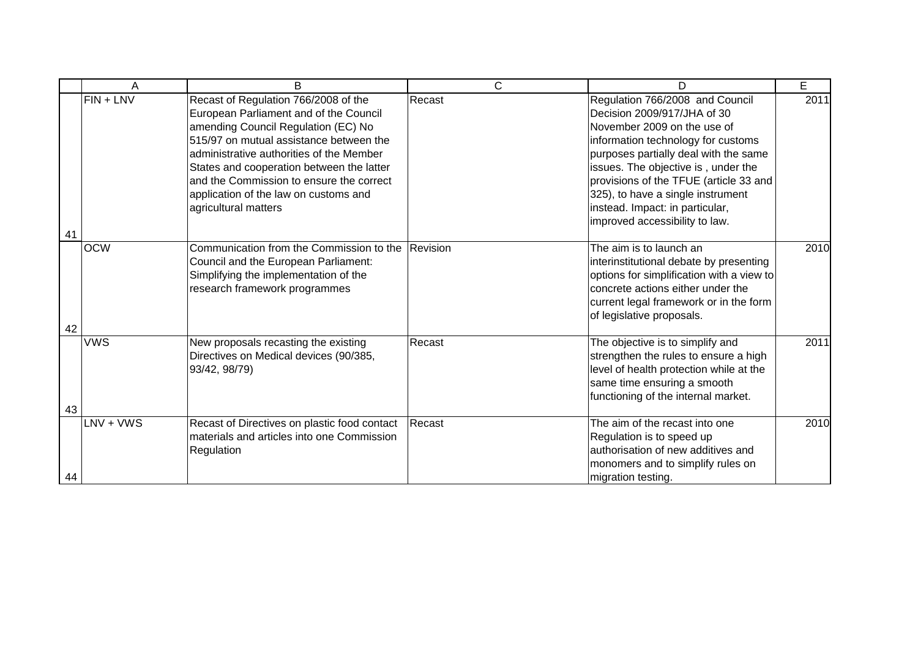|    | Α          | B                                                                                                                                                                                                                                                                                                                                                                      | C        | D                                                                                                                                                                                                                                                                                                                                                                       | E    |
|----|------------|------------------------------------------------------------------------------------------------------------------------------------------------------------------------------------------------------------------------------------------------------------------------------------------------------------------------------------------------------------------------|----------|-------------------------------------------------------------------------------------------------------------------------------------------------------------------------------------------------------------------------------------------------------------------------------------------------------------------------------------------------------------------------|------|
| 41 | FIN + LNV  | Recast of Regulation 766/2008 of the<br>European Parliament and of the Council<br>amending Council Regulation (EC) No<br>515/97 on mutual assistance between the<br>administrative authorities of the Member<br>States and cooperation between the latter<br>and the Commission to ensure the correct<br>application of the law on customs and<br>agricultural matters | Recast   | Regulation 766/2008 and Council<br>Decision 2009/917/JHA of 30<br>November 2009 on the use of<br>information technology for customs<br>purposes partially deal with the same<br>issues. The objective is, under the<br>provisions of the TFUE (article 33 and<br>325), to have a single instrument<br>instead. Impact: in particular,<br>improved accessibility to law. | 2011 |
| 42 | <b>OCW</b> | Communication from the Commission to the<br>Council and the European Parliament:<br>Simplifying the implementation of the<br>research framework programmes                                                                                                                                                                                                             | Revision | The aim is to launch an<br>interinstitutional debate by presenting<br>options for simplification with a view to<br>concrete actions either under the<br>current legal framework or in the form<br>of legislative proposals.                                                                                                                                             | 2010 |
| 43 | <b>VWS</b> | New proposals recasting the existing<br>Directives on Medical devices (90/385,<br>93/42, 98/79)                                                                                                                                                                                                                                                                        | Recast   | The objective is to simplify and<br>strengthen the rules to ensure a high<br>level of health protection while at the<br>same time ensuring a smooth<br>functioning of the internal market.                                                                                                                                                                              | 2011 |
| 44 | LNV + VWS  | Recast of Directives on plastic food contact<br>materials and articles into one Commission<br>Regulation                                                                                                                                                                                                                                                               | Recast   | The aim of the recast into one<br>Regulation is to speed up<br>authorisation of new additives and<br>monomers and to simplify rules on<br>migration testing.                                                                                                                                                                                                            | 2010 |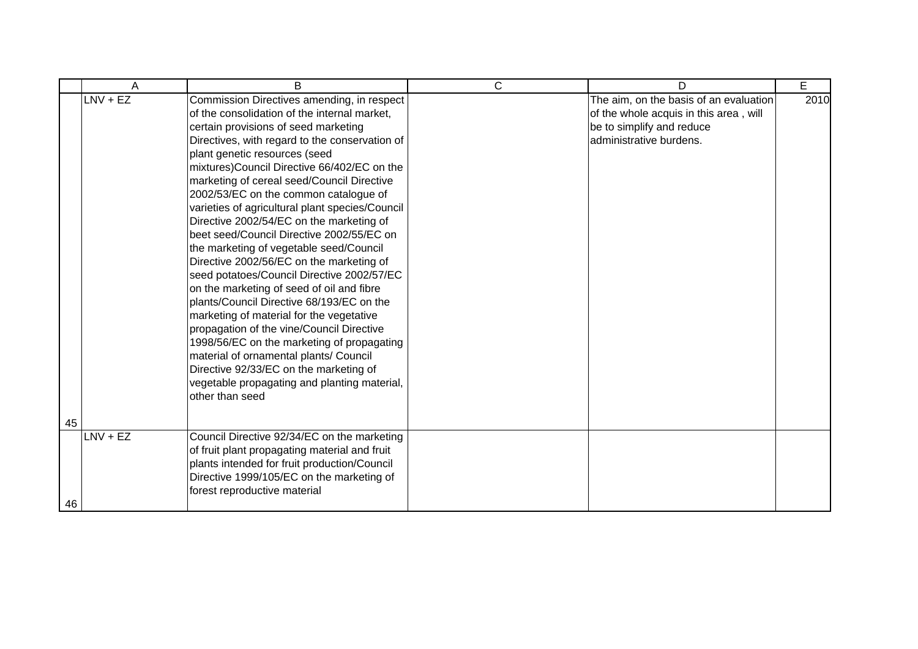|    | A          | B                                               | C | D                                      | E    |
|----|------------|-------------------------------------------------|---|----------------------------------------|------|
|    | $LNV + EZ$ | Commission Directives amending, in respect      |   | The aim, on the basis of an evaluation | 2010 |
|    |            | of the consolidation of the internal market,    |   | of the whole acquis in this area, will |      |
|    |            | certain provisions of seed marketing            |   | be to simplify and reduce              |      |
|    |            | Directives, with regard to the conservation of  |   | administrative burdens.                |      |
|    |            | plant genetic resources (seed                   |   |                                        |      |
|    |            | mixtures)Council Directive 66/402/EC on the     |   |                                        |      |
|    |            | marketing of cereal seed/Council Directive      |   |                                        |      |
|    |            | 2002/53/EC on the common catalogue of           |   |                                        |      |
|    |            | varieties of agricultural plant species/Council |   |                                        |      |
|    |            | Directive 2002/54/EC on the marketing of        |   |                                        |      |
|    |            | beet seed/Council Directive 2002/55/EC on       |   |                                        |      |
|    |            | the marketing of vegetable seed/Council         |   |                                        |      |
|    |            | Directive 2002/56/EC on the marketing of        |   |                                        |      |
|    |            | seed potatoes/Council Directive 2002/57/EC      |   |                                        |      |
|    |            | on the marketing of seed of oil and fibre       |   |                                        |      |
|    |            | plants/Council Directive 68/193/EC on the       |   |                                        |      |
|    |            | marketing of material for the vegetative        |   |                                        |      |
|    |            | propagation of the vine/Council Directive       |   |                                        |      |
|    |            | 1998/56/EC on the marketing of propagating      |   |                                        |      |
|    |            | material of ornamental plants/ Council          |   |                                        |      |
|    |            | Directive 92/33/EC on the marketing of          |   |                                        |      |
|    |            | vegetable propagating and planting material,    |   |                                        |      |
|    |            | other than seed                                 |   |                                        |      |
|    |            |                                                 |   |                                        |      |
| 45 |            |                                                 |   |                                        |      |
|    | LNV + EZ   | Council Directive 92/34/EC on the marketing     |   |                                        |      |
|    |            | of fruit plant propagating material and fruit   |   |                                        |      |
|    |            | plants intended for fruit production/Council    |   |                                        |      |
|    |            | Directive 1999/105/EC on the marketing of       |   |                                        |      |
|    |            | forest reproductive material                    |   |                                        |      |
| 46 |            |                                                 |   |                                        |      |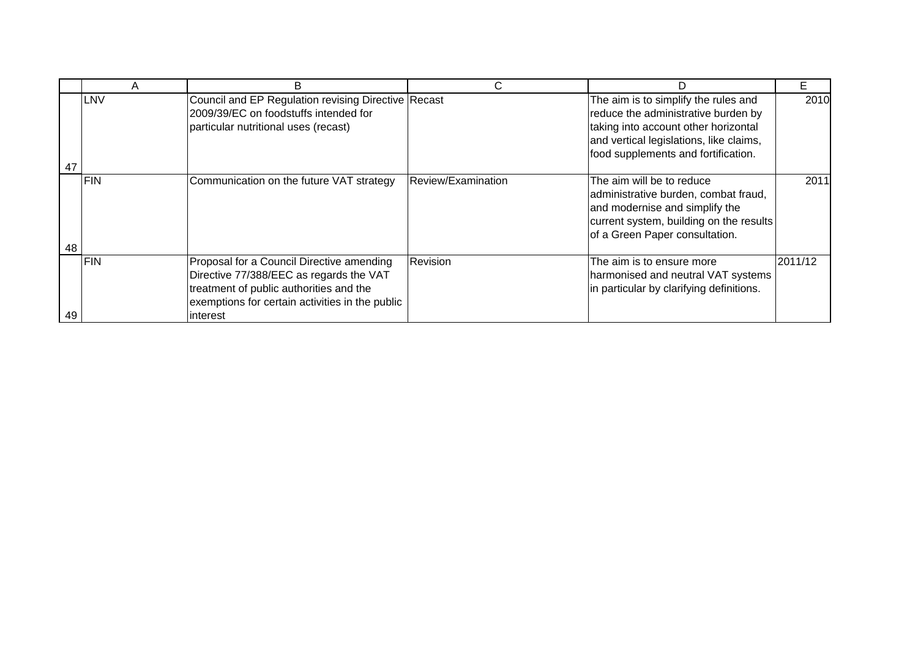|    |             | D                                                                                                                                                                                              | С                  | D                                                                                                                                                                                                     |         |
|----|-------------|------------------------------------------------------------------------------------------------------------------------------------------------------------------------------------------------|--------------------|-------------------------------------------------------------------------------------------------------------------------------------------------------------------------------------------------------|---------|
| 47 | LNV         | Council and EP Regulation revising Directive Recast<br>2009/39/EC on foodstuffs intended for<br>particular nutritional uses (recast)                                                           |                    | The aim is to simplify the rules and<br>reduce the administrative burden by<br>taking into account other horizontal<br>and vertical legislations, like claims,<br>food supplements and fortification. | 2010    |
| 48 | <b>IFIN</b> | Communication on the future VAT strategy                                                                                                                                                       | Review/Examination | The aim will be to reduce<br>administrative burden, combat fraud,<br>and modernise and simplify the<br>current system, building on the results<br>of a Green Paper consultation.                      | 2011    |
| 49 | <b>FIN</b>  | Proposal for a Council Directive amending<br>Directive 77/388/EEC as regards the VAT<br>treatment of public authorities and the<br>exemptions for certain activities in the public<br>interest | Revision           | The aim is to ensure more<br>harmonised and neutral VAT systems<br>in particular by clarifying definitions.                                                                                           | 2011/12 |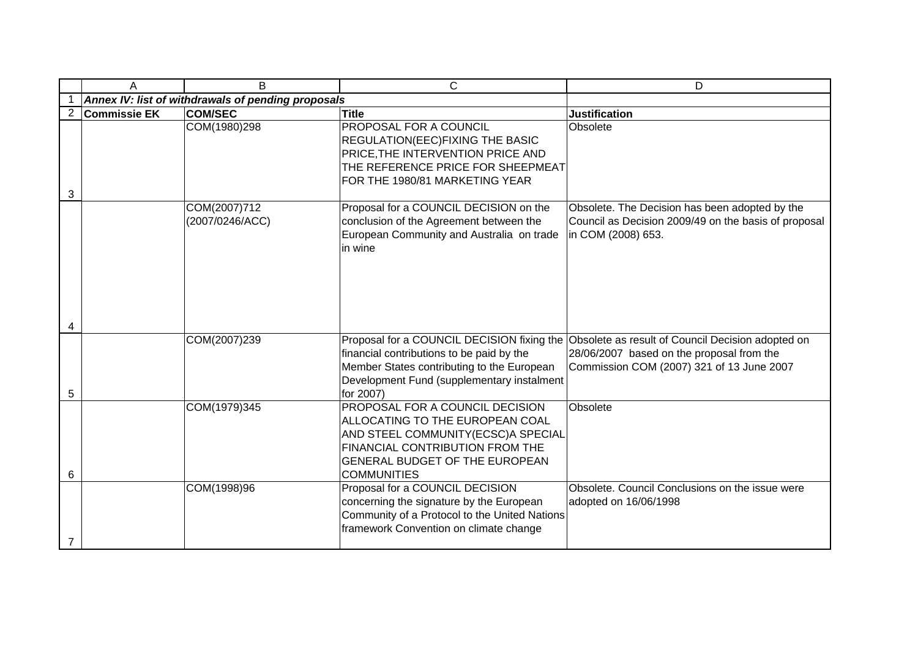|                | A                   | B.                                                 | C                                                                                                                                                                                                   | D                                                                                                                                                                                      |
|----------------|---------------------|----------------------------------------------------|-----------------------------------------------------------------------------------------------------------------------------------------------------------------------------------------------------|----------------------------------------------------------------------------------------------------------------------------------------------------------------------------------------|
|                |                     | Annex IV: list of withdrawals of pending proposals |                                                                                                                                                                                                     |                                                                                                                                                                                        |
| $\overline{2}$ | <b>Commissie EK</b> | <b>COM/SEC</b>                                     | <b>Title</b>                                                                                                                                                                                        | <b>Justification</b>                                                                                                                                                                   |
| 3              |                     | COM(1980)298                                       | PROPOSAL FOR A COUNCIL<br>REGULATION(EEC)FIXING THE BASIC<br>PRICE, THE INTERVENTION PRICE AND<br>THE REFERENCE PRICE FOR SHEEPMEAT<br>FOR THE 1980/81 MARKETING YEAR                               | Obsolete                                                                                                                                                                               |
|                |                     | COM(2007)712<br>(2007/0246/ACC)                    | Proposal for a COUNCIL DECISION on the<br>conclusion of the Agreement between the<br>European Community and Australia on trade<br>in wine                                                           | Obsolete. The Decision has been adopted by the<br>Council as Decision 2009/49 on the basis of proposal<br>in COM (2008) 653.                                                           |
| 4              |                     |                                                    |                                                                                                                                                                                                     |                                                                                                                                                                                        |
| 5              |                     | COM(2007)239                                       | financial contributions to be paid by the<br>Member States contributing to the European<br>Development Fund (supplementary instalment<br>for 2007)                                                  | Proposal for a COUNCIL DECISION fixing the Obsolete as result of Council Decision adopted on<br>28/06/2007 based on the proposal from the<br>Commission COM (2007) 321 of 13 June 2007 |
| 6              |                     | COM(1979)345                                       | PROPOSAL FOR A COUNCIL DECISION<br>ALLOCATING TO THE EUROPEAN COAL<br>AND STEEL COMMUNITY(ECSC)A SPECIAL<br>FINANCIAL CONTRIBUTION FROM THE<br>GENERAL BUDGET OF THE EUROPEAN<br><b>COMMUNITIES</b> | Obsolete                                                                                                                                                                               |
| 7              |                     | COM(1998)96                                        | Proposal for a COUNCIL DECISION<br>concerning the signature by the European<br>Community of a Protocol to the United Nations<br>framework Convention on climate change                              | Obsolete. Council Conclusions on the issue were<br>adopted on 16/06/1998                                                                                                               |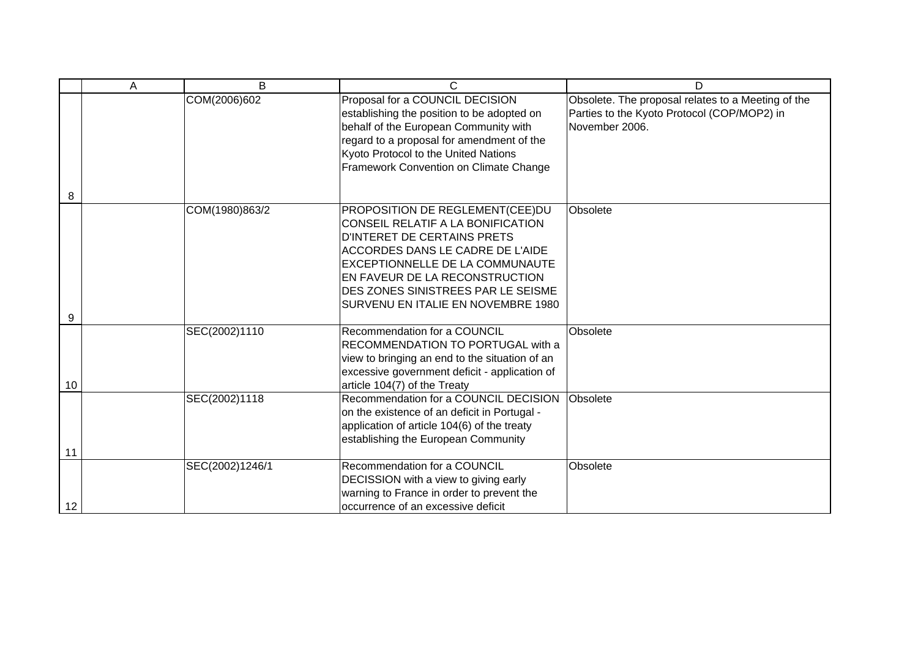|    | A | B               | C                                                                                                                                                                                                                                                                                        | D                                                                                                                   |
|----|---|-----------------|------------------------------------------------------------------------------------------------------------------------------------------------------------------------------------------------------------------------------------------------------------------------------------------|---------------------------------------------------------------------------------------------------------------------|
| 8  |   | COM(2006)602    | Proposal for a COUNCIL DECISION<br>establishing the position to be adopted on<br>behalf of the European Community with<br>regard to a proposal for amendment of the<br>Kyoto Protocol to the United Nations<br>Framework Convention on Climate Change                                    | Obsolete. The proposal relates to a Meeting of the<br>Parties to the Kyoto Protocol (COP/MOP2) in<br>November 2006. |
| 9  |   | COM(1980)863/2  | PROPOSITION DE REGLEMENT(CEE)DU<br>CONSEIL RELATIF A LA BONIFICATION<br>D'INTERET DE CERTAINS PRETS<br>ACCORDES DANS LE CADRE DE L'AIDE<br>EXCEPTIONNELLE DE LA COMMUNAUTE<br>EN FAVEUR DE LA RECONSTRUCTION<br>DES ZONES SINISTREES PAR LE SEISME<br>SURVENU EN ITALIE EN NOVEMBRE 1980 | Obsolete                                                                                                            |
| 10 |   | SEC(2002)1110   | Recommendation for a COUNCIL<br>RECOMMENDATION TO PORTUGAL with a<br>view to bringing an end to the situation of an<br>excessive government deficit - application of<br>article 104(7) of the Treaty                                                                                     | Obsolete                                                                                                            |
| 11 |   | SEC(2002)1118   | Recommendation for a COUNCIL DECISION<br>on the existence of an deficit in Portugal -<br>application of article 104(6) of the treaty<br>establishing the European Community                                                                                                              | Obsolete                                                                                                            |
| 12 |   | SEC(2002)1246/1 | Recommendation for a COUNCIL<br>DECISSION with a view to giving early<br>warning to France in order to prevent the<br>occurrence of an excessive deficit                                                                                                                                 | Obsolete                                                                                                            |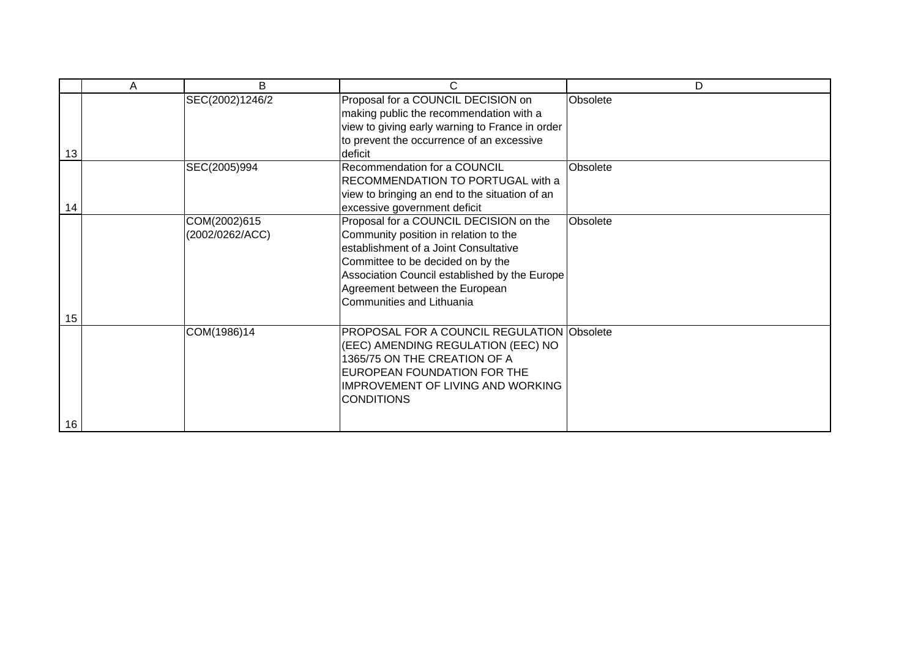|    | A | B               | C                                                                                                                                                                                                                       | D        |
|----|---|-----------------|-------------------------------------------------------------------------------------------------------------------------------------------------------------------------------------------------------------------------|----------|
|    |   | SEC(2002)1246/2 | Proposal for a COUNCIL DECISION on                                                                                                                                                                                      | Obsolete |
|    |   |                 | making public the recommendation with a                                                                                                                                                                                 |          |
|    |   |                 | view to giving early warning to France in order                                                                                                                                                                         |          |
|    |   |                 | to prevent the occurrence of an excessive                                                                                                                                                                               |          |
| 13 |   |                 | deficit                                                                                                                                                                                                                 |          |
|    |   | SEC(2005)994    | Recommendation for a COUNCIL                                                                                                                                                                                            | Obsolete |
|    |   |                 | RECOMMENDATION TO PORTUGAL with a                                                                                                                                                                                       |          |
|    |   |                 | view to bringing an end to the situation of an                                                                                                                                                                          |          |
| 14 |   |                 | excessive government deficit                                                                                                                                                                                            |          |
|    |   | COM(2002)615    | Proposal for a COUNCIL DECISION on the                                                                                                                                                                                  | Obsolete |
|    |   | (2002/0262/ACC) | Community position in relation to the                                                                                                                                                                                   |          |
|    |   |                 | establishment of a Joint Consultative                                                                                                                                                                                   |          |
|    |   |                 | Committee to be decided on by the                                                                                                                                                                                       |          |
|    |   |                 | Association Council established by the Europe                                                                                                                                                                           |          |
|    |   |                 | Agreement between the European                                                                                                                                                                                          |          |
|    |   |                 | Communities and Lithuania                                                                                                                                                                                               |          |
| 15 |   |                 |                                                                                                                                                                                                                         |          |
|    |   | COM(1986)14     | <b>PROPOSAL FOR A COUNCIL REGULATION Obsolete</b><br>(EEC) AMENDING REGULATION (EEC) NO<br>1365/75 ON THE CREATION OF A<br>EUROPEAN FOUNDATION FOR THE<br><b>IMPROVEMENT OF LIVING AND WORKING</b><br><b>CONDITIONS</b> |          |
| 16 |   |                 |                                                                                                                                                                                                                         |          |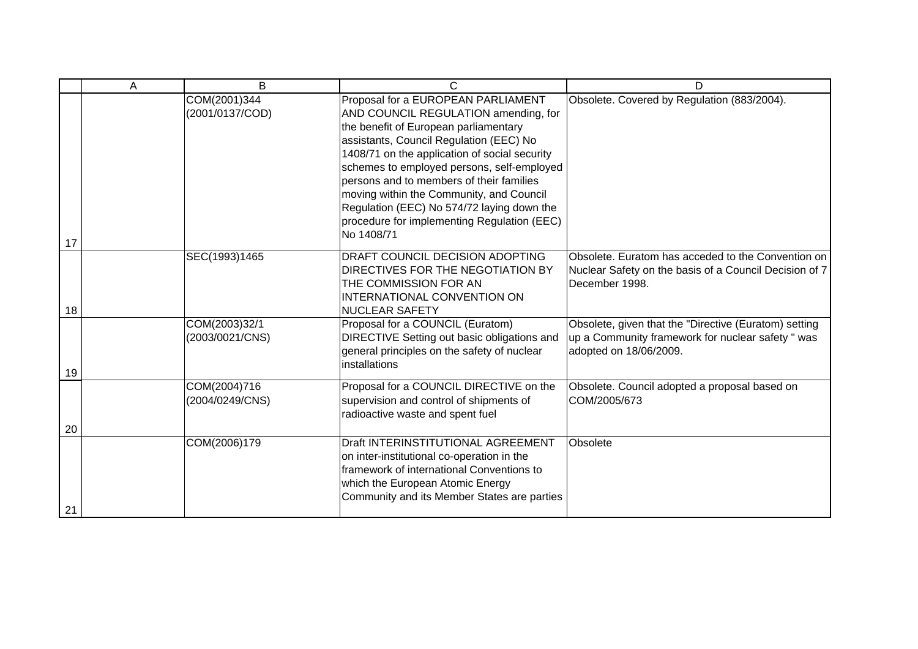|    | Α | B                                | C                                                                                                                                                                                                                                                                                                                                                                                                                                                                | D                                                                                                                                    |
|----|---|----------------------------------|------------------------------------------------------------------------------------------------------------------------------------------------------------------------------------------------------------------------------------------------------------------------------------------------------------------------------------------------------------------------------------------------------------------------------------------------------------------|--------------------------------------------------------------------------------------------------------------------------------------|
| 17 |   | COM(2001)344<br>(2001/0137/COD)  | Proposal for a EUROPEAN PARLIAMENT<br>AND COUNCIL REGULATION amending, for<br>the benefit of European parliamentary<br>assistants, Council Regulation (EEC) No<br>1408/71 on the application of social security<br>schemes to employed persons, self-employed<br>persons and to members of their families<br>moving within the Community, and Council<br>Regulation (EEC) No 574/72 laying down the<br>procedure for implementing Regulation (EEC)<br>No 1408/71 | Obsolete. Covered by Regulation (883/2004).                                                                                          |
| 18 |   | SEC(1993)1465                    | DRAFT COUNCIL DECISION ADOPTING<br>DIRECTIVES FOR THE NEGOTIATION BY<br>THE COMMISSION FOR AN<br>INTERNATIONAL CONVENTION ON<br><b>NUCLEAR SAFETY</b>                                                                                                                                                                                                                                                                                                            | Obsolete. Euratom has acceded to the Convention on<br>Nuclear Safety on the basis of a Council Decision of 7<br>December 1998.       |
| 19 |   | COM(2003)32/1<br>(2003/0021/CNS) | Proposal for a COUNCIL (Euratom)<br>DIRECTIVE Setting out basic obligations and<br>general principles on the safety of nuclear<br>installations                                                                                                                                                                                                                                                                                                                  | Obsolete, given that the "Directive (Euratom) setting<br>up a Community framework for nuclear safety " was<br>adopted on 18/06/2009. |
| 20 |   | COM(2004)716<br>(2004/0249/CNS)  | Proposal for a COUNCIL DIRECTIVE on the<br>supervision and control of shipments of<br>radioactive waste and spent fuel                                                                                                                                                                                                                                                                                                                                           | Obsolete. Council adopted a proposal based on<br>COM/2005/673                                                                        |
| 21 |   | COM(2006)179                     | Draft INTERINSTITUTIONAL AGREEMENT<br>on inter-institutional co-operation in the<br>framework of international Conventions to<br>which the European Atomic Energy<br>Community and its Member States are parties                                                                                                                                                                                                                                                 | Obsolete                                                                                                                             |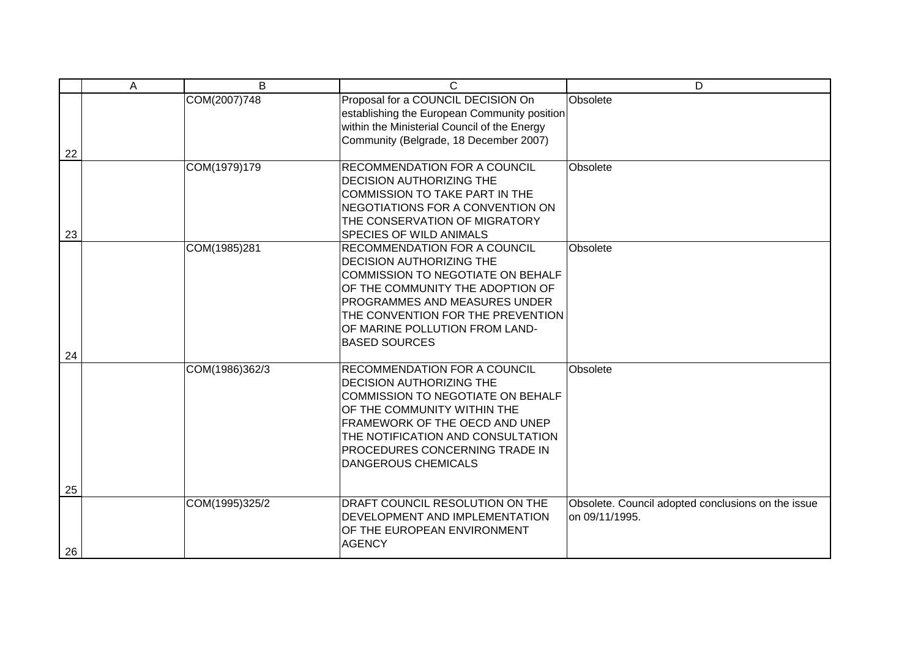|          | A | B              | C                                                                                                                                                                                                                                                                                      | $\overline{D}$                                                       |
|----------|---|----------------|----------------------------------------------------------------------------------------------------------------------------------------------------------------------------------------------------------------------------------------------------------------------------------------|----------------------------------------------------------------------|
| 22       |   | COM(2007)748   | Proposal for a COUNCIL DECISION On<br>establishing the European Community position<br>within the Ministerial Council of the Energy<br>Community (Belgrade, 18 December 2007)                                                                                                           | Obsolete                                                             |
| 23       |   | COM(1979)179   | <b>RECOMMENDATION FOR A COUNCIL</b><br><b>DECISION AUTHORIZING THE</b><br>COMMISSION TO TAKE PART IN THE<br>NEGOTIATIONS FOR A CONVENTION ON<br>THE CONSERVATION OF MIGRATORY<br><b>SPECIES OF WILD ANIMALS</b>                                                                        | Obsolete                                                             |
|          |   | COM(1985)281   | <b>RECOMMENDATION FOR A COUNCIL</b><br><b>DECISION AUTHORIZING THE</b><br>COMMISSION TO NEGOTIATE ON BEHALF<br>OF THE COMMUNITY THE ADOPTION OF<br><b>PROGRAMMES AND MEASURES UNDER</b><br>THE CONVENTION FOR THE PREVENTION<br>OF MARINE POLLUTION FROM LAND-<br><b>BASED SOURCES</b> | Obsolete                                                             |
| 24       |   | COM(1986)362/3 | <b>RECOMMENDATION FOR A COUNCIL</b><br><b>DECISION AUTHORIZING THE</b><br>COMMISSION TO NEGOTIATE ON BEHALF<br>OF THE COMMUNITY WITHIN THE<br>FRAMEWORK OF THE OECD AND UNEP<br>THE NOTIFICATION AND CONSULTATION<br>PROCEDURES CONCERNING TRADE IN<br><b>DANGEROUS CHEMICALS</b>      | Obsolete                                                             |
| 25<br>26 |   | COM(1995)325/2 | DRAFT COUNCIL RESOLUTION ON THE<br>DEVELOPMENT AND IMPLEMENTATION<br>OF THE EUROPEAN ENVIRONMENT<br><b>AGENCY</b>                                                                                                                                                                      | Obsolete. Council adopted conclusions on the issue<br>on 09/11/1995. |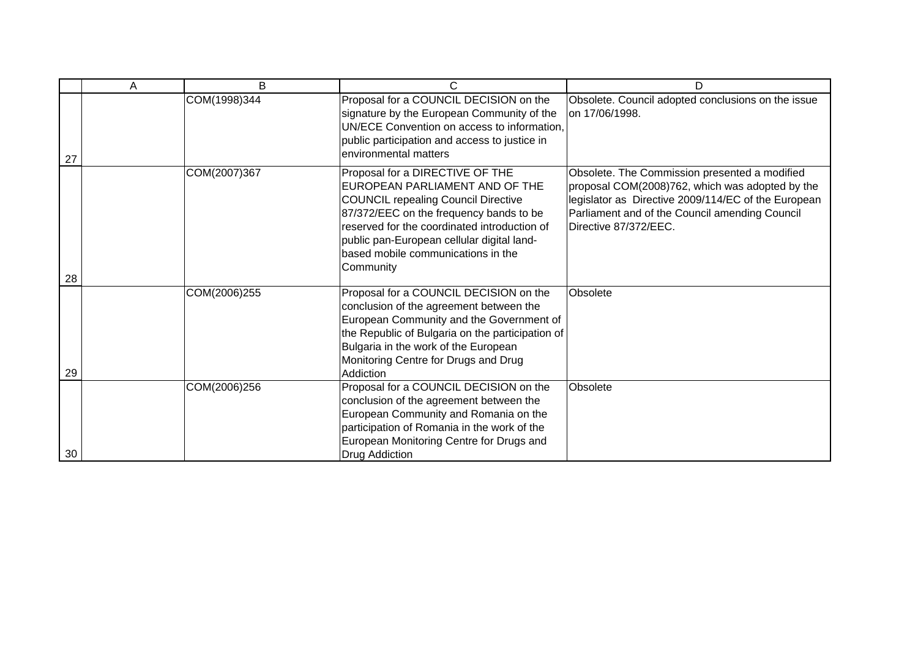|    | Α | B            | C                                                                                                                                                                                                                                                                                                           | D                                                                                                                                                                                                                                  |
|----|---|--------------|-------------------------------------------------------------------------------------------------------------------------------------------------------------------------------------------------------------------------------------------------------------------------------------------------------------|------------------------------------------------------------------------------------------------------------------------------------------------------------------------------------------------------------------------------------|
| 27 |   | COM(1998)344 | Proposal for a COUNCIL DECISION on the<br>signature by the European Community of the<br>UN/ECE Convention on access to information,<br>public participation and access to justice in<br>environmental matters                                                                                               | Obsolete. Council adopted conclusions on the issue<br>on 17/06/1998.                                                                                                                                                               |
| 28 |   | COM(2007)367 | Proposal for a DIRECTIVE OF THE<br>EUROPEAN PARLIAMENT AND OF THE<br><b>COUNCIL repealing Council Directive</b><br>87/372/EEC on the frequency bands to be<br>reserved for the coordinated introduction of<br>public pan-European cellular digital land-<br>based mobile communications in the<br>Community | Obsolete. The Commission presented a modified<br>proposal COM(2008)762, which was adopted by the<br>legislator as Directive 2009/114/EC of the European<br>Parliament and of the Council amending Council<br>Directive 87/372/EEC. |
| 29 |   | COM(2006)255 | Proposal for a COUNCIL DECISION on the<br>conclusion of the agreement between the<br>European Community and the Government of<br>the Republic of Bulgaria on the participation of<br>Bulgaria in the work of the European<br>Monitoring Centre for Drugs and Drug<br>Addiction                              | Obsolete                                                                                                                                                                                                                           |
| 30 |   | COM(2006)256 | Proposal for a COUNCIL DECISION on the<br>conclusion of the agreement between the<br>European Community and Romania on the<br>participation of Romania in the work of the<br>European Monitoring Centre for Drugs and<br>Drug Addiction                                                                     | Obsolete                                                                                                                                                                                                                           |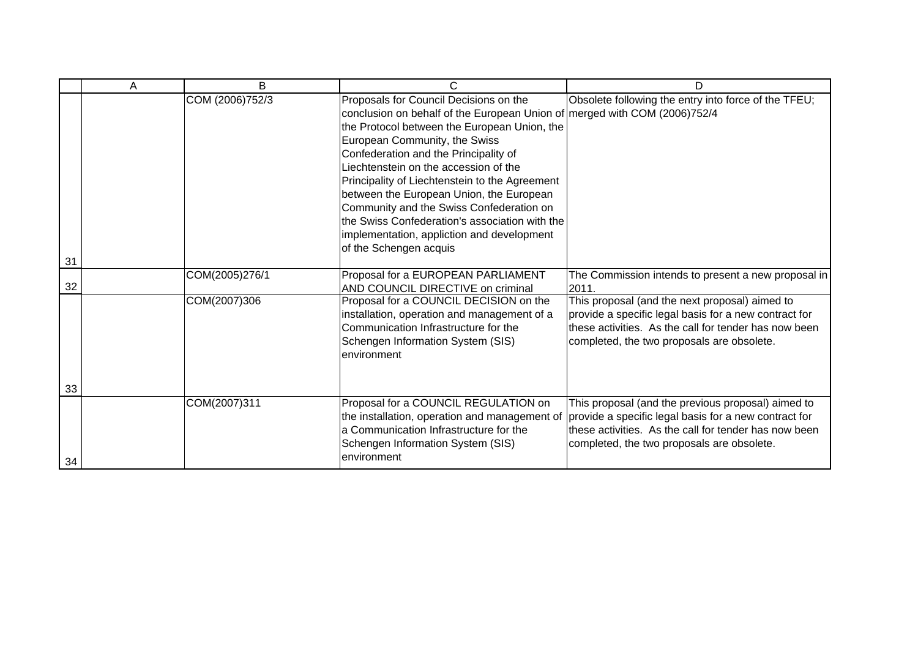|    | Α | B               | C                                                                                                                                                                                                                                                                                                                                                                                                                                                                                                                                                          | D                                                                                                                                                                                                                       |
|----|---|-----------------|------------------------------------------------------------------------------------------------------------------------------------------------------------------------------------------------------------------------------------------------------------------------------------------------------------------------------------------------------------------------------------------------------------------------------------------------------------------------------------------------------------------------------------------------------------|-------------------------------------------------------------------------------------------------------------------------------------------------------------------------------------------------------------------------|
| 31 |   | COM (2006)752/3 | Proposals for Council Decisions on the<br>conclusion on behalf of the European Union of merged with COM (2006)752/4<br>the Protocol between the European Union, the<br>European Community, the Swiss<br>Confederation and the Principality of<br>Liechtenstein on the accession of the<br>Principality of Liechtenstein to the Agreement<br>between the European Union, the European<br>Community and the Swiss Confederation on<br>the Swiss Confederation's association with the<br>implementation, appliction and development<br>of the Schengen acquis | Obsolete following the entry into force of the TFEU;                                                                                                                                                                    |
| 32 |   | COM(2005)276/1  | Proposal for a EUROPEAN PARLIAMENT                                                                                                                                                                                                                                                                                                                                                                                                                                                                                                                         | The Commission intends to present a new proposal in                                                                                                                                                                     |
| 33 |   | COM(2007)306    | AND COUNCIL DIRECTIVE on criminal<br>Proposal for a COUNCIL DECISION on the<br>installation, operation and management of a<br>Communication Infrastructure for the<br>Schengen Information System (SIS)<br>environment                                                                                                                                                                                                                                                                                                                                     | 2011.<br>This proposal (and the next proposal) aimed to<br>provide a specific legal basis for a new contract for<br>these activities. As the call for tender has now been<br>completed, the two proposals are obsolete. |
| 34 |   | COM(2007)311    | Proposal for a COUNCIL REGULATION on<br>the installation, operation and management of<br>a Communication Infrastructure for the<br>Schengen Information System (SIS)<br>environment                                                                                                                                                                                                                                                                                                                                                                        | This proposal (and the previous proposal) aimed to<br>provide a specific legal basis for a new contract for<br>these activities. As the call for tender has now been<br>completed, the two proposals are obsolete.      |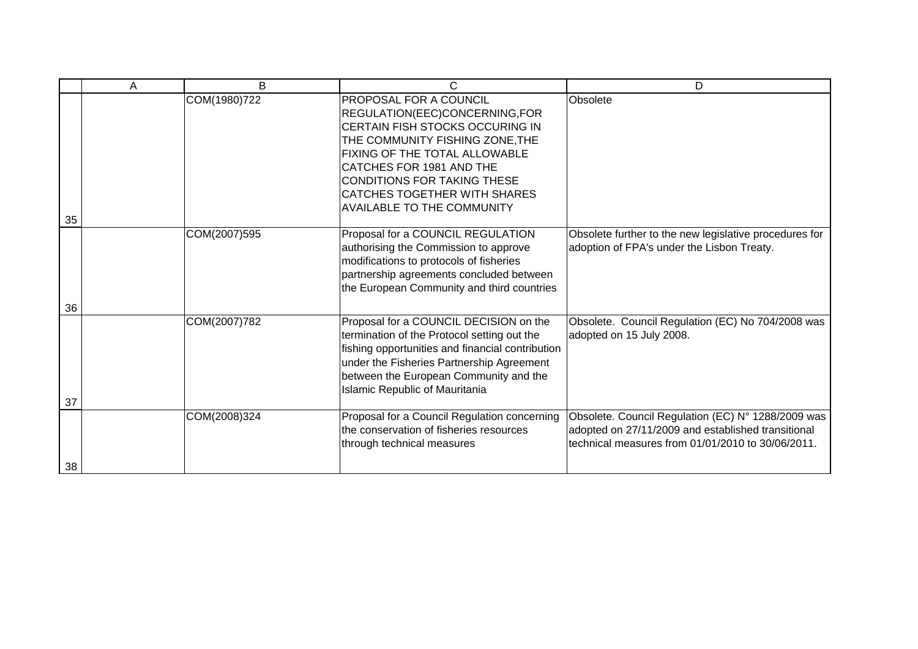|    | Α | B            | C                                                                                                                                                                                                                                                                                                     | D                                                                                                                                                             |
|----|---|--------------|-------------------------------------------------------------------------------------------------------------------------------------------------------------------------------------------------------------------------------------------------------------------------------------------------------|---------------------------------------------------------------------------------------------------------------------------------------------------------------|
|    |   | COM(1980)722 | PROPOSAL FOR A COUNCIL<br>REGULATION(EEC)CONCERNING,FOR<br>CERTAIN FISH STOCKS OCCURING IN<br>THE COMMUNITY FISHING ZONE, THE<br>FIXING OF THE TOTAL ALLOWABLE<br>CATCHES FOR 1981 AND THE<br>CONDITIONS FOR TAKING THESE<br><b>CATCHES TOGETHER WITH SHARES</b><br><b>AVAILABLE TO THE COMMUNITY</b> | Obsolete                                                                                                                                                      |
| 35 |   | COM(2007)595 | Proposal for a COUNCIL REGULATION                                                                                                                                                                                                                                                                     | Obsolete further to the new legislative procedures for                                                                                                        |
|    |   |              | authorising the Commission to approve<br>modifications to protocols of fisheries<br>partnership agreements concluded between<br>the European Community and third countries                                                                                                                            | adoption of FPA's under the Lisbon Treaty.                                                                                                                    |
| 36 |   |              |                                                                                                                                                                                                                                                                                                       |                                                                                                                                                               |
|    |   | COM(2007)782 | Proposal for a COUNCIL DECISION on the<br>termination of the Protocol setting out the<br>fishing opportunities and financial contribution<br>under the Fisheries Partnership Agreement<br>between the European Community and the<br>Islamic Republic of Mauritania                                    | Obsolete. Council Regulation (EC) No 704/2008 was<br>adopted on 15 July 2008.                                                                                 |
| 37 |   |              |                                                                                                                                                                                                                                                                                                       |                                                                                                                                                               |
| 38 |   | COM(2008)324 | Proposal for a Council Regulation concerning<br>the conservation of fisheries resources<br>through technical measures                                                                                                                                                                                 | Obsolete. Council Regulation (EC) N° 1288/2009 was<br>adopted on 27/11/2009 and established transitional<br>technical measures from 01/01/2010 to 30/06/2011. |
|    |   |              |                                                                                                                                                                                                                                                                                                       |                                                                                                                                                               |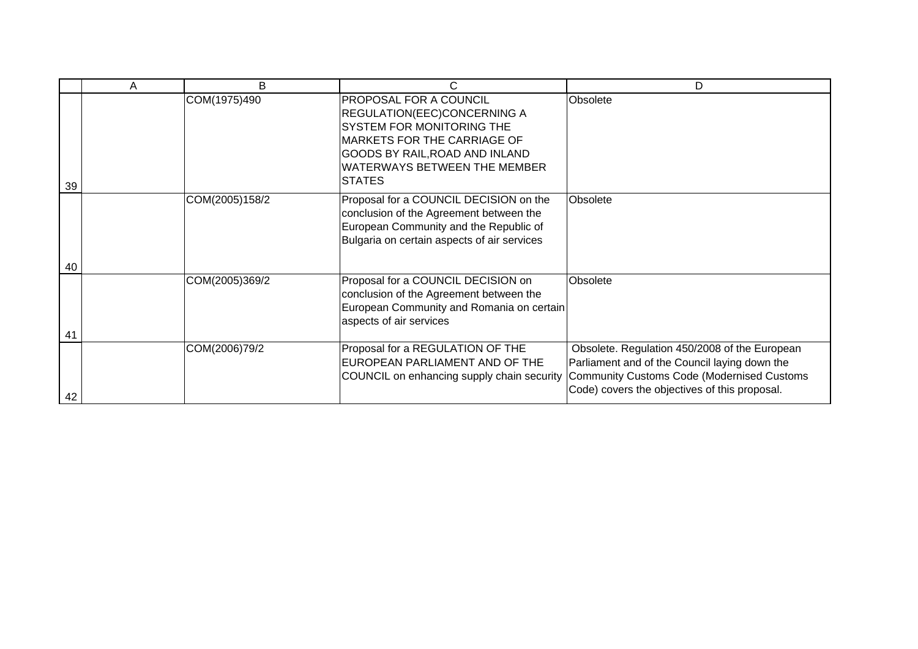|    | A | B              | C                                                                                                                                                                                                                                | D                                                                                                                                                                                                    |
|----|---|----------------|----------------------------------------------------------------------------------------------------------------------------------------------------------------------------------------------------------------------------------|------------------------------------------------------------------------------------------------------------------------------------------------------------------------------------------------------|
| 39 |   | COM(1975)490   | <b>PROPOSAL FOR A COUNCIL</b><br><b>REGULATION(EEC)CONCERNING A</b><br>SYSTEM FOR MONITORING THE<br><b>MARKETS FOR THE CARRIAGE OF</b><br>GOODS BY RAIL, ROAD AND INLAND<br><b>WATERWAYS BETWEEN THE MEMBER</b><br><b>STATES</b> | Obsolete                                                                                                                                                                                             |
| 40 |   | COM(2005)158/2 | Proposal for a COUNCIL DECISION on the<br>conclusion of the Agreement between the<br>European Community and the Republic of<br>Bulgaria on certain aspects of air services                                                       | Obsolete                                                                                                                                                                                             |
| 41 |   | COM(2005)369/2 | Proposal for a COUNCIL DECISION on<br>conclusion of the Agreement between the<br>European Community and Romania on certain<br>aspects of air services                                                                            | Obsolete                                                                                                                                                                                             |
| 42 |   | COM(2006)79/2  | Proposal for a REGULATION OF THE<br>EUROPEAN PARLIAMENT AND OF THE<br>COUNCIL on enhancing supply chain security                                                                                                                 | Obsolete. Regulation 450/2008 of the European<br>Parliament and of the Council laying down the<br><b>Community Customs Code (Modernised Customs</b><br>Code) covers the objectives of this proposal. |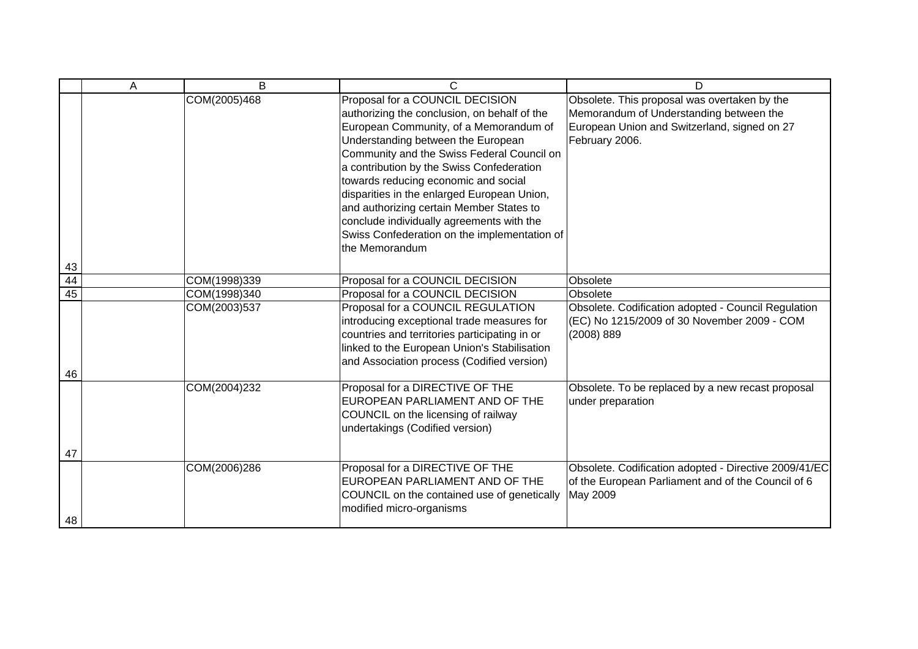|          | А | B            | C                                                                                                                                                                                                                                                                                                                                                                                                                                                                                                            | D                                                                                                                                                         |
|----------|---|--------------|--------------------------------------------------------------------------------------------------------------------------------------------------------------------------------------------------------------------------------------------------------------------------------------------------------------------------------------------------------------------------------------------------------------------------------------------------------------------------------------------------------------|-----------------------------------------------------------------------------------------------------------------------------------------------------------|
|          |   | COM(2005)468 | Proposal for a COUNCIL DECISION<br>authorizing the conclusion, on behalf of the<br>European Community, of a Memorandum of<br>Understanding between the European<br>Community and the Swiss Federal Council on<br>a contribution by the Swiss Confederation<br>towards reducing economic and social<br>disparities in the enlarged European Union,<br>and authorizing certain Member States to<br>conclude individually agreements with the<br>Swiss Confederation on the implementation of<br>the Memorandum | Obsolete. This proposal was overtaken by the<br>Memorandum of Understanding between the<br>European Union and Switzerland, signed on 27<br>February 2006. |
| 43<br>44 |   | COM(1998)339 | Proposal for a COUNCIL DECISION                                                                                                                                                                                                                                                                                                                                                                                                                                                                              | Obsolete                                                                                                                                                  |
| 45       |   | COM(1998)340 | Proposal for a COUNCIL DECISION                                                                                                                                                                                                                                                                                                                                                                                                                                                                              | Obsolete                                                                                                                                                  |
|          |   | COM(2003)537 | Proposal for a COUNCIL REGULATION<br>introducing exceptional trade measures for<br>countries and territories participating in or<br>linked to the European Union's Stabilisation<br>and Association process (Codified version)                                                                                                                                                                                                                                                                               | Obsolete. Codification adopted - Council Regulation<br>(EC) No 1215/2009 of 30 November 2009 - COM<br>(2008) 889                                          |
| 46       |   | COM(2004)232 | Proposal for a DIRECTIVE OF THE<br>EUROPEAN PARLIAMENT AND OF THE<br>COUNCIL on the licensing of railway<br>undertakings (Codified version)                                                                                                                                                                                                                                                                                                                                                                  | Obsolete. To be replaced by a new recast proposal<br>under preparation                                                                                    |
| 47<br>48 |   | COM(2006)286 | Proposal for a DIRECTIVE OF THE<br>EUROPEAN PARLIAMENT AND OF THE<br>COUNCIL on the contained use of genetically<br>modified micro-organisms                                                                                                                                                                                                                                                                                                                                                                 | Obsolete. Codification adopted - Directive 2009/41/EC<br>of the European Parliament and of the Council of 6<br>May 2009                                   |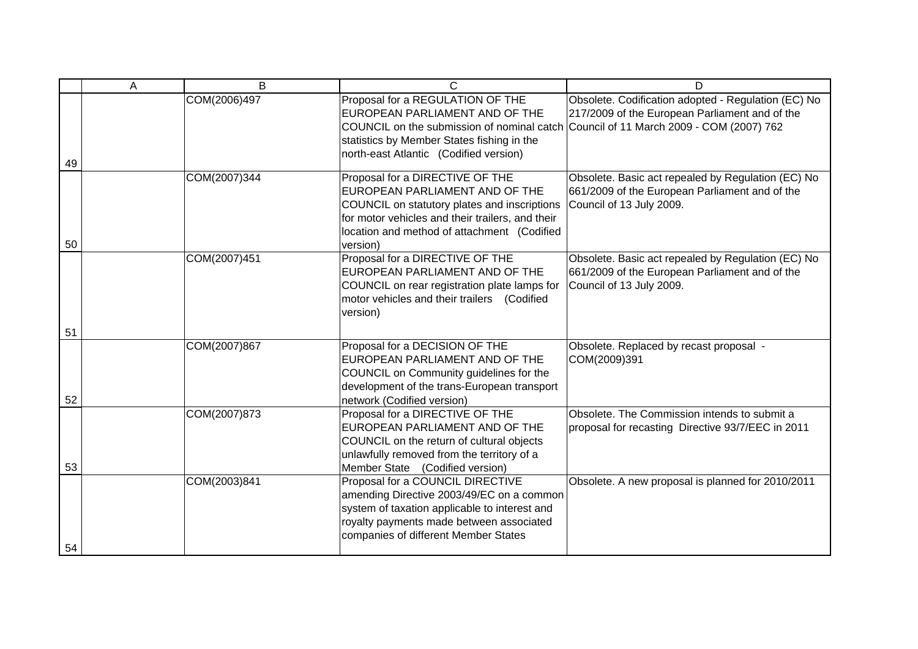|    | A | B            | C                                                                                                                                                                                                                                                  | D                                                                                                                                |
|----|---|--------------|----------------------------------------------------------------------------------------------------------------------------------------------------------------------------------------------------------------------------------------------------|----------------------------------------------------------------------------------------------------------------------------------|
| 49 |   | COM(2006)497 | Proposal for a REGULATION OF THE<br>EUROPEAN PARLIAMENT AND OF THE<br>COUNCIL on the submission of nominal catch Council of 11 March 2009 - COM (2007) 762<br>statistics by Member States fishing in the<br>north-east Atlantic (Codified version) | Obsolete. Codification adopted - Regulation (EC) No<br>217/2009 of the European Parliament and of the                            |
| 50 |   | COM(2007)344 | Proposal for a DIRECTIVE OF THE<br>EUROPEAN PARLIAMENT AND OF THE<br>COUNCIL on statutory plates and inscriptions<br>for motor vehicles and their trailers, and their<br>location and method of attachment (Codified<br>version)                   | Obsolete. Basic act repealed by Regulation (EC) No<br>661/2009 of the European Parliament and of the<br>Council of 13 July 2009. |
|    |   | COM(2007)451 | Proposal for a DIRECTIVE OF THE<br>EUROPEAN PARLIAMENT AND OF THE<br>COUNCIL on rear registration plate lamps for<br>motor vehicles and their trailers (Codified<br>version)                                                                       | Obsolete. Basic act repealed by Regulation (EC) No<br>661/2009 of the European Parliament and of the<br>Council of 13 July 2009. |
| 51 |   |              |                                                                                                                                                                                                                                                    |                                                                                                                                  |
| 52 |   | COM(2007)867 | Proposal for a DECISION OF THE<br>EUROPEAN PARLIAMENT AND OF THE<br>COUNCIL on Community guidelines for the<br>development of the trans-European transport<br>network (Codified version)                                                           | Obsolete. Replaced by recast proposal -<br>COM(2009)391                                                                          |
| 53 |   | COM(2007)873 | Proposal for a DIRECTIVE OF THE<br>EUROPEAN PARLIAMENT AND OF THE<br>COUNCIL on the return of cultural objects<br>unlawfully removed from the territory of a<br>Member State (Codified version)                                                    | Obsolete. The Commission intends to submit a<br>proposal for recasting Directive 93/7/EEC in 2011                                |
| 54 |   | COM(2003)841 | Proposal for a COUNCIL DIRECTIVE<br>amending Directive 2003/49/EC on a common<br>system of taxation applicable to interest and<br>royalty payments made between associated<br>companies of different Member States                                 | Obsolete. A new proposal is planned for 2010/2011                                                                                |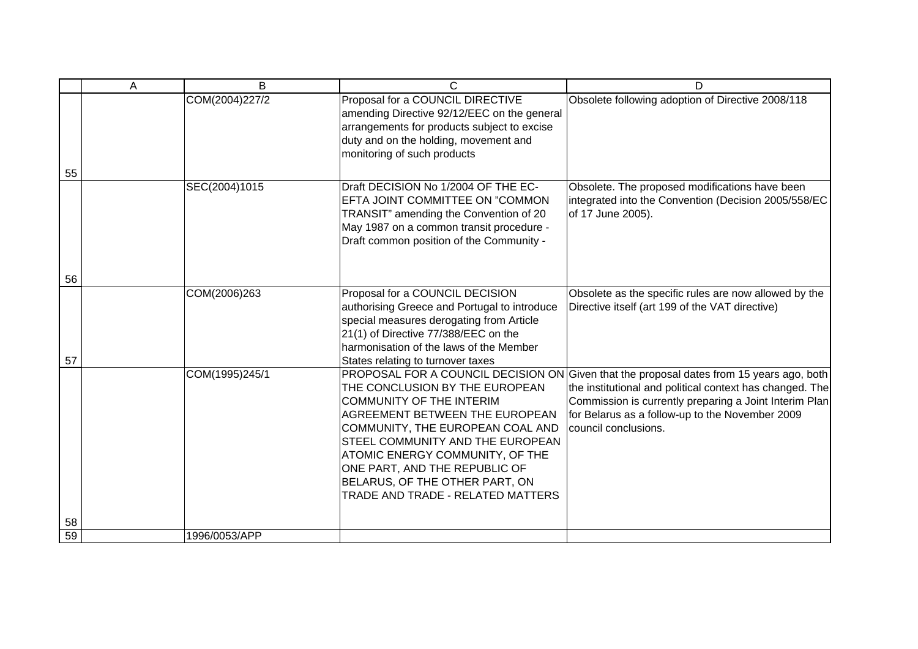|    | Α | B              | С                                                                                                                                                                                                                                                                                                                      | D                                                                                                                                                                                                                                                                                         |
|----|---|----------------|------------------------------------------------------------------------------------------------------------------------------------------------------------------------------------------------------------------------------------------------------------------------------------------------------------------------|-------------------------------------------------------------------------------------------------------------------------------------------------------------------------------------------------------------------------------------------------------------------------------------------|
|    |   | COM(2004)227/2 | Proposal for a COUNCIL DIRECTIVE<br>amending Directive 92/12/EEC on the general<br>arrangements for products subject to excise<br>duty and on the holding, movement and<br>monitoring of such products                                                                                                                 | Obsolete following adoption of Directive 2008/118                                                                                                                                                                                                                                         |
| 55 |   |                |                                                                                                                                                                                                                                                                                                                        |                                                                                                                                                                                                                                                                                           |
|    |   | SEC(2004)1015  | Draft DECISION No 1/2004 OF THE EC-<br>EFTA JOINT COMMITTEE ON "COMMON<br>TRANSIT" amending the Convention of 20<br>May 1987 on a common transit procedure -<br>Draft common position of the Community -                                                                                                               | Obsolete. The proposed modifications have been<br>integrated into the Convention (Decision 2005/558/EC<br>of 17 June 2005).                                                                                                                                                               |
| 56 |   |                |                                                                                                                                                                                                                                                                                                                        |                                                                                                                                                                                                                                                                                           |
| 57 |   | COM(2006)263   | Proposal for a COUNCIL DECISION<br>authorising Greece and Portugal to introduce<br>special measures derogating from Article<br>21(1) of Directive 77/388/EEC on the<br>harmonisation of the laws of the Member<br>States relating to turnover taxes                                                                    | Obsolete as the specific rules are now allowed by the<br>Directive itself (art 199 of the VAT directive)                                                                                                                                                                                  |
|    |   | COM(1995)245/1 | THE CONCLUSION BY THE EUROPEAN<br><b>COMMUNITY OF THE INTERIM</b><br>AGREEMENT BETWEEN THE EUROPEAN<br>COMMUNITY, THE EUROPEAN COAL AND<br>STEEL COMMUNITY AND THE EUROPEAN<br>ATOMIC ENERGY COMMUNITY, OF THE<br>ONE PART, AND THE REPUBLIC OF<br>BELARUS, OF THE OTHER PART, ON<br>TRADE AND TRADE - RELATED MATTERS | PROPOSAL FOR A COUNCIL DECISION ON Given that the proposal dates from 15 years ago, both<br>the institutional and political context has changed. The<br>Commission is currently preparing a Joint Interim Plan<br>for Belarus as a follow-up to the November 2009<br>council conclusions. |
| 58 |   |                |                                                                                                                                                                                                                                                                                                                        |                                                                                                                                                                                                                                                                                           |
| 59 |   | 1996/0053/APP  |                                                                                                                                                                                                                                                                                                                        |                                                                                                                                                                                                                                                                                           |